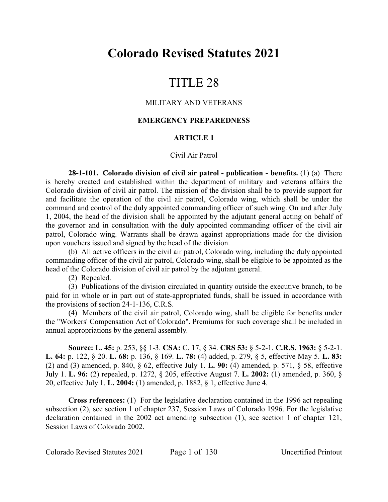# **Colorado Revised Statutes 2021**

# TITLE 28

## MILITARY AND VETERANS

## **EMERGENCY PREPAREDNESS**

## **ARTICLE 1**

## Civil Air Patrol

**28-1-101. Colorado division of civil air patrol - publication - benefits.** (1) (a) There is hereby created and established within the department of military and veterans affairs the Colorado division of civil air patrol. The mission of the division shall be to provide support for and facilitate the operation of the civil air patrol, Colorado wing, which shall be under the command and control of the duly appointed commanding officer of such wing. On and after July 1, 2004, the head of the division shall be appointed by the adjutant general acting on behalf of the governor and in consultation with the duly appointed commanding officer of the civil air patrol, Colorado wing. Warrants shall be drawn against appropriations made for the division upon vouchers issued and signed by the head of the division.

(b) All active officers in the civil air patrol, Colorado wing, including the duly appointed commanding officer of the civil air patrol, Colorado wing, shall be eligible to be appointed as the head of the Colorado division of civil air patrol by the adjutant general.

(2) Repealed.

(3) Publications of the division circulated in quantity outside the executive branch, to be paid for in whole or in part out of state-appropriated funds, shall be issued in accordance with the provisions of section 24-1-136, C.R.S.

(4) Members of the civil air patrol, Colorado wing, shall be eligible for benefits under the "Workers' Compensation Act of Colorado". Premiums for such coverage shall be included in annual appropriations by the general assembly.

**Source: L. 45:** p. 253, §§ 1-3. **CSA:** C. 17, § 34. **CRS 53:** § 5-2-1. **C.R.S. 1963:** § 5-2-1. **L. 64:** p. 122, § 20. **L. 68:** p. 136, § 169. **L. 78:** (4) added, p. 279, § 5, effective May 5. **L. 83:** (2) and (3) amended, p. 840, § 62, effective July 1. **L. 90:** (4) amended, p. 571, § 58, effective July 1. **L. 96:** (2) repealed, p. 1272, § 205, effective August 7. **L. 2002:** (1) amended, p. 360, § 20, effective July 1. **L. 2004:** (1) amended, p. 1882, § 1, effective June 4.

**Cross references:** (1) For the legislative declaration contained in the 1996 act repealing subsection (2), see section 1 of chapter 237, Session Laws of Colorado 1996. For the legislative declaration contained in the 2002 act amending subsection (1), see section 1 of chapter 121, Session Laws of Colorado 2002.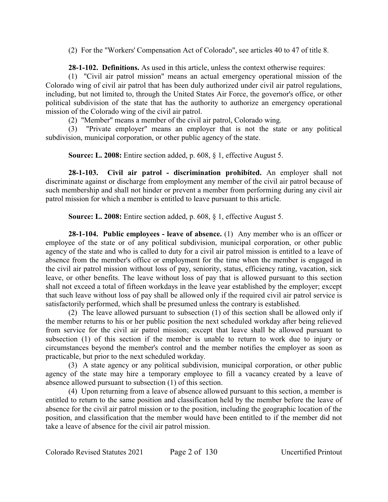(2) For the "Workers' Compensation Act of Colorado", see articles 40 to 47 of title 8.

**28-1-102. Definitions.** As used in this article, unless the context otherwise requires:

(1) "Civil air patrol mission" means an actual emergency operational mission of the Colorado wing of civil air patrol that has been duly authorized under civil air patrol regulations, including, but not limited to, through the United States Air Force, the governor's office, or other political subdivision of the state that has the authority to authorize an emergency operational mission of the Colorado wing of the civil air patrol.

(2) "Member" means a member of the civil air patrol, Colorado wing.

(3) "Private employer" means an employer that is not the state or any political subdivision, municipal corporation, or other public agency of the state.

**Source: L. 2008:** Entire section added, p. 608, § 1, effective August 5.

**28-1-103. Civil air patrol - discrimination prohibited.** An employer shall not discriminate against or discharge from employment any member of the civil air patrol because of such membership and shall not hinder or prevent a member from performing during any civil air patrol mission for which a member is entitled to leave pursuant to this article.

**Source: L. 2008:** Entire section added, p. 608, § 1, effective August 5.

**28-1-104. Public employees - leave of absence.** (1) Any member who is an officer or employee of the state or of any political subdivision, municipal corporation, or other public agency of the state and who is called to duty for a civil air patrol mission is entitled to a leave of absence from the member's office or employment for the time when the member is engaged in the civil air patrol mission without loss of pay, seniority, status, efficiency rating, vacation, sick leave, or other benefits. The leave without loss of pay that is allowed pursuant to this section shall not exceed a total of fifteen workdays in the leave year established by the employer; except that such leave without loss of pay shall be allowed only if the required civil air patrol service is satisfactorily performed, which shall be presumed unless the contrary is established.

(2) The leave allowed pursuant to subsection (1) of this section shall be allowed only if the member returns to his or her public position the next scheduled workday after being relieved from service for the civil air patrol mission; except that leave shall be allowed pursuant to subsection (1) of this section if the member is unable to return to work due to injury or circumstances beyond the member's control and the member notifies the employer as soon as practicable, but prior to the next scheduled workday.

(3) A state agency or any political subdivision, municipal corporation, or other public agency of the state may hire a temporary employee to fill a vacancy created by a leave of absence allowed pursuant to subsection (1) of this section.

(4) Upon returning from a leave of absence allowed pursuant to this section, a member is entitled to return to the same position and classification held by the member before the leave of absence for the civil air patrol mission or to the position, including the geographic location of the position, and classification that the member would have been entitled to if the member did not take a leave of absence for the civil air patrol mission.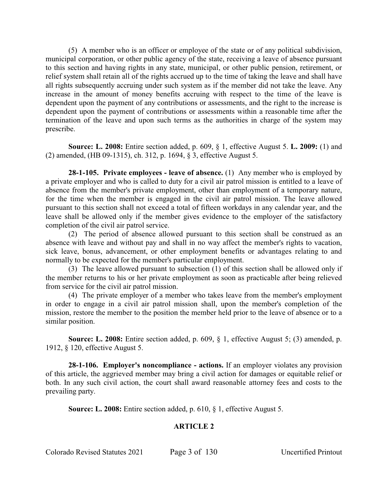(5) A member who is an officer or employee of the state or of any political subdivision, municipal corporation, or other public agency of the state, receiving a leave of absence pursuant to this section and having rights in any state, municipal, or other public pension, retirement, or relief system shall retain all of the rights accrued up to the time of taking the leave and shall have all rights subsequently accruing under such system as if the member did not take the leave. Any increase in the amount of money benefits accruing with respect to the time of the leave is dependent upon the payment of any contributions or assessments, and the right to the increase is dependent upon the payment of contributions or assessments within a reasonable time after the termination of the leave and upon such terms as the authorities in charge of the system may prescribe.

**Source: L. 2008:** Entire section added, p. 609, § 1, effective August 5. **L. 2009:** (1) and (2) amended, (HB 09-1315), ch. 312, p. 1694, § 3, effective August 5.

**28-1-105. Private employees - leave of absence.** (1) Any member who is employed by a private employer and who is called to duty for a civil air patrol mission is entitled to a leave of absence from the member's private employment, other than employment of a temporary nature, for the time when the member is engaged in the civil air patrol mission. The leave allowed pursuant to this section shall not exceed a total of fifteen workdays in any calendar year, and the leave shall be allowed only if the member gives evidence to the employer of the satisfactory completion of the civil air patrol service.

(2) The period of absence allowed pursuant to this section shall be construed as an absence with leave and without pay and shall in no way affect the member's rights to vacation, sick leave, bonus, advancement, or other employment benefits or advantages relating to and normally to be expected for the member's particular employment.

(3) The leave allowed pursuant to subsection (1) of this section shall be allowed only if the member returns to his or her private employment as soon as practicable after being relieved from service for the civil air patrol mission.

(4) The private employer of a member who takes leave from the member's employment in order to engage in a civil air patrol mission shall, upon the member's completion of the mission, restore the member to the position the member held prior to the leave of absence or to a similar position.

**Source: L. 2008:** Entire section added, p. 609, § 1, effective August 5; (3) amended, p. 1912, § 120, effective August 5.

**28-1-106. Employer's noncompliance - actions.** If an employer violates any provision of this article, the aggrieved member may bring a civil action for damages or equitable relief or both. In any such civil action, the court shall award reasonable attorney fees and costs to the prevailing party.

**Source: L. 2008:** Entire section added, p. 610, § 1, effective August 5.

# **ARTICLE 2**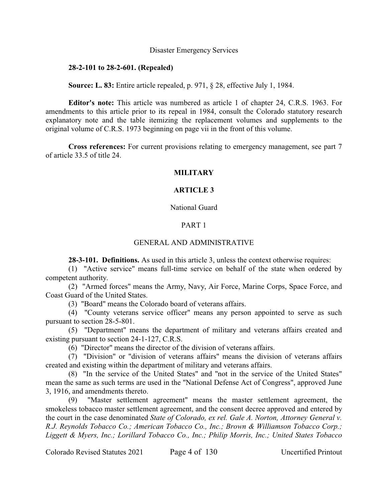#### Disaster Emergency Services

## **28-2-101 to 28-2-601. (Repealed)**

**Source: L. 83:** Entire article repealed, p. 971, § 28, effective July 1, 1984.

**Editor's note:** This article was numbered as article 1 of chapter 24, C.R.S. 1963. For amendments to this article prior to its repeal in 1984, consult the Colorado statutory research explanatory note and the table itemizing the replacement volumes and supplements to the original volume of C.R.S. 1973 beginning on page vii in the front of this volume.

**Cross references:** For current provisions relating to emergency management, see part 7 of article 33.5 of title 24.

## **MILITARY**

## **ARTICLE 3**

## National Guard

## PART 1

#### GENERAL AND ADMINISTRATIVE

**28-3-101. Definitions.** As used in this article 3, unless the context otherwise requires:

(1) "Active service" means full-time service on behalf of the state when ordered by competent authority.

(2) "Armed forces" means the Army, Navy, Air Force, Marine Corps, Space Force, and Coast Guard of the United States.

(3) "Board" means the Colorado board of veterans affairs.

(4) "County veterans service officer" means any person appointed to serve as such pursuant to section 28-5-801.

(5) "Department" means the department of military and veterans affairs created and existing pursuant to section 24-1-127, C.R.S.

(6) "Director" means the director of the division of veterans affairs.

(7) "Division" or "division of veterans affairs" means the division of veterans affairs created and existing within the department of military and veterans affairs.

(8) "In the service of the United States" and "not in the service of the United States" mean the same as such terms are used in the "National Defense Act of Congress", approved June 3, 1916, and amendments thereto.

(9) "Master settlement agreement" means the master settlement agreement, the smokeless tobacco master settlement agreement, and the consent decree approved and entered by the court in the case denominated *State of Colorado, ex rel. Gale A. Norton, Attorney General v. R.J. Reynolds Tobacco Co.; American Tobacco Co., Inc.; Brown & Williamson Tobacco Corp.; Liggett & Myers, Inc.; Lorillard Tobacco Co., Inc.; Philip Morris, Inc.; United States Tobacco*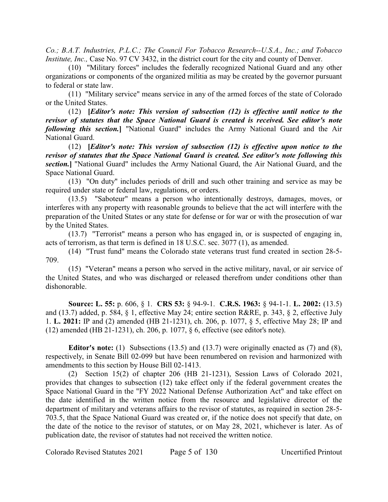*Co.; B.A.T. Industries, P.L.C.; The Council For Tobacco Research--U.S.A., Inc.; and Tobacco Institute, Inc., Case No. 97 CV 3432, in the district court for the city and county of Denver.* 

(10) "Military forces" includes the federally recognized National Guard and any other organizations or components of the organized militia as may be created by the governor pursuant to federal or state law.

(11) "Military service" means service in any of the armed forces of the state of Colorado or the United States.

(12) **[***Editor's note: This version of subsection (12) is effective until notice to the revisor of statutes that the Space National Guard is created is received. See editor's note following this section.***]** "National Guard" includes the Army National Guard and the Air National Guard.

(12) **[***Editor's note: This version of subsection (12) is effective upon notice to the revisor of statutes that the Space National Guard is created. See editor's note following this section.***]** "National Guard" includes the Army National Guard, the Air National Guard, and the Space National Guard.

(13) "On duty" includes periods of drill and such other training and service as may be required under state or federal law, regulations, or orders.

(13.5) "Saboteur" means a person who intentionally destroys, damages, moves, or interferes with any property with reasonable grounds to believe that the act will interfere with the preparation of the United States or any state for defense or for war or with the prosecution of war by the United States.

(13.7) "Terrorist" means a person who has engaged in, or is suspected of engaging in, acts of terrorism, as that term is defined in 18 U.S.C. sec. 3077 (1), as amended.

(14) "Trust fund" means the Colorado state veterans trust fund created in section 28-5- 709.

(15) "Veteran" means a person who served in the active military, naval, or air service of the United States, and who was discharged or released therefrom under conditions other than dishonorable.

**Source: L. 55:** p. 606, § 1. **CRS 53:** § 94-9-1. **C.R.S. 1963:** § 94-1-1. **L. 2002:** (13.5) and (13.7) added, p. 584, § 1, effective May 24; entire section R&RE, p. 343, § 2, effective July 1. **L. 2021:** IP and (2) amended (HB 21-1231), ch. 206, p. 1077, § 5, effective May 28; IP and (12) amended (HB 21-1231), ch. 206, p. 1077, § 6, effective (see editor's note).

**Editor's note:** (1) Subsections (13.5) and (13.7) were originally enacted as (7) and (8), respectively, in Senate Bill 02-099 but have been renumbered on revision and harmonized with amendments to this section by House Bill 02-1413.

(2) Section 15(2) of chapter 206 (HB 21-1231), Session Laws of Colorado 2021, provides that changes to subsection (12) take effect only if the federal government creates the Space National Guard in the "FY 2022 National Defense Authorization Act" and take effect on the date identified in the written notice from the resource and legislative director of the department of military and veterans affairs to the revisor of statutes, as required in section 28-5- 703.5, that the Space National Guard was created or, if the notice does not specify that date, on the date of the notice to the revisor of statutes, or on May 28, 2021, whichever is later. As of publication date, the revisor of statutes had not received the written notice.

Colorado Revised Statutes 2021 Page 5 of 130 Uncertified Printout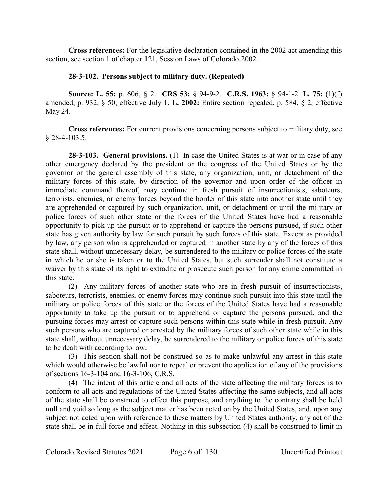**Cross references:** For the legislative declaration contained in the 2002 act amending this section, see section 1 of chapter 121, Session Laws of Colorado 2002.

## **28-3-102. Persons subject to military duty. (Repealed)**

**Source: L. 55:** p. 606, § 2. **CRS 53:** § 94-9-2. **C.R.S. 1963:** § 94-1-2. **L. 75:** (1)(f) amended, p. 932, § 50, effective July 1. **L. 2002:** Entire section repealed, p. 584, § 2, effective May 24.

**Cross references:** For current provisions concerning persons subject to military duty, see § 28-4-103.5.

**28-3-103. General provisions.** (1) In case the United States is at war or in case of any other emergency declared by the president or the congress of the United States or by the governor or the general assembly of this state, any organization, unit, or detachment of the military forces of this state, by direction of the governor and upon order of the officer in immediate command thereof, may continue in fresh pursuit of insurrectionists, saboteurs, terrorists, enemies, or enemy forces beyond the border of this state into another state until they are apprehended or captured by such organization, unit, or detachment or until the military or police forces of such other state or the forces of the United States have had a reasonable opportunity to pick up the pursuit or to apprehend or capture the persons pursued, if such other state has given authority by law for such pursuit by such forces of this state. Except as provided by law, any person who is apprehended or captured in another state by any of the forces of this state shall, without unnecessary delay, be surrendered to the military or police forces of the state in which he or she is taken or to the United States, but such surrender shall not constitute a waiver by this state of its right to extradite or prosecute such person for any crime committed in this state.

(2) Any military forces of another state who are in fresh pursuit of insurrectionists, saboteurs, terrorists, enemies, or enemy forces may continue such pursuit into this state until the military or police forces of this state or the forces of the United States have had a reasonable opportunity to take up the pursuit or to apprehend or capture the persons pursued, and the pursuing forces may arrest or capture such persons within this state while in fresh pursuit. Any such persons who are captured or arrested by the military forces of such other state while in this state shall, without unnecessary delay, be surrendered to the military or police forces of this state to be dealt with according to law.

(3) This section shall not be construed so as to make unlawful any arrest in this state which would otherwise be lawful nor to repeal or prevent the application of any of the provisions of sections 16-3-104 and 16-3-106, C.R.S.

(4) The intent of this article and all acts of the state affecting the military forces is to conform to all acts and regulations of the United States affecting the same subjects, and all acts of the state shall be construed to effect this purpose, and anything to the contrary shall be held null and void so long as the subject matter has been acted on by the United States, and, upon any subject not acted upon with reference to these matters by United States authority, any act of the state shall be in full force and effect. Nothing in this subsection (4) shall be construed to limit in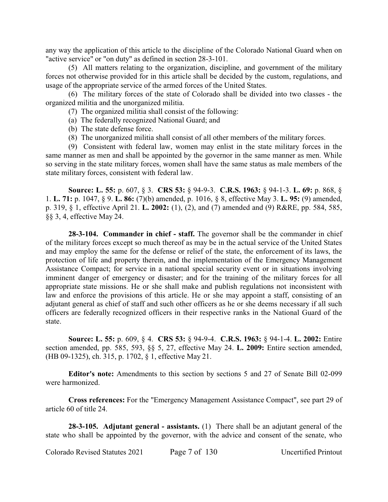any way the application of this article to the discipline of the Colorado National Guard when on "active service" or "on duty" as defined in section 28-3-101.

(5) All matters relating to the organization, discipline, and government of the military forces not otherwise provided for in this article shall be decided by the custom, regulations, and usage of the appropriate service of the armed forces of the United States.

(6) The military forces of the state of Colorado shall be divided into two classes - the organized militia and the unorganized militia.

- (7) The organized militia shall consist of the following:
- (a) The federally recognized National Guard; and
- (b) The state defense force.
- (8) The unorganized militia shall consist of all other members of the military forces.

(9) Consistent with federal law, women may enlist in the state military forces in the same manner as men and shall be appointed by the governor in the same manner as men. While so serving in the state military forces, women shall have the same status as male members of the state military forces, consistent with federal law.

**Source: L. 55:** p. 607, § 3. **CRS 53:** § 94-9-3. **C.R.S. 1963:** § 94-1-3. **L. 69:** p. 868, § 1. **L. 71:** p. 1047, § 9. **L. 86:** (7)(b) amended, p. 1016, § 8, effective May 3. **L. 95:** (9) amended, p. 319, § 1, effective April 21. **L. 2002:** (1), (2), and (7) amended and (9) R&RE, pp. 584, 585, §§ 3, 4, effective May 24.

**28-3-104. Commander in chief - staff.** The governor shall be the commander in chief of the military forces except so much thereof as may be in the actual service of the United States and may employ the same for the defense or relief of the state, the enforcement of its laws, the protection of life and property therein, and the implementation of the Emergency Management Assistance Compact; for service in a national special security event or in situations involving imminent danger of emergency or disaster; and for the training of the military forces for all appropriate state missions. He or she shall make and publish regulations not inconsistent with law and enforce the provisions of this article. He or she may appoint a staff, consisting of an adjutant general as chief of staff and such other officers as he or she deems necessary if all such officers are federally recognized officers in their respective ranks in the National Guard of the state.

**Source: L. 55:** p. 609, § 4. **CRS 53:** § 94-9-4. **C.R.S. 1963:** § 94-1-4. **L. 2002:** Entire section amended, pp. 585, 593, §§ 5, 27, effective May 24. **L. 2009:** Entire section amended, (HB 09-1325), ch. 315, p. 1702, § 1, effective May 21.

**Editor's note:** Amendments to this section by sections 5 and 27 of Senate Bill 02-099 were harmonized.

**Cross references:** For the "Emergency Management Assistance Compact", see part 29 of article 60 of title 24.

**28-3-105. Adjutant general - assistants.** (1) There shall be an adjutant general of the state who shall be appointed by the governor, with the advice and consent of the senate, who

Colorado Revised Statutes 2021 Page 7 of 130 Uncertified Printout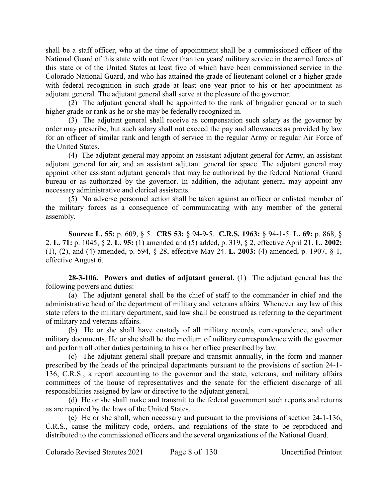shall be a staff officer, who at the time of appointment shall be a commissioned officer of the National Guard of this state with not fewer than ten years' military service in the armed forces of this state or of the United States at least five of which have been commissioned service in the Colorado National Guard, and who has attained the grade of lieutenant colonel or a higher grade with federal recognition in such grade at least one year prior to his or her appointment as adjutant general. The adjutant general shall serve at the pleasure of the governor.

(2) The adjutant general shall be appointed to the rank of brigadier general or to such higher grade or rank as he or she may be federally recognized in.

(3) The adjutant general shall receive as compensation such salary as the governor by order may prescribe, but such salary shall not exceed the pay and allowances as provided by law for an officer of similar rank and length of service in the regular Army or regular Air Force of the United States.

(4) The adjutant general may appoint an assistant adjutant general for Army, an assistant adjutant general for air, and an assistant adjutant general for space. The adjutant general may appoint other assistant adjutant generals that may be authorized by the federal National Guard bureau or as authorized by the governor. In addition, the adjutant general may appoint any necessary administrative and clerical assistants.

(5) No adverse personnel action shall be taken against an officer or enlisted member of the military forces as a consequence of communicating with any member of the general assembly.

**Source: L. 55:** p. 609, § 5. **CRS 53:** § 94-9-5. **C.R.S. 1963:** § 94-1-5. **L. 69:** p. 868, § 2. **L. 71:** p. 1045, § 2. **L. 95:** (1) amended and (5) added, p. 319, § 2, effective April 21. **L. 2002:** (1), (2), and (4) amended, p. 594, § 28, effective May 24. **L. 2003:** (4) amended, p. 1907, § 1, effective August 6.

**28-3-106. Powers and duties of adjutant general.** (1) The adjutant general has the following powers and duties:

(a) The adjutant general shall be the chief of staff to the commander in chief and the administrative head of the department of military and veterans affairs. Whenever any law of this state refers to the military department, said law shall be construed as referring to the department of military and veterans affairs.

(b) He or she shall have custody of all military records, correspondence, and other military documents. He or she shall be the medium of military correspondence with the governor and perform all other duties pertaining to his or her office prescribed by law.

(c) The adjutant general shall prepare and transmit annually, in the form and manner prescribed by the heads of the principal departments pursuant to the provisions of section 24-1- 136, C.R.S., a report accounting to the governor and the state, veterans, and military affairs committees of the house of representatives and the senate for the efficient discharge of all responsibilities assigned by law or directive to the adjutant general.

(d) He or she shall make and transmit to the federal government such reports and returns as are required by the laws of the United States.

(e) He or she shall, when necessary and pursuant to the provisions of section 24-1-136, C.R.S., cause the military code, orders, and regulations of the state to be reproduced and distributed to the commissioned officers and the several organizations of the National Guard.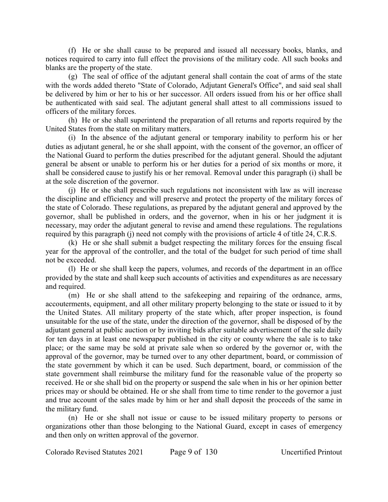(f) He or she shall cause to be prepared and issued all necessary books, blanks, and notices required to carry into full effect the provisions of the military code. All such books and blanks are the property of the state.

(g) The seal of office of the adjutant general shall contain the coat of arms of the state with the words added thereto "State of Colorado, Adjutant General's Office", and said seal shall be delivered by him or her to his or her successor. All orders issued from his or her office shall be authenticated with said seal. The adjutant general shall attest to all commissions issued to officers of the military forces.

(h) He or she shall superintend the preparation of all returns and reports required by the United States from the state on military matters.

(i) In the absence of the adjutant general or temporary inability to perform his or her duties as adjutant general, he or she shall appoint, with the consent of the governor, an officer of the National Guard to perform the duties prescribed for the adjutant general. Should the adjutant general be absent or unable to perform his or her duties for a period of six months or more, it shall be considered cause to justify his or her removal. Removal under this paragraph (i) shall be at the sole discretion of the governor.

(j) He or she shall prescribe such regulations not inconsistent with law as will increase the discipline and efficiency and will preserve and protect the property of the military forces of the state of Colorado. These regulations, as prepared by the adjutant general and approved by the governor, shall be published in orders, and the governor, when in his or her judgment it is necessary, may order the adjutant general to revise and amend these regulations. The regulations required by this paragraph (j) need not comply with the provisions of article 4 of title 24, C.R.S.

(k) He or she shall submit a budget respecting the military forces for the ensuing fiscal year for the approval of the controller, and the total of the budget for such period of time shall not be exceeded.

(l) He or she shall keep the papers, volumes, and records of the department in an office provided by the state and shall keep such accounts of activities and expenditures as are necessary and required.

(m) He or she shall attend to the safekeeping and repairing of the ordnance, arms, accouterments, equipment, and all other military property belonging to the state or issued to it by the United States. All military property of the state which, after proper inspection, is found unsuitable for the use of the state, under the direction of the governor, shall be disposed of by the adjutant general at public auction or by inviting bids after suitable advertisement of the sale daily for ten days in at least one newspaper published in the city or county where the sale is to take place; or the same may be sold at private sale when so ordered by the governor or, with the approval of the governor, may be turned over to any other department, board, or commission of the state government by which it can be used. Such department, board, or commission of the state government shall reimburse the military fund for the reasonable value of the property so received. He or she shall bid on the property or suspend the sale when in his or her opinion better prices may or should be obtained. He or she shall from time to time render to the governor a just and true account of the sales made by him or her and shall deposit the proceeds of the same in the military fund.

(n) He or she shall not issue or cause to be issued military property to persons or organizations other than those belonging to the National Guard, except in cases of emergency and then only on written approval of the governor.

Colorado Revised Statutes 2021 Page 9 of 130 Uncertified Printout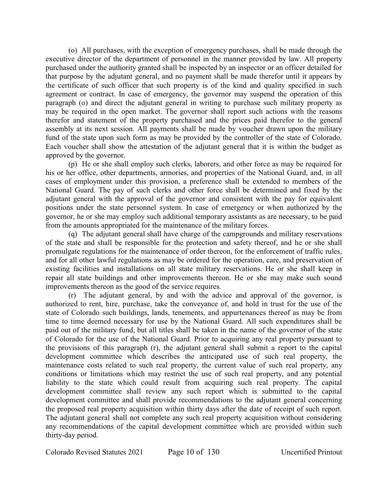(o) All purchases, with the exception of emergency purchases, shall be made through the executive director of the department of personnel in the manner provided by law. All property purchased under the authority granted shall be inspected by an inspector or an officer detailed for that purpose by the adjutant general, and no payment shall be made therefor until it appears by the certificate of such officer that such property is of the kind and quality specified in such agreement or contract. In case of emergency, the governor may suspend the operation of this paragraph (o) and direct the adjutant general in writing to purchase such military property as may be required in the open market. The governor shall report such actions with the reasons therefor and statement of the property purchased and the prices paid therefor to the general assembly at its next session. All payments shall be made by voucher drawn upon the military fund of the state upon such form as may be provided by the controller of the state of Colorado. Each voucher shall show the attestation of the adjutant general that it is within the budget as approved by the governor.

(p) He or she shall employ such clerks, laborers, and other force as may be required for his or her office, other departments, armories, and properties of the National Guard, and, in all cases of employment under this provision, a preference shall be extended to members of the National Guard. The pay of such clerks and other force shall be determined and fixed by the adjutant general with the approval of the governor and consistent with the pay for equivalent positions under the state personnel system. In case of emergency or when authorized by the governor, he or she may employ such additional temporary assistants as are necessary, to be paid from the amounts appropriated for the maintenance of the military forces.

(q) The adjutant general shall have charge of the campgrounds and military reservations of the state and shall be responsible for the protection and safety thereof, and he or she shall promulgate regulations for the maintenance of order thereon, for the enforcement of traffic rules, and for all other lawful regulations as may be ordered for the operation, care, and preservation of existing facilities and installations on all state military reservations. He or she shall keep in repair all state buildings and other improvements thereon. He or she may make such sound improvements thereon as the good of the service requires.

(r) The adjutant general, by and with the advice and approval of the governor, is authorized to rent, hire, purchase, take the conveyance of, and hold in trust for the use of the state of Colorado such buildings, lands, tenements, and appurtenances thereof as may be from time to time deemed necessary for use by the National Guard. All such expenditures shall be paid out of the military fund, but all titles shall be taken in the name of the governor of the state of Colorado for the use of the National Guard. Prior to acquiring any real property pursuant to the provisions of this paragraph (r), the adjutant general shall submit a report to the capital development committee which describes the anticipated use of such real property, the maintenance costs related to such real property, the current value of such real property, any conditions or limitations which may restrict the use of such real property, and any potential liability to the state which could result from acquiring such real property. The capital development committee shall review any such report which is submitted to the capital development committee and shall provide recommendations to the adjutant general concerning the proposed real property acquisition within thirty days after the date of receipt of such report. The adjutant general shall not complete any such real property acquisition without considering any recommendations of the capital development committee which are provided within such thirty-day period.

Colorado Revised Statutes 2021 Page 10 of 130 Uncertified Printout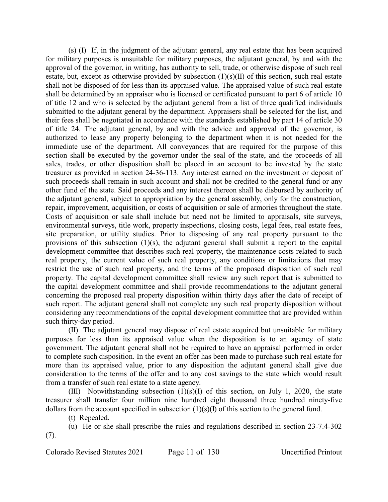(s) (I) If, in the judgment of the adjutant general, any real estate that has been acquired for military purposes is unsuitable for military purposes, the adjutant general, by and with the approval of the governor, in writing, has authority to sell, trade, or otherwise dispose of such real estate, but, except as otherwise provided by subsection (1)(s)(II) of this section, such real estate shall not be disposed of for less than its appraised value. The appraised value of such real estate shall be determined by an appraiser who is licensed or certificated pursuant to part 6 of article 10 of title 12 and who is selected by the adjutant general from a list of three qualified individuals submitted to the adjutant general by the department. Appraisers shall be selected for the list, and their fees shall be negotiated in accordance with the standards established by part 14 of article 30 of title 24. The adjutant general, by and with the advice and approval of the governor, is authorized to lease any property belonging to the department when it is not needed for the immediate use of the department. All conveyances that are required for the purpose of this section shall be executed by the governor under the seal of the state, and the proceeds of all sales, trades, or other disposition shall be placed in an account to be invested by the state treasurer as provided in section 24-36-113. Any interest earned on the investment or deposit of such proceeds shall remain in such account and shall not be credited to the general fund or any other fund of the state. Said proceeds and any interest thereon shall be disbursed by authority of the adjutant general, subject to appropriation by the general assembly, only for the construction, repair, improvement, acquisition, or costs of acquisition or sale of armories throughout the state. Costs of acquisition or sale shall include but need not be limited to appraisals, site surveys, environmental surveys, title work, property inspections, closing costs, legal fees, real estate fees, site preparation, or utility studies. Prior to disposing of any real property pursuant to the provisions of this subsection (1)(s), the adjutant general shall submit a report to the capital development committee that describes such real property, the maintenance costs related to such real property, the current value of such real property, any conditions or limitations that may restrict the use of such real property, and the terms of the proposed disposition of such real property. The capital development committee shall review any such report that is submitted to the capital development committee and shall provide recommendations to the adjutant general concerning the proposed real property disposition within thirty days after the date of receipt of such report. The adjutant general shall not complete any such real property disposition without considering any recommendations of the capital development committee that are provided within such thirty-day period.

(II) The adjutant general may dispose of real estate acquired but unsuitable for military purposes for less than its appraised value when the disposition is to an agency of state government. The adjutant general shall not be required to have an appraisal performed in order to complete such disposition. In the event an offer has been made to purchase such real estate for more than its appraised value, prior to any disposition the adjutant general shall give due consideration to the terms of the offer and to any cost savings to the state which would result from a transfer of such real estate to a state agency.

(III) Notwithstanding subsection (1)(s)(I) of this section, on July 1, 2020, the state treasurer shall transfer four million nine hundred eight thousand three hundred ninety-five dollars from the account specified in subsection (1)(s)(I) of this section to the general fund.

(t) Repealed.

(u) He or she shall prescribe the rules and regulations described in section 23-7.4-302 (7).

Colorado Revised Statutes 2021 Page 11 of 130 Uncertified Printout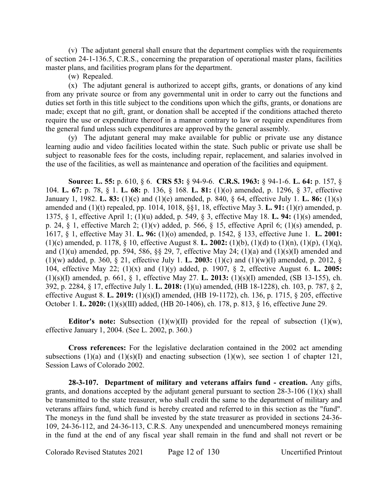(v) The adjutant general shall ensure that the department complies with the requirements of section 24-1-136.5, C.R.S., concerning the preparation of operational master plans, facilities master plans, and facilities program plans for the department.

(w) Repealed.

(x) The adjutant general is authorized to accept gifts, grants, or donations of any kind from any private source or from any governmental unit in order to carry out the functions and duties set forth in this title subject to the conditions upon which the gifts, grants, or donations are made; except that no gift, grant, or donation shall be accepted if the conditions attached thereto require the use or expenditure thereof in a manner contrary to law or require expenditures from the general fund unless such expenditures are approved by the general assembly.

(y) The adjutant general may make available for public or private use any distance learning audio and video facilities located within the state. Such public or private use shall be subject to reasonable fees for the costs, including repair, replacement, and salaries involved in the use of the facilities, as well as maintenance and operation of the facilities and equipment.

**Source: L. 55:** p. 610, § 6. **CRS 53:** § 94-9-6. **C.R.S. 1963:** § 94-1-6. **L. 64:** p. 157, § 104. **L. 67:** p. 78, § 1. **L. 68:** p. 136, § 168. **L. 81:** (1)(o) amended, p. 1296, § 37, effective January 1, 1982. **L. 83:** (1)(c) and (1)(e) amended, p. 840, § 64, effective July 1. **L. 86:** (1)(s) amended and (1)(t) repealed, pp. 1014, 1018, §§1, 18, effective May 3. **L. 91:** (1)(r) amended, p. 1375, § 1, effective April 1; (1)(u) added, p. 549, § 3, effective May 18. **L. 94:** (1)(s) amended, p. 24, § 1, effective March 2; (1)(v) added, p. 566, § 15, effective April 6; (1)(s) amended, p. 1617, § 1, effective May 31. **L. 96:** (1)(o) amended, p. 1542, § 133, effective June 1. **L. 2001:** (1)(c) amended, p. 1178, § 10, effective August 8. **L. 2002:** (1)(b), (1)(d) to (1)(n), (1)(p), (1)(q), and (1)(u) amended, pp. 594, 586, §§ 29, 7, effective May 24; (1)(a) and (1)(s)(I) amended and (1)(w) added, p. 360, § 21, effective July 1. **L. 2003:** (1)(c) and (1)(w)(I) amended, p. 2012, § 104, effective May 22; (1)(x) and (1)(y) added, p. 1907, § 2, effective August 6. **L. 2005:** (1)(s)(I) amended, p. 661, § 1, effective May 27. **L. 2013:** (1)(s)(I) amended, (SB 13-155), ch. 392, p. 2284, § 17, effective July 1. **L. 2018:** (1)(u) amended, (HB 18-1228), ch. 103, p. 787, § 2, effective August 8. **L. 2019:** (1)(s)(I) amended, (HB 19-1172), ch. 136, p. 1715, § 205, effective October 1. **L. 2020:** (1)(s)(III) added, (HB 20-1406), ch. 178, p. 813, § 16, effective June 29.

**Editor's note:** Subsection  $(1)(w)(II)$  provided for the repeal of subsection  $(1)(w)$ , effective January 1, 2004. (See L. 2002, p. 360.)

**Cross references:** For the legislative declaration contained in the 2002 act amending subsections (1)(a) and (1)(s)(I) and enacting subsection (1)(w), see section 1 of chapter 121, Session Laws of Colorado 2002.

**28-3-107. Department of military and veterans affairs fund - creation.** Any gifts, grants, and donations accepted by the adjutant general pursuant to section  $28-3-106$  (1)(x) shall be transmitted to the state treasurer, who shall credit the same to the department of military and veterans affairs fund, which fund is hereby created and referred to in this section as the "fund". The moneys in the fund shall be invested by the state treasurer as provided in sections 24-36- 109, 24-36-112, and 24-36-113, C.R.S. Any unexpended and unencumbered moneys remaining in the fund at the end of any fiscal year shall remain in the fund and shall not revert or be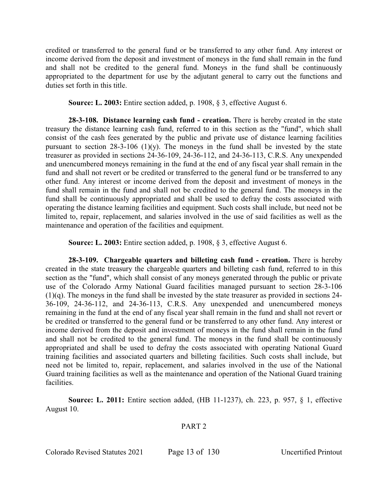credited or transferred to the general fund or be transferred to any other fund. Any interest or income derived from the deposit and investment of moneys in the fund shall remain in the fund and shall not be credited to the general fund. Moneys in the fund shall be continuously appropriated to the department for use by the adjutant general to carry out the functions and duties set forth in this title.

**Source: L. 2003:** Entire section added, p. 1908, § 3, effective August 6.

**28-3-108. Distance learning cash fund - creation.** There is hereby created in the state treasury the distance learning cash fund, referred to in this section as the "fund", which shall consist of the cash fees generated by the public and private use of distance learning facilities pursuant to section  $28-3-106$  (1)(y). The moneys in the fund shall be invested by the state treasurer as provided in sections 24-36-109, 24-36-112, and 24-36-113, C.R.S. Any unexpended and unencumbered moneys remaining in the fund at the end of any fiscal year shall remain in the fund and shall not revert or be credited or transferred to the general fund or be transferred to any other fund. Any interest or income derived from the deposit and investment of moneys in the fund shall remain in the fund and shall not be credited to the general fund. The moneys in the fund shall be continuously appropriated and shall be used to defray the costs associated with operating the distance learning facilities and equipment. Such costs shall include, but need not be limited to, repair, replacement, and salaries involved in the use of said facilities as well as the maintenance and operation of the facilities and equipment.

**Source: L. 2003:** Entire section added, p. 1908, § 3, effective August 6.

**28-3-109. Chargeable quarters and billeting cash fund - creation.** There is hereby created in the state treasury the chargeable quarters and billeting cash fund, referred to in this section as the "fund", which shall consist of any moneys generated through the public or private use of the Colorado Army National Guard facilities managed pursuant to section 28-3-106 (1)(q). The moneys in the fund shall be invested by the state treasurer as provided in sections 24- 36-109, 24-36-112, and 24-36-113, C.R.S. Any unexpended and unencumbered moneys remaining in the fund at the end of any fiscal year shall remain in the fund and shall not revert or be credited or transferred to the general fund or be transferred to any other fund. Any interest or income derived from the deposit and investment of moneys in the fund shall remain in the fund and shall not be credited to the general fund. The moneys in the fund shall be continuously appropriated and shall be used to defray the costs associated with operating National Guard training facilities and associated quarters and billeting facilities. Such costs shall include, but need not be limited to, repair, replacement, and salaries involved in the use of the National Guard training facilities as well as the maintenance and operation of the National Guard training facilities.

**Source: L. 2011:** Entire section added, (HB 11-1237), ch. 223, p. 957, § 1, effective August 10.

## PART 2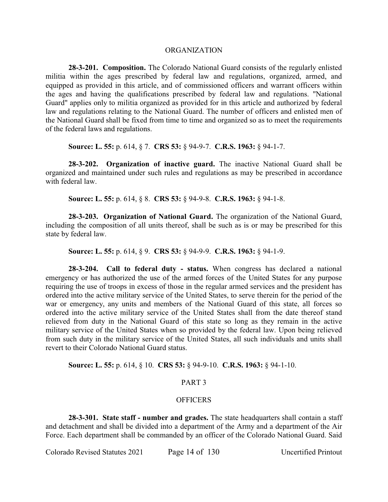#### ORGANIZATION

**28-3-201. Composition.** The Colorado National Guard consists of the regularly enlisted militia within the ages prescribed by federal law and regulations, organized, armed, and equipped as provided in this article, and of commissioned officers and warrant officers within the ages and having the qualifications prescribed by federal law and regulations. "National Guard" applies only to militia organized as provided for in this article and authorized by federal law and regulations relating to the National Guard. The number of officers and enlisted men of the National Guard shall be fixed from time to time and organized so as to meet the requirements of the federal laws and regulations.

**Source: L. 55:** p. 614, § 7. **CRS 53:** § 94-9-7. **C.R.S. 1963:** § 94-1-7.

**28-3-202. Organization of inactive guard.** The inactive National Guard shall be organized and maintained under such rules and regulations as may be prescribed in accordance with federal law.

**Source: L. 55:** p. 614, § 8. **CRS 53:** § 94-9-8. **C.R.S. 1963:** § 94-1-8.

**28-3-203. Organization of National Guard.** The organization of the National Guard, including the composition of all units thereof, shall be such as is or may be prescribed for this state by federal law.

**Source: L. 55:** p. 614, § 9. **CRS 53:** § 94-9-9. **C.R.S. 1963:** § 94-1-9.

**28-3-204. Call to federal duty - status.** When congress has declared a national emergency or has authorized the use of the armed forces of the United States for any purpose requiring the use of troops in excess of those in the regular armed services and the president has ordered into the active military service of the United States, to serve therein for the period of the war or emergency, any units and members of the National Guard of this state, all forces so ordered into the active military service of the United States shall from the date thereof stand relieved from duty in the National Guard of this state so long as they remain in the active military service of the United States when so provided by the federal law. Upon being relieved from such duty in the military service of the United States, all such individuals and units shall revert to their Colorado National Guard status.

**Source: L. 55:** p. 614, § 10. **CRS 53:** § 94-9-10. **C.R.S. 1963:** § 94-1-10.

## PART 3

#### **OFFICERS**

**28-3-301. State staff - number and grades.** The state headquarters shall contain a staff and detachment and shall be divided into a department of the Army and a department of the Air Force. Each department shall be commanded by an officer of the Colorado National Guard. Said

Colorado Revised Statutes 2021 Page 14 of 130 Uncertified Printout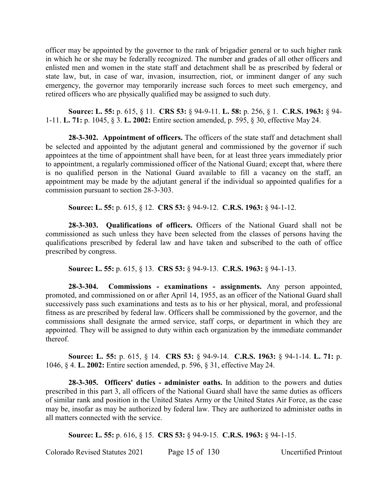officer may be appointed by the governor to the rank of brigadier general or to such higher rank in which he or she may be federally recognized. The number and grades of all other officers and enlisted men and women in the state staff and detachment shall be as prescribed by federal or state law, but, in case of war, invasion, insurrection, riot, or imminent danger of any such emergency, the governor may temporarily increase such forces to meet such emergency, and retired officers who are physically qualified may be assigned to such duty.

**Source: L. 55:** p. 615, § 11. **CRS 53:** § 94-9-11. **L. 58:** p. 256, § 1. **C.R.S. 1963:** § 94- 1-11. **L. 71:** p. 1045, § 3. **L. 2002:** Entire section amended, p. 595, § 30, effective May 24.

**28-3-302. Appointment of officers.** The officers of the state staff and detachment shall be selected and appointed by the adjutant general and commissioned by the governor if such appointees at the time of appointment shall have been, for at least three years immediately prior to appointment, a regularly commissioned officer of the National Guard; except that, where there is no qualified person in the National Guard available to fill a vacancy on the staff, an appointment may be made by the adjutant general if the individual so appointed qualifies for a commission pursuant to section 28-3-303.

**Source: L. 55:** p. 615, § 12. **CRS 53:** § 94-9-12. **C.R.S. 1963:** § 94-1-12.

**28-3-303. Qualifications of officers.** Officers of the National Guard shall not be commissioned as such unless they have been selected from the classes of persons having the qualifications prescribed by federal law and have taken and subscribed to the oath of office prescribed by congress.

**Source: L. 55:** p. 615, § 13. **CRS 53:** § 94-9-13. **C.R.S. 1963:** § 94-1-13.

**28-3-304. Commissions - examinations - assignments.** Any person appointed, promoted, and commissioned on or after April 14, 1955, as an officer of the National Guard shall successively pass such examinations and tests as to his or her physical, moral, and professional fitness as are prescribed by federal law. Officers shall be commissioned by the governor, and the commissions shall designate the armed service, staff corps, or department in which they are appointed. They will be assigned to duty within each organization by the immediate commander thereof.

**Source: L. 55:** p. 615, § 14. **CRS 53:** § 94-9-14. **C.R.S. 1963:** § 94-1-14. **L. 71:** p. 1046, § 4. **L. 2002:** Entire section amended, p. 596, § 31, effective May 24.

**28-3-305. Officers' duties - administer oaths.** In addition to the powers and duties prescribed in this part 3, all officers of the National Guard shall have the same duties as officers of similar rank and position in the United States Army or the United States Air Force, as the case may be, insofar as may be authorized by federal law. They are authorized to administer oaths in all matters connected with the service.

**Source: L. 55:** p. 616, § 15. **CRS 53:** § 94-9-15. **C.R.S. 1963:** § 94-1-15.

Colorado Revised Statutes 2021 Page 15 of 130 Uncertified Printout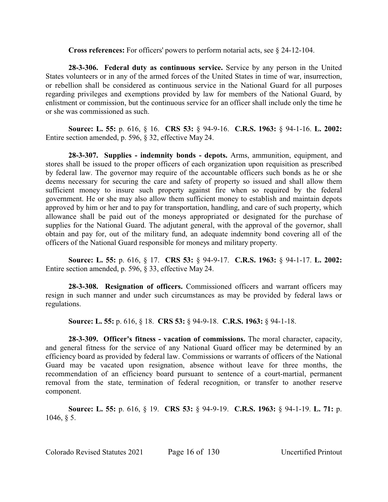**Cross references:** For officers' powers to perform notarial acts, see § 24-12-104.

**28-3-306. Federal duty as continuous service.** Service by any person in the United States volunteers or in any of the armed forces of the United States in time of war, insurrection, or rebellion shall be considered as continuous service in the National Guard for all purposes regarding privileges and exemptions provided by law for members of the National Guard, by enlistment or commission, but the continuous service for an officer shall include only the time he or she was commissioned as such.

**Source: L. 55:** p. 616, § 16. **CRS 53:** § 94-9-16. **C.R.S. 1963:** § 94-1-16. **L. 2002:** Entire section amended, p. 596, § 32, effective May 24.

**28-3-307. Supplies - indemnity bonds - depots.** Arms, ammunition, equipment, and stores shall be issued to the proper officers of each organization upon requisition as prescribed by federal law. The governor may require of the accountable officers such bonds as he or she deems necessary for securing the care and safety of property so issued and shall allow them sufficient money to insure such property against fire when so required by the federal government. He or she may also allow them sufficient money to establish and maintain depots approved by him or her and to pay for transportation, handling, and care of such property, which allowance shall be paid out of the moneys appropriated or designated for the purchase of supplies for the National Guard. The adjutant general, with the approval of the governor, shall obtain and pay for, out of the military fund, an adequate indemnity bond covering all of the officers of the National Guard responsible for moneys and military property.

**Source: L. 55:** p. 616, § 17. **CRS 53:** § 94-9-17. **C.R.S. 1963:** § 94-1-17. **L. 2002:** Entire section amended, p. 596, § 33, effective May 24.

**28-3-308. Resignation of officers.** Commissioned officers and warrant officers may resign in such manner and under such circumstances as may be provided by federal laws or regulations.

**Source: L. 55:** p. 616, § 18. **CRS 53:** § 94-9-18. **C.R.S. 1963:** § 94-1-18.

**28-3-309. Officer's fitness - vacation of commissions.** The moral character, capacity, and general fitness for the service of any National Guard officer may be determined by an efficiency board as provided by federal law. Commissions or warrants of officers of the National Guard may be vacated upon resignation, absence without leave for three months, the recommendation of an efficiency board pursuant to sentence of a court-martial, permanent removal from the state, termination of federal recognition, or transfer to another reserve component.

**Source: L. 55:** p. 616, § 19. **CRS 53:** § 94-9-19. **C.R.S. 1963:** § 94-1-19. **L. 71:** p. 1046, § 5.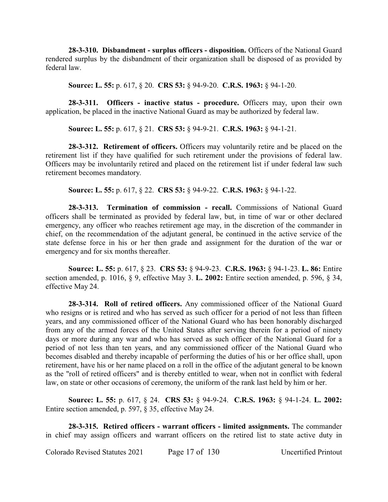**28-3-310. Disbandment - surplus officers - disposition.** Officers of the National Guard rendered surplus by the disbandment of their organization shall be disposed of as provided by federal law.

**Source: L. 55:** p. 617, § 20. **CRS 53:** § 94-9-20. **C.R.S. 1963:** § 94-1-20.

**28-3-311. Officers - inactive status - procedure.** Officers may, upon their own application, be placed in the inactive National Guard as may be authorized by federal law.

**Source: L. 55:** p. 617, § 21. **CRS 53:** § 94-9-21. **C.R.S. 1963:** § 94-1-21.

**28-3-312. Retirement of officers.** Officers may voluntarily retire and be placed on the retirement list if they have qualified for such retirement under the provisions of federal law. Officers may be involuntarily retired and placed on the retirement list if under federal law such retirement becomes mandatory.

**Source: L. 55:** p. 617, § 22. **CRS 53:** § 94-9-22. **C.R.S. 1963:** § 94-1-22.

**28-3-313. Termination of commission - recall.** Commissions of National Guard officers shall be terminated as provided by federal law, but, in time of war or other declared emergency, any officer who reaches retirement age may, in the discretion of the commander in chief, on the recommendation of the adjutant general, be continued in the active service of the state defense force in his or her then grade and assignment for the duration of the war or emergency and for six months thereafter.

**Source: L. 55:** p. 617, § 23. **CRS 53:** § 94-9-23. **C.R.S. 1963:** § 94-1-23. **L. 86:** Entire section amended, p. 1016, § 9, effective May 3. **L. 2002:** Entire section amended, p. 596, § 34, effective May 24.

**28-3-314. Roll of retired officers.** Any commissioned officer of the National Guard who resigns or is retired and who has served as such officer for a period of not less than fifteen years, and any commissioned officer of the National Guard who has been honorably discharged from any of the armed forces of the United States after serving therein for a period of ninety days or more during any war and who has served as such officer of the National Guard for a period of not less than ten years, and any commissioned officer of the National Guard who becomes disabled and thereby incapable of performing the duties of his or her office shall, upon retirement, have his or her name placed on a roll in the office of the adjutant general to be known as the "roll of retired officers" and is thereby entitled to wear, when not in conflict with federal law, on state or other occasions of ceremony, the uniform of the rank last held by him or her.

**Source: L. 55:** p. 617, § 24. **CRS 53:** § 94-9-24. **C.R.S. 1963:** § 94-1-24. **L. 2002:** Entire section amended, p. 597, § 35, effective May 24.

**28-3-315. Retired officers - warrant officers - limited assignments.** The commander in chief may assign officers and warrant officers on the retired list to state active duty in

Colorado Revised Statutes 2021 Page 17 of 130 Uncertified Printout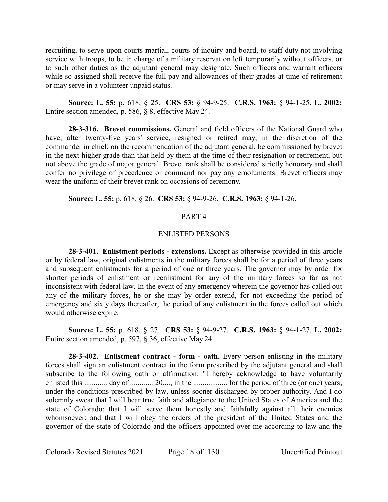recruiting, to serve upon courts-martial, courts of inquiry and board, to staff duty not involving service with troops, to be in charge of a military reservation left temporarily without officers, or to such other duties as the adjutant general may designate. Such officers and warrant officers while so assigned shall receive the full pay and allowances of their grades at time of retirement or may serve in a volunteer unpaid status.

**Source: L. 55:** p. 618, § 25. **CRS 53:** § 94-9-25. **C.R.S. 1963:** § 94-1-25. **L. 2002:** Entire section amended, p. 586, § 8, effective May 24.

**28-3-316. Brevet commissions.** General and field officers of the National Guard who have, after twenty-five years' service, resigned or retired may, in the discretion of the commander in chief, on the recommendation of the adjutant general, be commissioned by brevet in the next higher grade than that held by them at the time of their resignation or retirement, but not above the grade of major general. Brevet rank shall be considered strictly honorary and shall confer no privilege of precedence or command nor pay any emoluments. Brevet officers may wear the uniform of their brevet rank on occasions of ceremony.

**Source: L. 55:** p. 618, § 26. **CRS 53:** § 94-9-26. **C.R.S. 1963:** § 94-1-26.

## PART 4

## ENLISTED PERSONS

**28-3-401. Enlistment periods - extensions.** Except as otherwise provided in this article or by federal law, original enlistments in the military forces shall be for a period of three years and subsequent enlistments for a period of one or three years. The governor may by order fix shorter periods of enlistment or reenlistment for any of the military forces so far as not inconsistent with federal law. In the event of any emergency wherein the governor has called out any of the military forces, he or she may by order extend, for not exceeding the period of emergency and sixty days thereafter, the period of any enlistment in the forces called out which would otherwise expire.

**Source: L. 55:** p. 618, § 27. **CRS 53:** § 94-9-27. **C.R.S. 1963:** § 94-1-27. **L. 2002:** Entire section amended, p. 597, § 36, effective May 24.

**28-3-402. Enlistment contract - form - oath.** Every person enlisting in the military forces shall sign an enlistment contract in the form prescribed by the adjutant general and shall subscribe to the following oath or affirmation: "I hereby acknowledge to have voluntarily enlisted this ............. day of ............. 20...., in the ........................ for the period of three (or one) years, under the conditions prescribed by law, unless sooner discharged by proper authority. And I do solemnly swear that I will bear true faith and allegiance to the United States of America and the state of Colorado; that I will serve them honestly and faithfully against all their enemies whomsoever; and that I will obey the orders of the president of the United States and the governor of the state of Colorado and the officers appointed over me according to law and the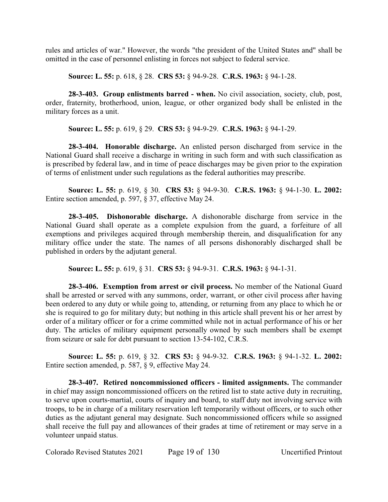rules and articles of war." However, the words "the president of the United States and" shall be omitted in the case of personnel enlisting in forces not subject to federal service.

**Source: L. 55:** p. 618, § 28. **CRS 53:** § 94-9-28. **C.R.S. 1963:** § 94-1-28.

**28-3-403. Group enlistments barred - when.** No civil association, society, club, post, order, fraternity, brotherhood, union, league, or other organized body shall be enlisted in the military forces as a unit.

**Source: L. 55:** p. 619, § 29. **CRS 53:** § 94-9-29. **C.R.S. 1963:** § 94-1-29.

**28-3-404. Honorable discharge.** An enlisted person discharged from service in the National Guard shall receive a discharge in writing in such form and with such classification as is prescribed by federal law, and in time of peace discharges may be given prior to the expiration of terms of enlistment under such regulations as the federal authorities may prescribe.

**Source: L. 55:** p. 619, § 30. **CRS 53:** § 94-9-30. **C.R.S. 1963:** § 94-1-30. **L. 2002:** Entire section amended, p. 597, § 37, effective May 24.

**28-3-405. Dishonorable discharge.** A dishonorable discharge from service in the National Guard shall operate as a complete expulsion from the guard, a forfeiture of all exemptions and privileges acquired through membership therein, and disqualification for any military office under the state. The names of all persons dishonorably discharged shall be published in orders by the adjutant general.

**Source: L. 55:** p. 619, § 31. **CRS 53:** § 94-9-31. **C.R.S. 1963:** § 94-1-31.

**28-3-406. Exemption from arrest or civil process.** No member of the National Guard shall be arrested or served with any summons, order, warrant, or other civil process after having been ordered to any duty or while going to, attending, or returning from any place to which he or she is required to go for military duty; but nothing in this article shall prevent his or her arrest by order of a military officer or for a crime committed while not in actual performance of his or her duty. The articles of military equipment personally owned by such members shall be exempt from seizure or sale for debt pursuant to section 13-54-102, C.R.S.

**Source: L. 55:** p. 619, § 32. **CRS 53:** § 94-9-32. **C.R.S. 1963:** § 94-1-32. **L. 2002:** Entire section amended, p. 587, § 9, effective May 24.

**28-3-407. Retired noncommissioned officers - limited assignments.** The commander in chief may assign noncommissioned officers on the retired list to state active duty in recruiting, to serve upon courts-martial, courts of inquiry and board, to staff duty not involving service with troops, to be in charge of a military reservation left temporarily without officers, or to such other duties as the adjutant general may designate. Such noncommissioned officers while so assigned shall receive the full pay and allowances of their grades at time of retirement or may serve in a volunteer unpaid status.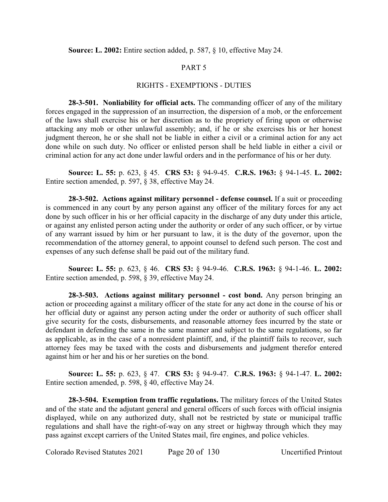**Source: L. 2002:** Entire section added, p. 587, § 10, effective May 24.

# PART 5

## RIGHTS - EXEMPTIONS - DUTIES

**28-3-501. Nonliability for official acts.** The commanding officer of any of the military forces engaged in the suppression of an insurrection, the dispersion of a mob, or the enforcement of the laws shall exercise his or her discretion as to the propriety of firing upon or otherwise attacking any mob or other unlawful assembly; and, if he or she exercises his or her honest judgment thereon, he or she shall not be liable in either a civil or a criminal action for any act done while on such duty. No officer or enlisted person shall be held liable in either a civil or criminal action for any act done under lawful orders and in the performance of his or her duty.

**Source: L. 55:** p. 623, § 45. **CRS 53:** § 94-9-45. **C.R.S. 1963:** § 94-1-45. **L. 2002:** Entire section amended, p. 597, § 38, effective May 24.

**28-3-502. Actions against military personnel - defense counsel.** If a suit or proceeding is commenced in any court by any person against any officer of the military forces for any act done by such officer in his or her official capacity in the discharge of any duty under this article, or against any enlisted person acting under the authority or order of any such officer, or by virtue of any warrant issued by him or her pursuant to law, it is the duty of the governor, upon the recommendation of the attorney general, to appoint counsel to defend such person. The cost and expenses of any such defense shall be paid out of the military fund.

**Source: L. 55:** p. 623, § 46. **CRS 53:** § 94-9-46. **C.R.S. 1963:** § 94-1-46. **L. 2002:** Entire section amended, p. 598, § 39, effective May 24.

**28-3-503. Actions against military personnel - cost bond.** Any person bringing an action or proceeding against a military officer of the state for any act done in the course of his or her official duty or against any person acting under the order or authority of such officer shall give security for the costs, disbursements, and reasonable attorney fees incurred by the state or defendant in defending the same in the same manner and subject to the same regulations, so far as applicable, as in the case of a nonresident plaintiff, and, if the plaintiff fails to recover, such attorney fees may be taxed with the costs and disbursements and judgment therefor entered against him or her and his or her sureties on the bond.

**Source: L. 55:** p. 623, § 47. **CRS 53:** § 94-9-47. **C.R.S. 1963:** § 94-1-47. **L. 2002:** Entire section amended, p. 598, § 40, effective May 24.

**28-3-504. Exemption from traffic regulations.** The military forces of the United States and of the state and the adjutant general and general officers of such forces with official insignia displayed, while on any authorized duty, shall not be restricted by state or municipal traffic regulations and shall have the right-of-way on any street or highway through which they may pass against except carriers of the United States mail, fire engines, and police vehicles.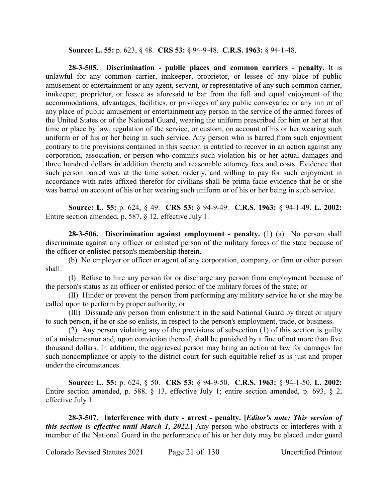**Source: L. 55:** p. 623, § 48. **CRS 53:** § 94-9-48. **C.R.S. 1963:** § 94-1-48.

**28-3-505. Discrimination - public places and common carriers - penalty.** It is unlawful for any common carrier, innkeeper, proprietor, or lessee of any place of public amusement or entertainment or any agent, servant, or representative of any such common carrier, innkeeper, proprietor, or lessee as aforesaid to bar from the full and equal enjoyment of the accommodations, advantages, facilities, or privileges of any public conveyance or any inn or of any place of public amusement or entertainment any person in the service of the armed forces of the United States or of the National Guard, wearing the uniform prescribed for him or her at that time or place by law, regulation of the service, or custom, on account of his or her wearing such uniform or of his or her being in such service. Any person who is barred from such enjoyment contrary to the provisions contained in this section is entitled to recover in an action against any corporation, association, or person who commits such violation his or her actual damages and three hundred dollars in addition thereto and reasonable attorney fees and costs. Evidence that such person barred was at the time sober, orderly, and willing to pay for such enjoyment in accordance with rates affixed therefor for civilians shall be prima facie evidence that he or she was barred on account of his or her wearing such uniform or of his or her being in such service.

**Source: L. 55:** p. 624, § 49. **CRS 53:** § 94-9-49. **C.R.S. 1963:** § 94-1-49. **L. 2002:** Entire section amended, p. 587, § 12, effective July 1.

**28-3-506. Discrimination against employment - penalty.** (1) (a) No person shall discriminate against any officer or enlisted person of the military forces of the state because of the officer or enlisted person's membership therein.

(b) No employer or officer or agent of any corporation, company, or firm or other person shall:

(I) Refuse to hire any person for or discharge any person from employment because of the person's status as an officer or enlisted person of the military forces of the state; or

(II) Hinder or prevent the person from performing any military service he or she may be called upon to perform by proper authority; or

(III) Dissuade any person from enlistment in the said National Guard by threat or injury to such person, if he or she so enlists, in respect to the person's employment, trade, or business.

(2) Any person violating any of the provisions of subsection (1) of this section is guilty of a misdemeanor and, upon conviction thereof, shall be punished by a fine of not more than five thousand dollars. In addition, the aggrieved person may bring an action at law for damages for such noncompliance or apply to the district court for such equitable relief as is just and proper under the circumstances.

**Source: L. 55:** p. 624, § 50. **CRS 53:** § 94-9-50. **C.R.S. 1963:** § 94-1-50. **L. 2002:** Entire section amended, p. 588, § 13, effective July 1; entire section amended, p. 693, § 2, effective July 1.

**28-3-507. Interference with duty - arrest - penalty. [***Editor's note: This version of this section is effective until March 1, 2022.***]** Any person who obstructs or interferes with a member of the National Guard in the performance of his or her duty may be placed under guard

Colorado Revised Statutes 2021 Page 21 of 130 Uncertified Printout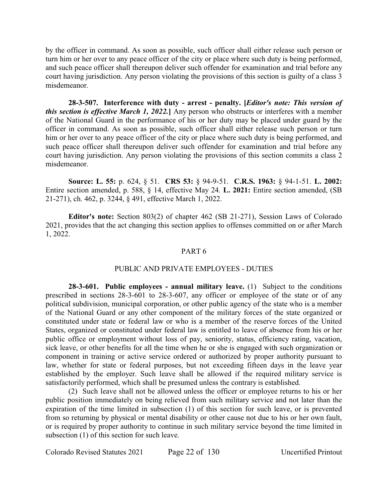by the officer in command. As soon as possible, such officer shall either release such person or turn him or her over to any peace officer of the city or place where such duty is being performed, and such peace officer shall thereupon deliver such offender for examination and trial before any court having jurisdiction. Any person violating the provisions of this section is guilty of a class 3 misdemeanor.

**28-3-507. Interference with duty - arrest - penalty. [***Editor's note: This version of this section is effective March 1, 2022.***]** Any person who obstructs or interferes with a member of the National Guard in the performance of his or her duty may be placed under guard by the officer in command. As soon as possible, such officer shall either release such person or turn him or her over to any peace officer of the city or place where such duty is being performed, and such peace officer shall thereupon deliver such offender for examination and trial before any court having jurisdiction. Any person violating the provisions of this section commits a class 2 misdemeanor.

**Source: L. 55:** p. 624, § 51. **CRS 53:** § 94-9-51. **C.R.S. 1963:** § 94-1-51. **L. 2002:** Entire section amended, p. 588, § 14, effective May 24. **L. 2021:** Entire section amended, (SB 21-271), ch. 462, p. 3244, § 491, effective March 1, 2022.

**Editor's note:** Section 803(2) of chapter 462 (SB 21-271), Session Laws of Colorado 2021, provides that the act changing this section applies to offenses committed on or after March 1, 2022.

#### PART 6

## PUBLIC AND PRIVATE EMPLOYEES - DUTIES

**28-3-601. Public employees - annual military leave.** (1) Subject to the conditions prescribed in sections 28-3-601 to 28-3-607, any officer or employee of the state or of any political subdivision, municipal corporation, or other public agency of the state who is a member of the National Guard or any other component of the military forces of the state organized or constituted under state or federal law or who is a member of the reserve forces of the United States, organized or constituted under federal law is entitled to leave of absence from his or her public office or employment without loss of pay, seniority, status, efficiency rating, vacation, sick leave, or other benefits for all the time when he or she is engaged with such organization or component in training or active service ordered or authorized by proper authority pursuant to law, whether for state or federal purposes, but not exceeding fifteen days in the leave year established by the employer. Such leave shall be allowed if the required military service is satisfactorily performed, which shall be presumed unless the contrary is established.

(2) Such leave shall not be allowed unless the officer or employee returns to his or her public position immediately on being relieved from such military service and not later than the expiration of the time limited in subsection (1) of this section for such leave, or is prevented from so returning by physical or mental disability or other cause not due to his or her own fault, or is required by proper authority to continue in such military service beyond the time limited in subsection (1) of this section for such leave.

Colorado Revised Statutes 2021 Page 22 of 130 Uncertified Printout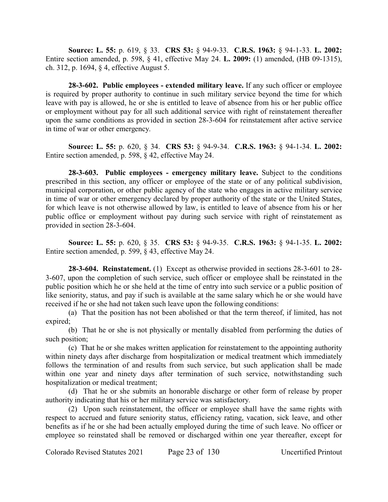**Source: L. 55:** p. 619, § 33. **CRS 53:** § 94-9-33. **C.R.S. 1963:** § 94-1-33. **L. 2002:** Entire section amended, p. 598, § 41, effective May 24. **L. 2009:** (1) amended, (HB 09-1315), ch. 312, p. 1694, § 4, effective August 5.

**28-3-602. Public employees - extended military leave.** If any such officer or employee is required by proper authority to continue in such military service beyond the time for which leave with pay is allowed, he or she is entitled to leave of absence from his or her public office or employment without pay for all such additional service with right of reinstatement thereafter upon the same conditions as provided in section 28-3-604 for reinstatement after active service in time of war or other emergency.

**Source: L. 55:** p. 620, § 34. **CRS 53:** § 94-9-34. **C.R.S. 1963:** § 94-1-34. **L. 2002:** Entire section amended, p. 598, § 42, effective May 24.

**28-3-603. Public employees - emergency military leave.** Subject to the conditions prescribed in this section, any officer or employee of the state or of any political subdivision, municipal corporation, or other public agency of the state who engages in active military service in time of war or other emergency declared by proper authority of the state or the United States, for which leave is not otherwise allowed by law, is entitled to leave of absence from his or her public office or employment without pay during such service with right of reinstatement as provided in section 28-3-604.

**Source: L. 55:** p. 620, § 35. **CRS 53:** § 94-9-35. **C.R.S. 1963:** § 94-1-35. **L. 2002:** Entire section amended, p. 599, § 43, effective May 24.

**28-3-604. Reinstatement.** (1) Except as otherwise provided in sections 28-3-601 to 28- 3-607, upon the completion of such service, such officer or employee shall be reinstated in the public position which he or she held at the time of entry into such service or a public position of like seniority, status, and pay if such is available at the same salary which he or she would have received if he or she had not taken such leave upon the following conditions:

(a) That the position has not been abolished or that the term thereof, if limited, has not expired;

(b) That he or she is not physically or mentally disabled from performing the duties of such position;

(c) That he or she makes written application for reinstatement to the appointing authority within ninety days after discharge from hospitalization or medical treatment which immediately follows the termination of and results from such service, but such application shall be made within one year and ninety days after termination of such service, notwithstanding such hospitalization or medical treatment;

(d) That he or she submits an honorable discharge or other form of release by proper authority indicating that his or her military service was satisfactory.

(2) Upon such reinstatement, the officer or employee shall have the same rights with respect to accrued and future seniority status, efficiency rating, vacation, sick leave, and other benefits as if he or she had been actually employed during the time of such leave. No officer or employee so reinstated shall be removed or discharged within one year thereafter, except for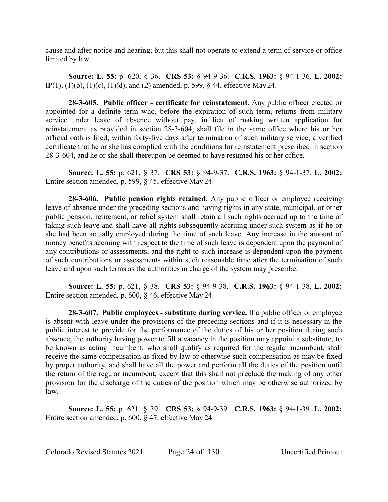cause and after notice and hearing; but this shall not operate to extend a term of service or office limited by law.

**Source: L. 55:** p. 620, § 36. **CRS 53:** § 94-9-36. **C.R.S. 1963:** § 94-1-36. **L. 2002:** IP(1), (1)(b), (1)(c), (1)(d), and (2) amended, p. 599, § 44, effective May 24.

**28-3-605. Public officer - certificate for reinstatement.** Any public officer elected or appointed for a definite term who, before the expiration of such term, returns from military service under leave of absence without pay, in lieu of making written application for reinstatement as provided in section 28-3-604, shall file in the same office where his or her official oath is filed, within forty-five days after termination of such military service, a verified certificate that he or she has complied with the conditions for reinstatement prescribed in section 28-3-604, and he or she shall thereupon be deemed to have resumed his or her office.

**Source: L. 55:** p. 621, § 37. **CRS 53:** § 94-9-37. **C.R.S. 1963:** § 94-1-37. **L. 2002:** Entire section amended, p. 599, § 45, effective May 24.

**28-3-606. Public pension rights retained.** Any public officer or employee receiving leave of absence under the preceding sections and having rights in any state, municipal, or other public pension, retirement, or relief system shall retain all such rights accrued up to the time of taking such leave and shall have all rights subsequently accruing under such system as if he or she had been actually employed during the time of such leave. Any increase in the amount of money benefits accruing with respect to the time of such leave is dependent upon the payment of any contributions or assessments, and the right to such increase is dependent upon the payment of such contributions or assessments within such reasonable time after the termination of such leave and upon such terms as the authorities in charge of the system may prescribe.

**Source: L. 55:** p. 621, § 38. **CRS 53:** § 94-9-38. **C.R.S. 1963:** § 94-1-38. **L. 2002:** Entire section amended, p. 600, § 46, effective May 24.

**28-3-607. Public employees - substitute during service.** If a public officer or employee is absent with leave under the provisions of the preceding sections and if it is necessary in the public interest to provide for the performance of the duties of his or her position during such absence, the authority having power to fill a vacancy in the position may appoint a substitute, to be known as acting incumbent, who shall qualify as required for the regular incumbent, shall receive the same compensation as fixed by law or otherwise such compensation as may be fixed by proper authority, and shall have all the power and perform all the duties of the position until the return of the regular incumbent; except that this shall not preclude the making of any other provision for the discharge of the duties of the position which may be otherwise authorized by law.

**Source: L. 55:** p. 621, § 39. **CRS 53:** § 94-9-39. **C.R.S. 1963:** § 94-1-39. **L. 2002:** Entire section amended, p. 600, § 47, effective May 24.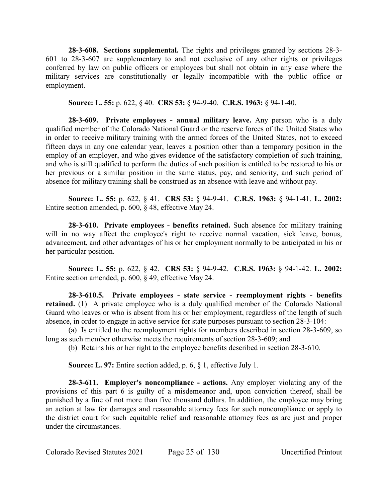**28-3-608. Sections supplemental.** The rights and privileges granted by sections 28-3- 601 to 28-3-607 are supplementary to and not exclusive of any other rights or privileges conferred by law on public officers or employees but shall not obtain in any case where the military services are constitutionally or legally incompatible with the public office or employment.

**Source: L. 55:** p. 622, § 40. **CRS 53:** § 94-9-40. **C.R.S. 1963:** § 94-1-40.

**28-3-609. Private employees - annual military leave.** Any person who is a duly qualified member of the Colorado National Guard or the reserve forces of the United States who in order to receive military training with the armed forces of the United States, not to exceed fifteen days in any one calendar year, leaves a position other than a temporary position in the employ of an employer, and who gives evidence of the satisfactory completion of such training, and who is still qualified to perform the duties of such position is entitled to be restored to his or her previous or a similar position in the same status, pay, and seniority, and such period of absence for military training shall be construed as an absence with leave and without pay.

**Source: L. 55:** p. 622, § 41. **CRS 53:** § 94-9-41. **C.R.S. 1963:** § 94-1-41. **L. 2002:** Entire section amended, p. 600, § 48, effective May 24.

**28-3-610. Private employees - benefits retained.** Such absence for military training will in no way affect the employee's right to receive normal vacation, sick leave, bonus, advancement, and other advantages of his or her employment normally to be anticipated in his or her particular position.

**Source: L. 55:** p. 622, § 42. **CRS 53:** § 94-9-42. **C.R.S. 1963:** § 94-1-42. **L. 2002:** Entire section amended, p. 600, § 49, effective May 24.

**28-3-610.5. Private employees - state service - reemployment rights - benefits retained.** (1) A private employee who is a duly qualified member of the Colorado National Guard who leaves or who is absent from his or her employment, regardless of the length of such absence, in order to engage in active service for state purposes pursuant to section 28-3-104:

(a) Is entitled to the reemployment rights for members described in section 28-3-609, so long as such member otherwise meets the requirements of section 28-3-609; and

(b) Retains his or her right to the employee benefits described in section 28-3-610.

**Source: L. 97:** Entire section added, p. 6, § 1, effective July 1.

**28-3-611. Employer's noncompliance - actions.** Any employer violating any of the provisions of this part 6 is guilty of a misdemeanor and, upon conviction thereof, shall be punished by a fine of not more than five thousand dollars. In addition, the employee may bring an action at law for damages and reasonable attorney fees for such noncompliance or apply to the district court for such equitable relief and reasonable attorney fees as are just and proper under the circumstances.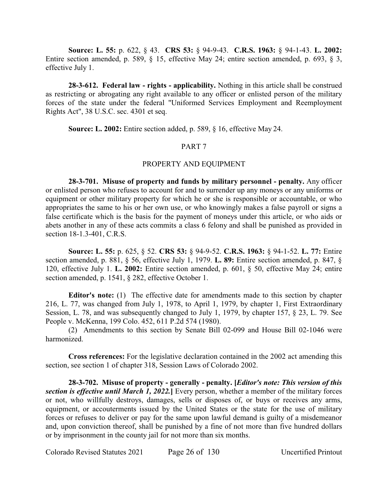**Source: L. 55:** p. 622, § 43. **CRS 53:** § 94-9-43. **C.R.S. 1963:** § 94-1-43. **L. 2002:** Entire section amended, p. 589, § 15, effective May 24; entire section amended, p. 693, § 3, effective July 1.

**28-3-612. Federal law - rights - applicability.** Nothing in this article shall be construed as restricting or abrogating any right available to any officer or enlisted person of the military forces of the state under the federal "Uniformed Services Employment and Reemployment Rights Act", 38 U.S.C. sec. 4301 et seq.

**Source: L. 2002:** Entire section added, p. 589, § 16, effective May 24.

## PART 7

## PROPERTY AND EQUIPMENT

**28-3-701. Misuse of property and funds by military personnel - penalty.** Any officer or enlisted person who refuses to account for and to surrender up any moneys or any uniforms or equipment or other military property for which he or she is responsible or accountable, or who appropriates the same to his or her own use, or who knowingly makes a false payroll or signs a false certificate which is the basis for the payment of moneys under this article, or who aids or abets another in any of these acts commits a class 6 felony and shall be punished as provided in section 18-1.3-401, C.R.S.

**Source: L. 55:** p. 625, § 52. **CRS 53:** § 94-9-52. **C.R.S. 1963:** § 94-1-52. **L. 77:** Entire section amended, p. 881, § 56, effective July 1, 1979. **L. 89:** Entire section amended, p. 847, § 120, effective July 1. **L. 2002:** Entire section amended, p. 601, § 50, effective May 24; entire section amended, p. 1541, § 282, effective October 1.

**Editor's note:** (1) The effective date for amendments made to this section by chapter 216, L. 77, was changed from July 1, 1978, to April 1, 1979, by chapter 1, First Extraordinary Session, L. 78, and was subsequently changed to July 1, 1979, by chapter 157, § 23, L. 79. See People v. McKenna, 199 Colo. 452, 611 P.2d 574 (1980).

(2) Amendments to this section by Senate Bill 02-099 and House Bill 02-1046 were harmonized.

**Cross references:** For the legislative declaration contained in the 2002 act amending this section, see section 1 of chapter 318, Session Laws of Colorado 2002.

**28-3-702. Misuse of property - generally - penalty. [***Editor's note: This version of this section is effective until March 1, 2022.***]** Every person, whether a member of the military forces or not, who willfully destroys, damages, sells or disposes of, or buys or receives any arms, equipment, or accouterments issued by the United States or the state for the use of military forces or refuses to deliver or pay for the same upon lawful demand is guilty of a misdemeanor and, upon conviction thereof, shall be punished by a fine of not more than five hundred dollars or by imprisonment in the county jail for not more than six months.

Colorado Revised Statutes 2021 Page 26 of 130 Uncertified Printout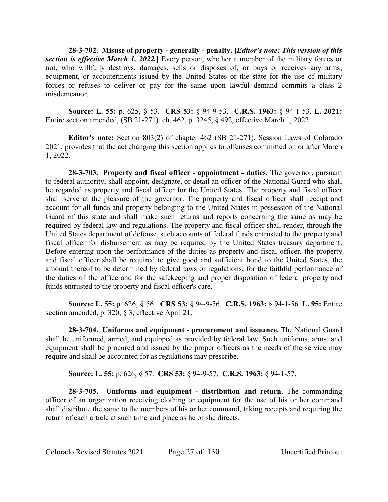**28-3-702. Misuse of property - generally - penalty. [***Editor's note: This version of this section is effective March 1, 2022.***]** Every person, whether a member of the military forces or not, who willfully destroys, damages, sells or disposes of, or buys or receives any arms, equipment, or accouterments issued by the United States or the state for the use of military forces or refuses to deliver or pay for the same upon lawful demand commits a class 2 misdemeanor.

**Source: L. 55:** p. 625, § 53. **CRS 53:** § 94-9-53. **C.R.S. 1963:** § 94-1-53. **L. 2021:** Entire section amended, (SB 21-271), ch. 462, p. 3245, § 492, effective March 1, 2022.

**Editor's note:** Section 803(2) of chapter 462 (SB 21-271), Session Laws of Colorado 2021, provides that the act changing this section applies to offenses committed on or after March 1, 2022.

**28-3-703. Property and fiscal officer - appointment - duties.** The governor, pursuant to federal authority, shall appoint, designate, or detail an officer of the National Guard who shall be regarded as property and fiscal officer for the United States. The property and fiscal officer shall serve at the pleasure of the governor. The property and fiscal officer shall receipt and account for all funds and property belonging to the United States in possession of the National Guard of this state and shall make such returns and reports concerning the same as may be required by federal law and regulations. The property and fiscal officer shall render, through the United States department of defense, such accounts of federal funds entrusted to the property and fiscal officer for disbursement as may be required by the United States treasury department. Before entering upon the performance of the duties as property and fiscal officer, the property and fiscal officer shall be required to give good and sufficient bond to the United States, the amount thereof to be determined by federal laws or regulations, for the faithful performance of the duties of the office and for the safekeeping and proper disposition of federal property and funds entrusted to the property and fiscal officer's care.

**Source: L. 55:** p. 626, § 56. **CRS 53:** § 94-9-56. **C.R.S. 1963:** § 94-1-56. **L. 95:** Entire section amended, p. 320, § 3, effective April 21.

**28-3-704. Uniforms and equipment - procurement and issuance.** The National Guard shall be uniformed, armed, and equipped as provided by federal law. Such uniforms, arms, and equipment shall be procured and issued by the proper officers as the needs of the service may require and shall be accounted for as regulations may prescribe.

**Source: L. 55:** p. 626, § 57. **CRS 53:** § 94-9-57. **C.R.S. 1963:** § 94-1-57.

**28-3-705. Uniforms and equipment - distribution and return.** The commanding officer of an organization receiving clothing or equipment for the use of his or her command shall distribute the same to the members of his or her command, taking receipts and requiring the return of each article at such time and place as he or she directs.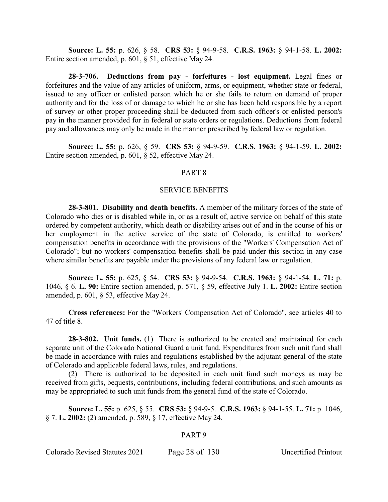**Source: L. 55:** p. 626, § 58. **CRS 53:** § 94-9-58. **C.R.S. 1963:** § 94-1-58. **L. 2002:** Entire section amended, p. 601, § 51, effective May 24.

**28-3-706. Deductions from pay - forfeitures - lost equipment.** Legal fines or forfeitures and the value of any articles of uniform, arms, or equipment, whether state or federal, issued to any officer or enlisted person which he or she fails to return on demand of proper authority and for the loss of or damage to which he or she has been held responsible by a report of survey or other proper proceeding shall be deducted from such officer's or enlisted person's pay in the manner provided for in federal or state orders or regulations. Deductions from federal pay and allowances may only be made in the manner prescribed by federal law or regulation.

**Source: L. 55:** p. 626, § 59. **CRS 53:** § 94-9-59. **C.R.S. 1963:** § 94-1-59. **L. 2002:** Entire section amended, p. 601, § 52, effective May 24.

#### PART 8

#### SERVICE BENEFITS

**28-3-801. Disability and death benefits.** A member of the military forces of the state of Colorado who dies or is disabled while in, or as a result of, active service on behalf of this state ordered by competent authority, which death or disability arises out of and in the course of his or her employment in the active service of the state of Colorado, is entitled to workers' compensation benefits in accordance with the provisions of the "Workers' Compensation Act of Colorado"; but no workers' compensation benefits shall be paid under this section in any case where similar benefits are payable under the provisions of any federal law or regulation.

**Source: L. 55:** p. 625, § 54. **CRS 53:** § 94-9-54. **C.R.S. 1963:** § 94-1-54. **L. 71:** p. 1046, § 6. **L. 90:** Entire section amended, p. 571, § 59, effective July 1. **L. 2002:** Entire section amended, p. 601, § 53, effective May 24.

**Cross references:** For the "Workers' Compensation Act of Colorado", see articles 40 to 47 of title 8.

**28-3-802. Unit funds.** (1) There is authorized to be created and maintained for each separate unit of the Colorado National Guard a unit fund. Expenditures from such unit fund shall be made in accordance with rules and regulations established by the adjutant general of the state of Colorado and applicable federal laws, rules, and regulations.

(2) There is authorized to be deposited in each unit fund such moneys as may be received from gifts, bequests, contributions, including federal contributions, and such amounts as may be appropriated to such unit funds from the general fund of the state of Colorado.

**Source: L. 55:** p. 625, § 55. **CRS 53:** § 94-9-5. **C.R.S. 1963:** § 94-1-55. **L. 71:** p. 1046, § 7. **L. 2002:** (2) amended, p. 589, § 17, effective May 24.

#### PART 9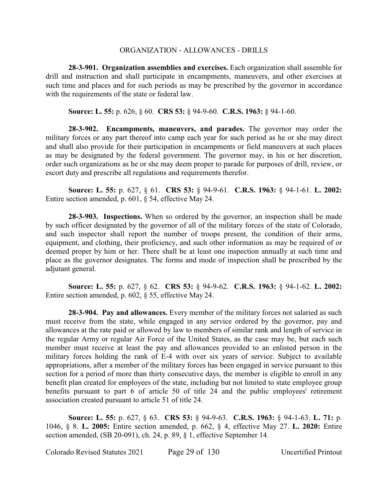## ORGANIZATION - ALLOWANCES - DRILLS

**28-3-901. Organization assemblies and exercises.** Each organization shall assemble for drill and instruction and shall participate in encampments, maneuvers, and other exercises at such time and places and for such periods as may be prescribed by the governor in accordance with the requirements of the state or federal law.

**Source: L. 55:** p. 626, § 60. **CRS 53:** § 94-9-60. **C.R.S. 1963:** § 94-1-60.

**28-3-902. Encampments, maneuvers, and parades.** The governor may order the military forces or any part thereof into camp each year for such period as he or she may direct and shall also provide for their participation in encampments or field maneuvers at such places as may be designated by the federal government. The governor may, in his or her discretion, order such organizations as he or she may deem proper to parade for purposes of drill, review, or escort duty and prescribe all regulations and requirements therefor.

**Source: L. 55:** p. 627, § 61. **CRS 53:** § 94-9-61. **C.R.S. 1963:** § 94-1-61. **L. 2002:** Entire section amended, p. 601, § 54, effective May 24.

**28-3-903. Inspections.** When so ordered by the governor, an inspection shall be made by such officer designated by the governor of all of the military forces of the state of Colorado, and such inspector shall report the number of troops present, the condition of their arms, equipment, and clothing, their proficiency, and such other information as may be required of or deemed proper by him or her. There shall be at least one inspection annually at such time and place as the governor designates. The forms and mode of inspection shall be prescribed by the adjutant general.

**Source: L. 55:** p. 627, § 62. **CRS 53:** § 94-9-62. **C.R.S. 1963:** § 94-1-62. **L. 2002:** Entire section amended, p. 602, § 55, effective May 24.

**28-3-904. Pay and allowances.** Every member of the military forces not salaried as such must receive from the state, while engaged in any service ordered by the governor, pay and allowances at the rate paid or allowed by law to members of similar rank and length of service in the regular Army or regular Air Force of the United States, as the case may be, but each such member must receive at least the pay and allowances provided to an enlisted person in the military forces holding the rank of E-4 with over six years of service. Subject to available appropriations, after a member of the military forces has been engaged in service pursuant to this section for a period of more than thirty consecutive days, the member is eligible to enroll in any benefit plan created for employees of the state, including but not limited to state employee group benefits pursuant to part 6 of article 50 of title 24 and the public employees' retirement association created pursuant to article 51 of title 24.

**Source: L. 55:** p. 627, § 63. **CRS 53:** § 94-9-63. **C.R.S. 1963:** § 94-1-63. **L. 71:** p. 1046, § 8. **L. 2005:** Entire section amended, p. 662, § 4, effective May 27. **L. 2020:** Entire section amended, (SB 20-091), ch. 24, p. 89, § 1, effective September 14.

Colorado Revised Statutes 2021 Page 29 of 130 Uncertified Printout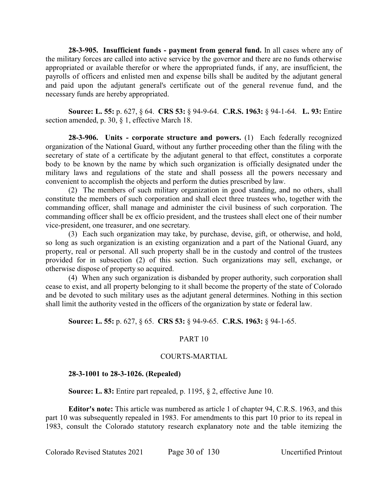**28-3-905. Insufficient funds - payment from general fund.** In all cases where any of the military forces are called into active service by the governor and there are no funds otherwise appropriated or available therefor or where the appropriated funds, if any, are insufficient, the payrolls of officers and enlisted men and expense bills shall be audited by the adjutant general and paid upon the adjutant general's certificate out of the general revenue fund, and the necessary funds are hereby appropriated.

**Source: L. 55:** p. 627, § 64. **CRS 53:** § 94-9-64. **C.R.S. 1963:** § 94-1-64. **L. 93:** Entire section amended, p. 30, § 1, effective March 18.

**28-3-906. Units - corporate structure and powers.** (1) Each federally recognized organization of the National Guard, without any further proceeding other than the filing with the secretary of state of a certificate by the adjutant general to that effect, constitutes a corporate body to be known by the name by which such organization is officially designated under the military laws and regulations of the state and shall possess all the powers necessary and convenient to accomplish the objects and perform the duties prescribed by law.

(2) The members of such military organization in good standing, and no others, shall constitute the members of such corporation and shall elect three trustees who, together with the commanding officer, shall manage and administer the civil business of such corporation. The commanding officer shall be ex officio president, and the trustees shall elect one of their number vice-president, one treasurer, and one secretary.

(3) Each such organization may take, by purchase, devise, gift, or otherwise, and hold, so long as such organization is an existing organization and a part of the National Guard, any property, real or personal. All such property shall be in the custody and control of the trustees provided for in subsection (2) of this section. Such organizations may sell, exchange, or otherwise dispose of property so acquired.

(4) When any such organization is disbanded by proper authority, such corporation shall cease to exist, and all property belonging to it shall become the property of the state of Colorado and be devoted to such military uses as the adjutant general determines. Nothing in this section shall limit the authority vested in the officers of the organization by state or federal law.

## **Source: L. 55:** p. 627, § 65. **CRS 53:** § 94-9-65. **C.R.S. 1963:** § 94-1-65.

#### PART 10

#### COURTS-MARTIAL

## **28-3-1001 to 28-3-1026. (Repealed)**

**Source: L. 83:** Entire part repealed, p. 1195, § 2, effective June 10.

**Editor's note:** This article was numbered as article 1 of chapter 94, C.R.S. 1963, and this part 10 was subsequently repealed in 1983. For amendments to this part 10 prior to its repeal in 1983, consult the Colorado statutory research explanatory note and the table itemizing the

Colorado Revised Statutes 2021 Page 30 of 130 Uncertified Printout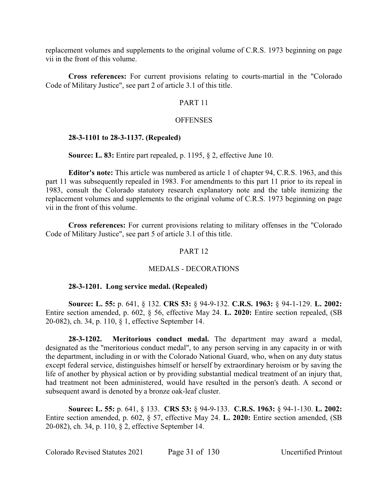replacement volumes and supplements to the original volume of C.R.S. 1973 beginning on page vii in the front of this volume.

**Cross references:** For current provisions relating to courts-martial in the "Colorado Code of Military Justice", see part 2 of article 3.1 of this title.

## PART 11

## **OFFENSES**

## **28-3-1101 to 28-3-1137. (Repealed)**

**Source: L. 83:** Entire part repealed, p. 1195, § 2, effective June 10.

**Editor's note:** This article was numbered as article 1 of chapter 94, C.R.S. 1963, and this part 11 was subsequently repealed in 1983. For amendments to this part 11 prior to its repeal in 1983, consult the Colorado statutory research explanatory note and the table itemizing the replacement volumes and supplements to the original volume of C.R.S. 1973 beginning on page vii in the front of this volume.

**Cross references:** For current provisions relating to military offenses in the "Colorado Code of Military Justice", see part 5 of article 3.1 of this title.

## PART 12

#### MEDALS - DECORATIONS

#### **28-3-1201. Long service medal. (Repealed)**

**Source: L. 55:** p. 641, § 132. **CRS 53:** § 94-9-132. **C.R.S. 1963:** § 94-1-129. **L. 2002:** Entire section amended, p. 602, § 56, effective May 24. **L. 2020:** Entire section repealed, (SB 20-082), ch. 34, p. 110, § 1, effective September 14.

**28-3-1202. Meritorious conduct medal.** The department may award a medal, designated as the "meritorious conduct medal", to any person serving in any capacity in or with the department, including in or with the Colorado National Guard, who, when on any duty status except federal service, distinguishes himself or herself by extraordinary heroism or by saving the life of another by physical action or by providing substantial medical treatment of an injury that, had treatment not been administered, would have resulted in the person's death. A second or subsequent award is denoted by a bronze oak-leaf cluster.

**Source: L. 55:** p. 641, § 133. **CRS 53:** § 94-9-133. **C.R.S. 1963:** § 94-1-130. **L. 2002:** Entire section amended, p. 602, § 57, effective May 24. **L. 2020:** Entire section amended, (SB 20-082), ch. 34, p. 110, § 2, effective September 14.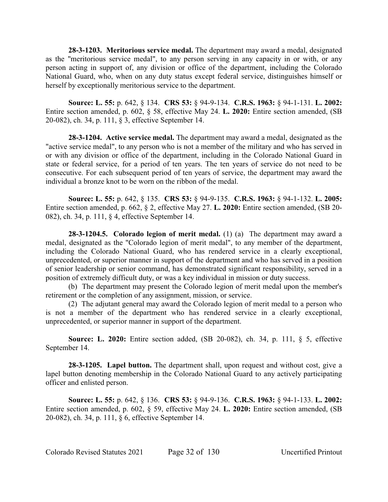**28-3-1203. Meritorious service medal.** The department may award a medal, designated as the "meritorious service medal", to any person serving in any capacity in or with, or any person acting in support of, any division or office of the department, including the Colorado National Guard, who, when on any duty status except federal service, distinguishes himself or herself by exceptionally meritorious service to the department.

**Source: L. 55:** p. 642, § 134. **CRS 53:** § 94-9-134. **C.R.S. 1963:** § 94-1-131. **L. 2002:** Entire section amended, p. 602, § 58, effective May 24. **L. 2020:** Entire section amended, (SB 20-082), ch. 34, p. 111, § 3, effective September 14.

**28-3-1204. Active service medal.** The department may award a medal, designated as the "active service medal", to any person who is not a member of the military and who has served in or with any division or office of the department, including in the Colorado National Guard in state or federal service, for a period of ten years. The ten years of service do not need to be consecutive. For each subsequent period of ten years of service, the department may award the individual a bronze knot to be worn on the ribbon of the medal.

**Source: L. 55:** p. 642, § 135. **CRS 53:** § 94-9-135. **C.R.S. 1963:** § 94-1-132. **L. 2005:** Entire section amended, p. 662, § 2, effective May 27. **L. 2020:** Entire section amended, (SB 20- 082), ch. 34, p. 111, § 4, effective September 14.

**28-3-1204.5. Colorado legion of merit medal.** (1) (a) The department may award a medal, designated as the "Colorado legion of merit medal", to any member of the department, including the Colorado National Guard, who has rendered service in a clearly exceptional, unprecedented, or superior manner in support of the department and who has served in a position of senior leadership or senior command, has demonstrated significant responsibility, served in a position of extremely difficult duty, or was a key individual in mission or duty success.

(b) The department may present the Colorado legion of merit medal upon the member's retirement or the completion of any assignment, mission, or service.

(2) The adjutant general may award the Colorado legion of merit medal to a person who is not a member of the department who has rendered service in a clearly exceptional, unprecedented, or superior manner in support of the department.

**Source: L. 2020:** Entire section added, (SB 20-082), ch. 34, p. 111, § 5, effective September 14.

**28-3-1205. Lapel button.** The department shall, upon request and without cost, give a lapel button denoting membership in the Colorado National Guard to any actively participating officer and enlisted person.

**Source: L. 55:** p. 642, § 136. **CRS 53:** § 94-9-136. **C.R.S. 1963:** § 94-1-133. **L. 2002:** Entire section amended, p. 602, § 59, effective May 24. **L. 2020:** Entire section amended, (SB 20-082), ch. 34, p. 111, § 6, effective September 14.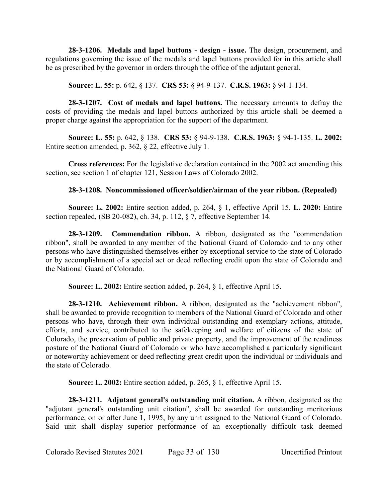**28-3-1206. Medals and lapel buttons - design - issue.** The design, procurement, and regulations governing the issue of the medals and lapel buttons provided for in this article shall be as prescribed by the governor in orders through the office of the adjutant general.

**Source: L. 55:** p. 642, § 137. **CRS 53:** § 94-9-137. **C.R.S. 1963:** § 94-1-134.

**28-3-1207. Cost of medals and lapel buttons.** The necessary amounts to defray the costs of providing the medals and lapel buttons authorized by this article shall be deemed a proper charge against the appropriation for the support of the department.

**Source: L. 55:** p. 642, § 138. **CRS 53:** § 94-9-138. **C.R.S. 1963:** § 94-1-135. **L. 2002:** Entire section amended, p. 362, § 22, effective July 1.

**Cross references:** For the legislative declaration contained in the 2002 act amending this section, see section 1 of chapter 121, Session Laws of Colorado 2002.

# **28-3-1208. Noncommissioned officer/soldier/airman of the year ribbon. (Repealed)**

**Source: L. 2002:** Entire section added, p. 264, § 1, effective April 15. **L. 2020:** Entire section repealed, (SB 20-082), ch. 34, p. 112, § 7, effective September 14.

**28-3-1209. Commendation ribbon.** A ribbon, designated as the "commendation ribbon", shall be awarded to any member of the National Guard of Colorado and to any other persons who have distinguished themselves either by exceptional service to the state of Colorado or by accomplishment of a special act or deed reflecting credit upon the state of Colorado and the National Guard of Colorado.

**Source: L. 2002:** Entire section added, p. 264, § 1, effective April 15.

**28-3-1210. Achievement ribbon.** A ribbon, designated as the "achievement ribbon", shall be awarded to provide recognition to members of the National Guard of Colorado and other persons who have, through their own individual outstanding and exemplary actions, attitude, efforts, and service, contributed to the safekeeping and welfare of citizens of the state of Colorado, the preservation of public and private property, and the improvement of the readiness posture of the National Guard of Colorado or who have accomplished a particularly significant or noteworthy achievement or deed reflecting great credit upon the individual or individuals and the state of Colorado.

**Source: L. 2002:** Entire section added, p. 265, § 1, effective April 15.

**28-3-1211. Adjutant general's outstanding unit citation.** A ribbon, designated as the "adjutant general's outstanding unit citation", shall be awarded for outstanding meritorious performance, on or after June 1, 1995, by any unit assigned to the National Guard of Colorado. Said unit shall display superior performance of an exceptionally difficult task deemed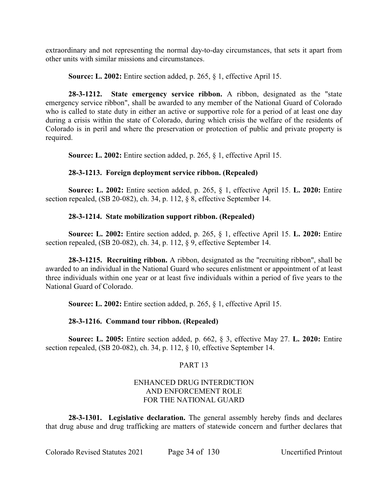extraordinary and not representing the normal day-to-day circumstances, that sets it apart from other units with similar missions and circumstances.

**Source: L. 2002:** Entire section added, p. 265, § 1, effective April 15.

**28-3-1212. State emergency service ribbon.** A ribbon, designated as the "state emergency service ribbon", shall be awarded to any member of the National Guard of Colorado who is called to state duty in either an active or supportive role for a period of at least one day during a crisis within the state of Colorado, during which crisis the welfare of the residents of Colorado is in peril and where the preservation or protection of public and private property is required.

**Source: L. 2002:** Entire section added, p. 265, § 1, effective April 15.

# **28-3-1213. Foreign deployment service ribbon. (Repealed)**

**Source: L. 2002:** Entire section added, p. 265, § 1, effective April 15. **L. 2020:** Entire section repealed, (SB 20-082), ch. 34, p. 112, § 8, effective September 14.

# **28-3-1214. State mobilization support ribbon. (Repealed)**

**Source: L. 2002:** Entire section added, p. 265, § 1, effective April 15. **L. 2020:** Entire section repealed, (SB 20-082), ch. 34, p. 112, § 9, effective September 14.

**28-3-1215. Recruiting ribbon.** A ribbon, designated as the "recruiting ribbon", shall be awarded to an individual in the National Guard who secures enlistment or appointment of at least three individuals within one year or at least five individuals within a period of five years to the National Guard of Colorado.

**Source: L. 2002:** Entire section added, p. 265, § 1, effective April 15.

# **28-3-1216. Command tour ribbon. (Repealed)**

**Source: L. 2005:** Entire section added, p. 662, § 3, effective May 27. **L. 2020:** Entire section repealed, (SB 20-082), ch. 34, p. 112, § 10, effective September 14.

# PART 13

# ENHANCED DRUG INTERDICTION AND ENFORCEMENT ROLE FOR THE NATIONAL GUARD

**28-3-1301. Legislative declaration.** The general assembly hereby finds and declares that drug abuse and drug trafficking are matters of statewide concern and further declares that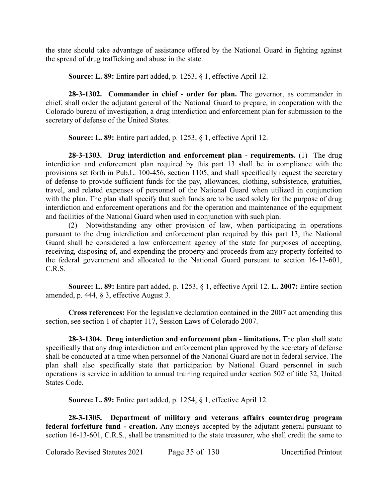the state should take advantage of assistance offered by the National Guard in fighting against the spread of drug trafficking and abuse in the state.

**Source: L. 89:** Entire part added, p. 1253, § 1, effective April 12.

**28-3-1302. Commander in chief - order for plan.** The governor, as commander in chief, shall order the adjutant general of the National Guard to prepare, in cooperation with the Colorado bureau of investigation, a drug interdiction and enforcement plan for submission to the secretary of defense of the United States.

**Source: L. 89:** Entire part added, p. 1253, § 1, effective April 12.

**28-3-1303. Drug interdiction and enforcement plan - requirements.** (1) The drug interdiction and enforcement plan required by this part 13 shall be in compliance with the provisions set forth in Pub.L. 100-456, section 1105, and shall specifically request the secretary of defense to provide sufficient funds for the pay, allowances, clothing, subsistence, gratuities, travel, and related expenses of personnel of the National Guard when utilized in conjunction with the plan. The plan shall specify that such funds are to be used solely for the purpose of drug interdiction and enforcement operations and for the operation and maintenance of the equipment and facilities of the National Guard when used in conjunction with such plan.

(2) Notwithstanding any other provision of law, when participating in operations pursuant to the drug interdiction and enforcement plan required by this part 13, the National Guard shall be considered a law enforcement agency of the state for purposes of accepting, receiving, disposing of, and expending the property and proceeds from any property forfeited to the federal government and allocated to the National Guard pursuant to section 16-13-601, C.R.S.

**Source: L. 89:** Entire part added, p. 1253, § 1, effective April 12. **L. 2007:** Entire section amended, p. 444, § 3, effective August 3.

**Cross references:** For the legislative declaration contained in the 2007 act amending this section, see section 1 of chapter 117, Session Laws of Colorado 2007.

**28-3-1304. Drug interdiction and enforcement plan - limitations.** The plan shall state specifically that any drug interdiction and enforcement plan approved by the secretary of defense shall be conducted at a time when personnel of the National Guard are not in federal service. The plan shall also specifically state that participation by National Guard personnel in such operations is service in addition to annual training required under section 502 of title 32, United States Code.

**Source: L. 89:** Entire part added, p. 1254, § 1, effective April 12.

**28-3-1305. Department of military and veterans affairs counterdrug program federal forfeiture fund - creation.** Any moneys accepted by the adjutant general pursuant to section 16-13-601, C.R.S., shall be transmitted to the state treasurer, who shall credit the same to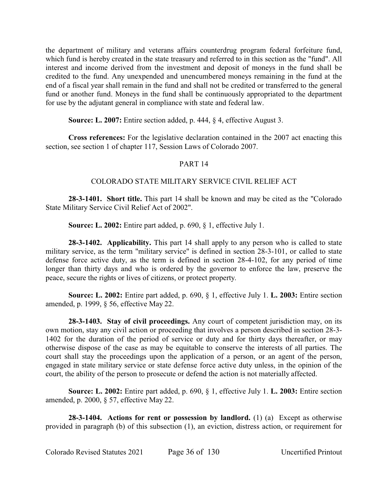the department of military and veterans affairs counterdrug program federal forfeiture fund, which fund is hereby created in the state treasury and referred to in this section as the "fund". All interest and income derived from the investment and deposit of moneys in the fund shall be credited to the fund. Any unexpended and unencumbered moneys remaining in the fund at the end of a fiscal year shall remain in the fund and shall not be credited or transferred to the general fund or another fund. Moneys in the fund shall be continuously appropriated to the department for use by the adjutant general in compliance with state and federal law.

**Source: L. 2007:** Entire section added, p. 444, § 4, effective August 3.

**Cross references:** For the legislative declaration contained in the 2007 act enacting this section, see section 1 of chapter 117, Session Laws of Colorado 2007.

# PART 14

## COLORADO STATE MILITARY SERVICE CIVIL RELIEF ACT

**28-3-1401. Short title.** This part 14 shall be known and may be cited as the "Colorado State Military Service Civil Relief Act of 2002".

**Source: L. 2002:** Entire part added, p. 690, § 1, effective July 1.

**28-3-1402. Applicability.** This part 14 shall apply to any person who is called to state military service, as the term "military service" is defined in section 28-3-101, or called to state defense force active duty, as the term is defined in section 28-4-102, for any period of time longer than thirty days and who is ordered by the governor to enforce the law, preserve the peace, secure the rights or lives of citizens, or protect property.

**Source: L. 2002:** Entire part added, p. 690, § 1, effective July 1. **L. 2003:** Entire section amended, p. 1999, § 56, effective May 22.

**28-3-1403. Stay of civil proceedings.** Any court of competent jurisdiction may, on its own motion, stay any civil action or proceeding that involves a person described in section 28-3- 1402 for the duration of the period of service or duty and for thirty days thereafter, or may otherwise dispose of the case as may be equitable to conserve the interests of all parties. The court shall stay the proceedings upon the application of a person, or an agent of the person, engaged in state military service or state defense force active duty unless, in the opinion of the court, the ability of the person to prosecute or defend the action is not materially affected.

**Source: L. 2002:** Entire part added, p. 690, § 1, effective July 1. **L. 2003:** Entire section amended, p. 2000, § 57, effective May 22.

**28-3-1404. Actions for rent or possession by landlord.** (1) (a) Except as otherwise provided in paragraph (b) of this subsection (1), an eviction, distress action, or requirement for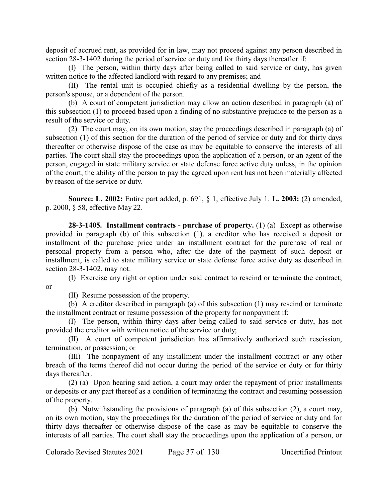deposit of accrued rent, as provided for in law, may not proceed against any person described in section 28-3-1402 during the period of service or duty and for thirty days thereafter if:

(I) The person, within thirty days after being called to said service or duty, has given written notice to the affected landlord with regard to any premises; and

(II) The rental unit is occupied chiefly as a residential dwelling by the person, the person's spouse, or a dependent of the person.

(b) A court of competent jurisdiction may allow an action described in paragraph (a) of this subsection (1) to proceed based upon a finding of no substantive prejudice to the person as a result of the service or duty.

(2) The court may, on its own motion, stay the proceedings described in paragraph (a) of subsection (1) of this section for the duration of the period of service or duty and for thirty days thereafter or otherwise dispose of the case as may be equitable to conserve the interests of all parties. The court shall stay the proceedings upon the application of a person, or an agent of the person, engaged in state military service or state defense force active duty unless, in the opinion of the court, the ability of the person to pay the agreed upon rent has not been materially affected by reason of the service or duty.

**Source: L. 2002:** Entire part added, p. 691, § 1, effective July 1. **L. 2003:** (2) amended, p. 2000, § 58, effective May 22.

**28-3-1405. Installment contracts - purchase of property.** (1) (a) Except as otherwise provided in paragraph (b) of this subsection (1), a creditor who has received a deposit or installment of the purchase price under an installment contract for the purchase of real or personal property from a person who, after the date of the payment of such deposit or installment, is called to state military service or state defense force active duty as described in section 28-3-1402, may not:

(I) Exercise any right or option under said contract to rescind or terminate the contract; or

(II) Resume possession of the property.

(b) A creditor described in paragraph (a) of this subsection (1) may rescind or terminate the installment contract or resume possession of the property for nonpayment if:

(I) The person, within thirty days after being called to said service or duty, has not provided the creditor with written notice of the service or duty;

(II) A court of competent jurisdiction has affirmatively authorized such rescission, termination, or possession; or

(III) The nonpayment of any installment under the installment contract or any other breach of the terms thereof did not occur during the period of the service or duty or for thirty days thereafter.

(2) (a) Upon hearing said action, a court may order the repayment of prior installments or deposits or any part thereof as a condition of terminating the contract and resuming possession of the property.

(b) Notwithstanding the provisions of paragraph (a) of this subsection (2), a court may, on its own motion, stay the proceedings for the duration of the period of service or duty and for thirty days thereafter or otherwise dispose of the case as may be equitable to conserve the interests of all parties. The court shall stay the proceedings upon the application of a person, or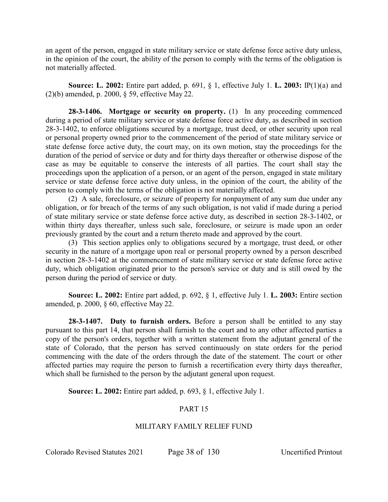an agent of the person, engaged in state military service or state defense force active duty unless, in the opinion of the court, the ability of the person to comply with the terms of the obligation is not materially affected.

**Source: L. 2002:** Entire part added, p. 691, § 1, effective July 1. **L. 2003:** IP(1)(a) and (2)(b) amended, p. 2000, § 59, effective May 22.

**28-3-1406. Mortgage or security on property.** (1) In any proceeding commenced during a period of state military service or state defense force active duty, as described in section 28-3-1402, to enforce obligations secured by a mortgage, trust deed, or other security upon real or personal property owned prior to the commencement of the period of state military service or state defense force active duty, the court may, on its own motion, stay the proceedings for the duration of the period of service or duty and for thirty days thereafter or otherwise dispose of the case as may be equitable to conserve the interests of all parties. The court shall stay the proceedings upon the application of a person, or an agent of the person, engaged in state military service or state defense force active duty unless, in the opinion of the court, the ability of the person to comply with the terms of the obligation is not materially affected.

(2) A sale, foreclosure, or seizure of property for nonpayment of any sum due under any obligation, or for breach of the terms of any such obligation, is not valid if made during a period of state military service or state defense force active duty, as described in section 28-3-1402, or within thirty days thereafter, unless such sale, foreclosure, or seizure is made upon an order previously granted by the court and a return thereto made and approved by the court.

(3) This section applies only to obligations secured by a mortgage, trust deed, or other security in the nature of a mortgage upon real or personal property owned by a person described in section 28-3-1402 at the commencement of state military service or state defense force active duty, which obligation originated prior to the person's service or duty and is still owed by the person during the period of service or duty.

**Source: L. 2002:** Entire part added, p. 692, § 1, effective July 1. **L. 2003:** Entire section amended, p. 2000, § 60, effective May 22.

**28-3-1407. Duty to furnish orders.** Before a person shall be entitled to any stay pursuant to this part 14, that person shall furnish to the court and to any other affected parties a copy of the person's orders, together with a written statement from the adjutant general of the state of Colorado, that the person has served continuously on state orders for the period commencing with the date of the orders through the date of the statement. The court or other affected parties may require the person to furnish a recertification every thirty days thereafter, which shall be furnished to the person by the adjutant general upon request.

**Source: L. 2002:** Entire part added, p. 693, § 1, effective July 1.

## PART 15

## MILITARY FAMILY RELIEF FUND

Colorado Revised Statutes 2021 Page 38 of 130 Uncertified Printout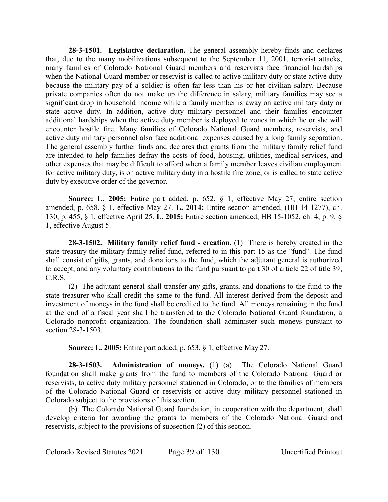**28-3-1501. Legislative declaration.** The general assembly hereby finds and declares that, due to the many mobilizations subsequent to the September 11, 2001, terrorist attacks, many families of Colorado National Guard members and reservists face financial hardships when the National Guard member or reservist is called to active military duty or state active duty because the military pay of a soldier is often far less than his or her civilian salary. Because private companies often do not make up the difference in salary, military families may see a significant drop in household income while a family member is away on active military duty or state active duty. In addition, active duty military personnel and their families encounter additional hardships when the active duty member is deployed to zones in which he or she will encounter hostile fire. Many families of Colorado National Guard members, reservists, and active duty military personnel also face additional expenses caused by a long family separation. The general assembly further finds and declares that grants from the military family relief fund are intended to help families defray the costs of food, housing, utilities, medical services, and other expenses that may be difficult to afford when a family member leaves civilian employment for active military duty, is on active military duty in a hostile fire zone, or is called to state active duty by executive order of the governor.

**Source: L. 2005:** Entire part added, p. 652, § 1, effective May 27; entire section amended, p. 658, § 1, effective May 27. **L. 2014:** Entire section amended, (HB 14-1277), ch. 130, p. 455, § 1, effective April 25. **L. 2015:** Entire section amended, HB 15-1052, ch. 4, p. 9, § 1, effective August 5.

**28-3-1502. Military family relief fund - creation.** (1) There is hereby created in the state treasury the military family relief fund, referred to in this part 15 as the "fund". The fund shall consist of gifts, grants, and donations to the fund, which the adjutant general is authorized to accept, and any voluntary contributions to the fund pursuant to part 30 of article 22 of title 39, C.R.S.

(2) The adjutant general shall transfer any gifts, grants, and donations to the fund to the state treasurer who shall credit the same to the fund. All interest derived from the deposit and investment of moneys in the fund shall be credited to the fund. All moneys remaining in the fund at the end of a fiscal year shall be transferred to the Colorado National Guard foundation, a Colorado nonprofit organization. The foundation shall administer such moneys pursuant to section 28-3-1503.

**Source: L. 2005:** Entire part added, p. 653, § 1, effective May 27.

**28-3-1503. Administration of moneys.** (1) (a) The Colorado National Guard foundation shall make grants from the fund to members of the Colorado National Guard or reservists, to active duty military personnel stationed in Colorado, or to the families of members of the Colorado National Guard or reservists or active duty military personnel stationed in Colorado subject to the provisions of this section.

(b) The Colorado National Guard foundation, in cooperation with the department, shall develop criteria for awarding the grants to members of the Colorado National Guard and reservists, subject to the provisions of subsection (2) of this section.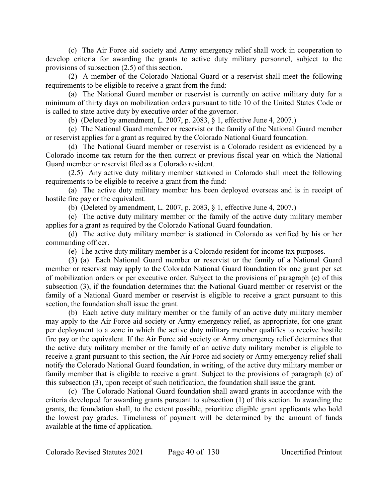(c) The Air Force aid society and Army emergency relief shall work in cooperation to develop criteria for awarding the grants to active duty military personnel, subject to the provisions of subsection (2.5) of this section.

(2) A member of the Colorado National Guard or a reservist shall meet the following requirements to be eligible to receive a grant from the fund:

(a) The National Guard member or reservist is currently on active military duty for a minimum of thirty days on mobilization orders pursuant to title 10 of the United States Code or is called to state active duty by executive order of the governor.

(b) (Deleted by amendment, L. 2007, p. 2083, § 1, effective June 4, 2007.)

(c) The National Guard member or reservist or the family of the National Guard member or reservist applies for a grant as required by the Colorado National Guard foundation.

(d) The National Guard member or reservist is a Colorado resident as evidenced by a Colorado income tax return for the then current or previous fiscal year on which the National Guard member or reservist filed as a Colorado resident.

(2.5) Any active duty military member stationed in Colorado shall meet the following requirements to be eligible to receive a grant from the fund:

(a) The active duty military member has been deployed overseas and is in receipt of hostile fire pay or the equivalent.

(b) (Deleted by amendment, L. 2007, p. 2083, § 1, effective June 4, 2007.)

(c) The active duty military member or the family of the active duty military member applies for a grant as required by the Colorado National Guard foundation.

(d) The active duty military member is stationed in Colorado as verified by his or her commanding officer.

(e) The active duty military member is a Colorado resident for income tax purposes.

(3) (a) Each National Guard member or reservist or the family of a National Guard member or reservist may apply to the Colorado National Guard foundation for one grant per set of mobilization orders or per executive order. Subject to the provisions of paragraph (c) of this subsection (3), if the foundation determines that the National Guard member or reservist or the family of a National Guard member or reservist is eligible to receive a grant pursuant to this section, the foundation shall issue the grant.

(b) Each active duty military member or the family of an active duty military member may apply to the Air Force aid society or Army emergency relief, as appropriate, for one grant per deployment to a zone in which the active duty military member qualifies to receive hostile fire pay or the equivalent. If the Air Force aid society or Army emergency relief determines that the active duty military member or the family of an active duty military member is eligible to receive a grant pursuant to this section, the Air Force aid society or Army emergency relief shall notify the Colorado National Guard foundation, in writing, of the active duty military member or family member that is eligible to receive a grant. Subject to the provisions of paragraph (c) of this subsection (3), upon receipt of such notification, the foundation shall issue the grant.

(c) The Colorado National Guard foundation shall award grants in accordance with the criteria developed for awarding grants pursuant to subsection (1) of this section. In awarding the grants, the foundation shall, to the extent possible, prioritize eligible grant applicants who hold the lowest pay grades. Timeliness of payment will be determined by the amount of funds available at the time of application.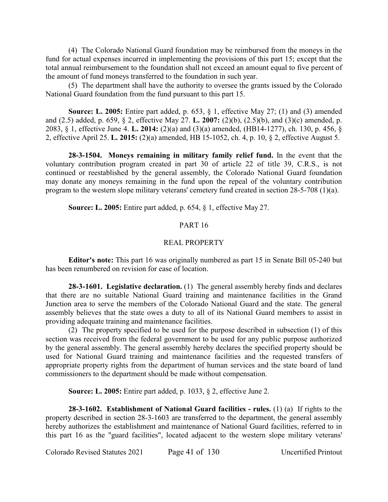(4) The Colorado National Guard foundation may be reimbursed from the moneys in the fund for actual expenses incurred in implementing the provisions of this part 15; except that the total annual reimbursement to the foundation shall not exceed an amount equal to five percent of the amount of fund moneys transferred to the foundation in such year.

(5) The department shall have the authority to oversee the grants issued by the Colorado National Guard foundation from the fund pursuant to this part 15.

**Source: L. 2005:** Entire part added, p. 653, § 1, effective May 27; (1) and (3) amended and (2.5) added, p. 659, § 2, effective May 27. **L. 2007:** (2)(b), (2.5)(b), and (3)(c) amended, p. 2083, § 1, effective June 4. **L. 2014:** (2)(a) and (3)(a) amended, (HB14-1277), ch. 130, p. 456, § 2, effective April 25. **L. 2015:** (2)(a) amended, HB 15-1052, ch. 4, p. 10, § 2, effective August 5.

**28-3-1504. Moneys remaining in military family relief fund.** In the event that the voluntary contribution program created in part 30 of article 22 of title 39, C.R.S., is not continued or reestablished by the general assembly, the Colorado National Guard foundation may donate any moneys remaining in the fund upon the repeal of the voluntary contribution program to the western slope military veterans' cemetery fund created in section 28-5-708 (1)(a).

**Source: L. 2005:** Entire part added, p. 654, § 1, effective May 27.

## PART<sub>16</sub>

### REAL PROPERTY

**Editor's note:** This part 16 was originally numbered as part 15 in Senate Bill 05-240 but has been renumbered on revision for ease of location.

**28-3-1601. Legislative declaration.** (1) The general assembly hereby finds and declares that there are no suitable National Guard training and maintenance facilities in the Grand Junction area to serve the members of the Colorado National Guard and the state. The general assembly believes that the state owes a duty to all of its National Guard members to assist in providing adequate training and maintenance facilities.

(2) The property specified to be used for the purpose described in subsection (1) of this section was received from the federal government to be used for any public purpose authorized by the general assembly. The general assembly hereby declares the specified property should be used for National Guard training and maintenance facilities and the requested transfers of appropriate property rights from the department of human services and the state board of land commissioners to the department should be made without compensation.

**Source: L. 2005:** Entire part added, p. 1033, § 2, effective June 2.

**28-3-1602. Establishment of National Guard facilities - rules.** (1) (a) If rights to the property described in section 28-3-1603 are transferred to the department, the general assembly hereby authorizes the establishment and maintenance of National Guard facilities, referred to in this part 16 as the "guard facilities", located adjacent to the western slope military veterans'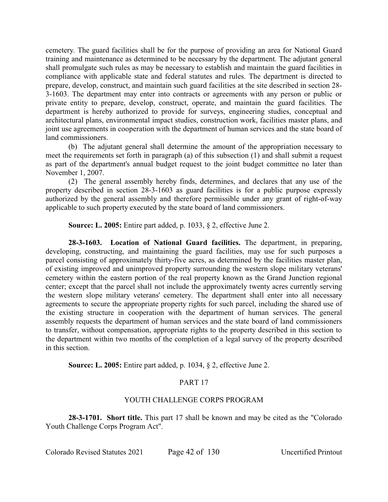cemetery. The guard facilities shall be for the purpose of providing an area for National Guard training and maintenance as determined to be necessary by the department. The adjutant general shall promulgate such rules as may be necessary to establish and maintain the guard facilities in compliance with applicable state and federal statutes and rules. The department is directed to prepare, develop, construct, and maintain such guard facilities at the site described in section 28- 3-1603. The department may enter into contracts or agreements with any person or public or private entity to prepare, develop, construct, operate, and maintain the guard facilities. The department is hereby authorized to provide for surveys, engineering studies, conceptual and architectural plans, environmental impact studies, construction work, facilities master plans, and joint use agreements in cooperation with the department of human services and the state board of land commissioners.

(b) The adjutant general shall determine the amount of the appropriation necessary to meet the requirements set forth in paragraph (a) of this subsection (1) and shall submit a request as part of the department's annual budget request to the joint budget committee no later than November 1, 2007.

(2) The general assembly hereby finds, determines, and declares that any use of the property described in section 28-3-1603 as guard facilities is for a public purpose expressly authorized by the general assembly and therefore permissible under any grant of right-of-way applicable to such property executed by the state board of land commissioners.

**Source: L. 2005:** Entire part added, p. 1033, § 2, effective June 2.

**28-3-1603. Location of National Guard facilities.** The department, in preparing, developing, constructing, and maintaining the guard facilities, may use for such purposes a parcel consisting of approximately thirty-five acres, as determined by the facilities master plan, of existing improved and unimproved property surrounding the western slope military veterans' cemetery within the eastern portion of the real property known as the Grand Junction regional center; except that the parcel shall not include the approximately twenty acres currently serving the western slope military veterans' cemetery. The department shall enter into all necessary agreements to secure the appropriate property rights for such parcel, including the shared use of the existing structure in cooperation with the department of human services. The general assembly requests the department of human services and the state board of land commissioners to transfer, without compensation, appropriate rights to the property described in this section to the department within two months of the completion of a legal survey of the property described in this section.

**Source: L. 2005:** Entire part added, p. 1034, § 2, effective June 2.

# PART 17

## YOUTH CHALLENGE CORPS PROGRAM

**28-3-1701. Short title.** This part 17 shall be known and may be cited as the "Colorado Youth Challenge Corps Program Act".

Colorado Revised Statutes 2021 Page 42 of 130 Uncertified Printout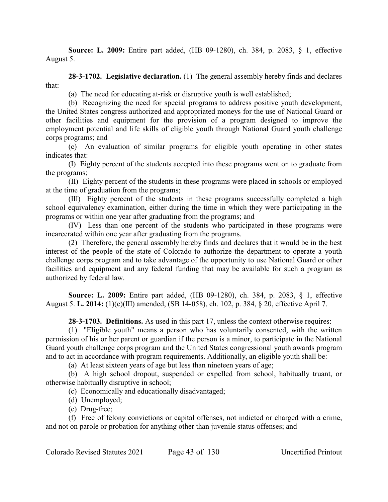**Source: L. 2009:** Entire part added, (HB 09-1280), ch. 384, p. 2083, § 1, effective August 5.

**28-3-1702. Legislative declaration.** (1) The general assembly hereby finds and declares that:

(a) The need for educating at-risk or disruptive youth is well established;

(b) Recognizing the need for special programs to address positive youth development, the United States congress authorized and appropriated moneys for the use of National Guard or other facilities and equipment for the provision of a program designed to improve the employment potential and life skills of eligible youth through National Guard youth challenge corps programs; and

(c) An evaluation of similar programs for eligible youth operating in other states indicates that:

(I) Eighty percent of the students accepted into these programs went on to graduate from the programs;

(II) Eighty percent of the students in these programs were placed in schools or employed at the time of graduation from the programs;

(III) Eighty percent of the students in these programs successfully completed a high school equivalency examination, either during the time in which they were participating in the programs or within one year after graduating from the programs; and

(IV) Less than one percent of the students who participated in these programs were incarcerated within one year after graduating from the programs.

(2) Therefore, the general assembly hereby finds and declares that it would be in the best interest of the people of the state of Colorado to authorize the department to operate a youth challenge corps program and to take advantage of the opportunity to use National Guard or other facilities and equipment and any federal funding that may be available for such a program as authorized by federal law.

**Source: L. 2009:** Entire part added, (HB 09-1280), ch. 384, p. 2083, § 1, effective August 5. **L. 2014:** (1)(c)(III) amended, (SB 14-058), ch. 102, p. 384, § 20, effective April 7.

**28-3-1703. Definitions.** As used in this part 17, unless the context otherwise requires:

(1) "Eligible youth" means a person who has voluntarily consented, with the written permission of his or her parent or guardian if the person is a minor, to participate in the National Guard youth challenge corps program and the United States congressional youth awards program and to act in accordance with program requirements. Additionally, an eligible youth shall be:

(a) At least sixteen years of age but less than nineteen years of age;

(b) A high school dropout, suspended or expelled from school, habitually truant, or otherwise habitually disruptive in school;

(c) Economically and educationally disadvantaged;

- (d) Unemployed;
- (e) Drug-free;

(f) Free of felony convictions or capital offenses, not indicted or charged with a crime, and not on parole or probation for anything other than juvenile status offenses; and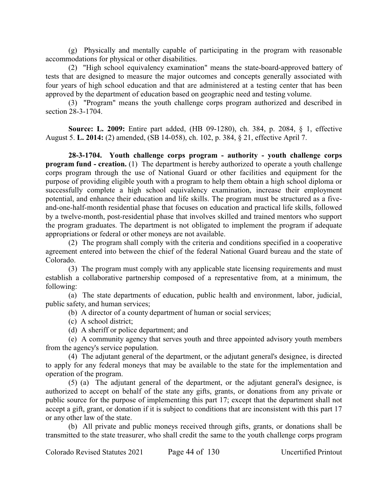(g) Physically and mentally capable of participating in the program with reasonable accommodations for physical or other disabilities.

(2) "High school equivalency examination" means the state-board-approved battery of tests that are designed to measure the major outcomes and concepts generally associated with four years of high school education and that are administered at a testing center that has been approved by the department of education based on geographic need and testing volume.

(3) "Program" means the youth challenge corps program authorized and described in section 28-3-1704.

**Source: L. 2009:** Entire part added, (HB 09-1280), ch. 384, p. 2084, § 1, effective August 5. **L. 2014:** (2) amended, (SB 14-058), ch. 102, p. 384, § 21, effective April 7.

**28-3-1704. Youth challenge corps program - authority - youth challenge corps program fund - creation.** (1) The department is hereby authorized to operate a youth challenge corps program through the use of National Guard or other facilities and equipment for the purpose of providing eligible youth with a program to help them obtain a high school diploma or successfully complete a high school equivalency examination, increase their employment potential, and enhance their education and life skills. The program must be structured as a fiveand-one-half-month residential phase that focuses on education and practical life skills, followed by a twelve-month, post-residential phase that involves skilled and trained mentors who support the program graduates. The department is not obligated to implement the program if adequate appropriations or federal or other moneys are not available.

(2) The program shall comply with the criteria and conditions specified in a cooperative agreement entered into between the chief of the federal National Guard bureau and the state of Colorado.

(3) The program must comply with any applicable state licensing requirements and must establish a collaborative partnership composed of a representative from, at a minimum, the following:

(a) The state departments of education, public health and environment, labor, judicial, public safety, and human services;

(b) A director of a county department of human or social services;

(c) A school district;

(d) A sheriff or police department; and

(e) A community agency that serves youth and three appointed advisory youth members from the agency's service population.

(4) The adjutant general of the department, or the adjutant general's designee, is directed to apply for any federal moneys that may be available to the state for the implementation and operation of the program.

(5) (a) The adjutant general of the department, or the adjutant general's designee, is authorized to accept on behalf of the state any gifts, grants, or donations from any private or public source for the purpose of implementing this part 17; except that the department shall not accept a gift, grant, or donation if it is subject to conditions that are inconsistent with this part 17 or any other law of the state.

(b) All private and public moneys received through gifts, grants, or donations shall be transmitted to the state treasurer, who shall credit the same to the youth challenge corps program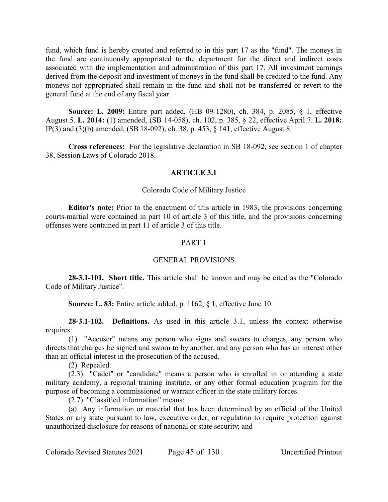fund, which fund is hereby created and referred to in this part 17 as the "fund". The moneys in the fund are continuously appropriated to the department for the direct and indirect costs associated with the implementation and administration of this part 17. All investment earnings derived from the deposit and investment of moneys in the fund shall be credited to the fund. Any moneys not appropriated shall remain in the fund and shall not be transferred or revert to the general fund at the end of any fiscal year.

**Source: L. 2009:** Entire part added, (HB 09-1280), ch. 384, p. 2085, § 1, effective August 5. **L. 2014:** (1) amended, (SB 14-058), ch. 102, p. 385, § 22, effective April 7. **L. 2018:** IP(3) and (3)(b) amended, (SB 18-092), ch. 38, p. 453, § 141, effective August 8.

**Cross references:** For the legislative declaration in SB 18-092, see section 1 of chapter 38, Session Laws of Colorado 2018.

### **ARTICLE 3.1**

#### Colorado Code of Military Justice

**Editor's note:** Prior to the enactment of this article in 1983, the provisions concerning courts-martial were contained in part 10 of article 3 of this title, and the provisions concerning offenses were contained in part 11 of article 3 of this title.

#### PART 1

### GENERAL PROVISIONS

**28-3.1-101. Short title.** This article shall be known and may be cited as the "Colorado Code of Military Justice".

**Source: L. 83:** Entire article added, p. 1162, § 1, effective June 10.

**28-3.1-102. Definitions.** As used in this article 3.1, unless the context otherwise requires:

(1) "Accuser" means any person who signs and swears to charges, any person who directs that charges be signed and sworn to by another, and any person who has an interest other than an official interest in the prosecution of the accused.

(2) Repealed.

(2.3) "Cadet" or "candidate" means a person who is enrolled in or attending a state military academy, a regional training institute, or any other formal education program for the purpose of becoming a commissioned or warrant officer in the state military forces.

(2.7) "Classified information" means:

(a) Any information or material that has been determined by an official of the United States or any state pursuant to law, executive order, or regulation to require protection against unauthorized disclosure for reasons of national or state security; and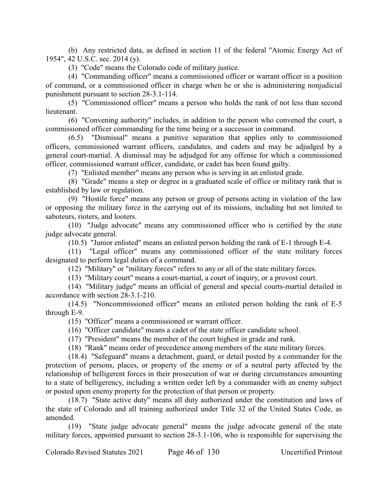(b) Any restricted data, as defined in section 11 of the federal "Atomic Energy Act of 1954", 42 U.S.C. sec. 2014 (y).

(3) "Code" means the Colorado code of military justice.

(4) "Commanding officer" means a commissioned officer or warrant officer in a position of command, or a commissioned officer in charge when he or she is administering nonjudicial punishment pursuant to section 28-3.1-114.

(5) "Commissioned officer" means a person who holds the rank of not less than second lieutenant.

(6) "Convening authority" includes, in addition to the person who convened the court, a commissioned officer commanding for the time being or a successor in command.

(6.5) "Dismissal" means a punitive separation that applies only to commissioned officers, commissioned warrant officers, candidates, and cadets and may be adjudged by a general court-martial. A dismissal may be adjudged for any offense for which a commissioned officer, commissioned warrant officer, candidate, or cadet has been found guilty.

(7) "Enlisted member" means any person who is serving in an enlisted grade.

(8) "Grade" means a step or degree in a graduated scale of office or military rank that is established by law or regulation.

(9) "Hostile force" means any person or group of persons acting in violation of the law or opposing the military force in the carrying out of its missions, including but not limited to saboteurs, rioters, and looters.

(10) "Judge advocate" means any commissioned officer who is certified by the state judge advocate general.

(10.5) "Junior enlisted" means an enlisted person holding the rank of E-1 through E-4.

(11) "Legal officer" means any commissioned officer of the state military forces designated to perform legal duties of a command.

(12) "Military" or "military forces" refers to any or all of the state military forces.

(13) "Military court" means a court-martial, a court of inquiry, or a provost court.

(14) "Military judge" means an official of general and special courts-martial detailed in accordance with section 28-3.1-210.

(14.5) "Noncommissioned officer" means an enlisted person holding the rank of E-5 through E-9.

(15) "Officer" means a commissioned or warrant officer.

(16) "Officer candidate" means a cadet of the state officer candidate school.

(17) "President" means the member of the court highest in grade and rank.

(18) "Rank" means order of precedence among members of the state military forces.

(18.4) "Safeguard" means a detachment, guard, or detail posted by a commander for the protection of persons, places, or property of the enemy or of a neutral party affected by the relationship of belligerent forces in their prosecution of war or during circumstances amounting to a state of belligerency, including a written order left by a commander with an enemy subject or posted upon enemy property for the protection of that person or property.

(18.7) "State active duty" means all duty authorized under the constitution and laws of the state of Colorado and all training authorized under Title 32 of the United States Code, as amended.

(19) "State judge advocate general" means the judge advocate general of the state military forces, appointed pursuant to section 28-3.1-106, who is responsible for supervising the

Colorado Revised Statutes 2021 Page 46 of 130 Uncertified Printout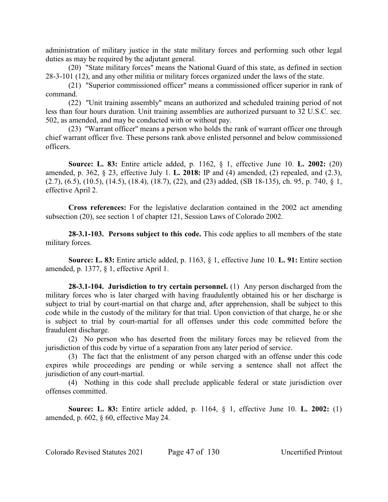administration of military justice in the state military forces and performing such other legal duties as may be required by the adjutant general.

(20) "State military forces" means the National Guard of this state, as defined in section 28-3-101 (12), and any other militia or military forces organized under the laws of the state.

(21) "Superior commissioned officer" means a commissioned officer superior in rank of command.

(22) "Unit training assembly" means an authorized and scheduled training period of not less than four hours duration. Unit training assemblies are authorized pursuant to 32 U.S.C. sec. 502, as amended, and may be conducted with or without pay.

(23) "Warrant officer" means a person who holds the rank of warrant officer one through chief warrant officer five. These persons rank above enlisted personnel and below commissioned officers.

**Source: L. 83:** Entire article added, p. 1162, § 1, effective June 10. **L. 2002:** (20) amended, p. 362, § 23, effective July 1. **L. 2018:** IP and (4) amended, (2) repealed, and (2.3),  $(2.7)$ ,  $(6.5)$ ,  $(10.5)$ ,  $(14.5)$ ,  $(18.4)$ ,  $(18.7)$ ,  $(22)$ , and  $(23)$  added,  $(SB 18-135)$ , ch. 95, p. 740, § 1, effective April 2.

**Cross references:** For the legislative declaration contained in the 2002 act amending subsection (20), see section 1 of chapter 121, Session Laws of Colorado 2002.

**28-3.1-103. Persons subject to this code.** This code applies to all members of the state military forces.

**Source: L. 83:** Entire article added, p. 1163, § 1, effective June 10. **L. 91:** Entire section amended, p. 1377, § 1, effective April 1.

**28-3.1-104. Jurisdiction to try certain personnel.** (1) Any person discharged from the military forces who is later charged with having fraudulently obtained his or her discharge is subject to trial by court-martial on that charge and, after apprehension, shall be subject to this code while in the custody of the military for that trial. Upon conviction of that charge, he or she is subject to trial by court-martial for all offenses under this code committed before the fraudulent discharge.

(2) No person who has deserted from the military forces may be relieved from the jurisdiction of this code by virtue of a separation from any later period of service.

(3) The fact that the enlistment of any person charged with an offense under this code expires while proceedings are pending or while serving a sentence shall not affect the jurisdiction of any court-martial.

(4) Nothing in this code shall preclude applicable federal or state jurisdiction over offenses committed.

**Source: L. 83:** Entire article added, p. 1164, § 1, effective June 10. **L. 2002:** (1) amended, p. 602, § 60, effective May 24.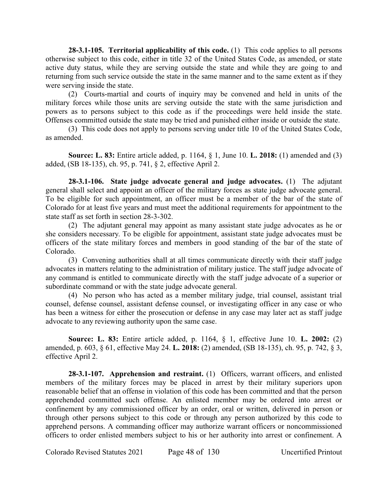**28-3.1-105. Territorial applicability of this code.** (1) This code applies to all persons otherwise subject to this code, either in title 32 of the United States Code, as amended, or state active duty status, while they are serving outside the state and while they are going to and returning from such service outside the state in the same manner and to the same extent as if they were serving inside the state.

(2) Courts-martial and courts of inquiry may be convened and held in units of the military forces while those units are serving outside the state with the same jurisdiction and powers as to persons subject to this code as if the proceedings were held inside the state. Offenses committed outside the state may be tried and punished either inside or outside the state.

(3) This code does not apply to persons serving under title 10 of the United States Code, as amended.

**Source: L. 83:** Entire article added, p. 1164, § 1, June 10. **L. 2018:** (1) amended and (3) added, (SB 18-135), ch. 95, p. 741, § 2, effective April 2.

**28-3.1-106. State judge advocate general and judge advocates.** (1) The adjutant general shall select and appoint an officer of the military forces as state judge advocate general. To be eligible for such appointment, an officer must be a member of the bar of the state of Colorado for at least five years and must meet the additional requirements for appointment to the state staff as set forth in section 28-3-302.

(2) The adjutant general may appoint as many assistant state judge advocates as he or she considers necessary. To be eligible for appointment, assistant state judge advocates must be officers of the state military forces and members in good standing of the bar of the state of Colorado.

(3) Convening authorities shall at all times communicate directly with their staff judge advocates in matters relating to the administration of military justice. The staff judge advocate of any command is entitled to communicate directly with the staff judge advocate of a superior or subordinate command or with the state judge advocate general.

(4) No person who has acted as a member military judge, trial counsel, assistant trial counsel, defense counsel, assistant defense counsel, or investigating officer in any case or who has been a witness for either the prosecution or defense in any case may later act as staff judge advocate to any reviewing authority upon the same case.

**Source: L. 83:** Entire article added, p. 1164, § 1, effective June 10. **L. 2002:** (2) amended, p. 603, § 61, effective May 24. **L. 2018:** (2) amended, (SB 18-135), ch. 95, p. 742, § 3, effective April 2.

**28-3.1-107. Apprehension and restraint.** (1) Officers, warrant officers, and enlisted members of the military forces may be placed in arrest by their military superiors upon reasonable belief that an offense in violation of this code has been committed and that the person apprehended committed such offense. An enlisted member may be ordered into arrest or confinement by any commissioned officer by an order, oral or written, delivered in person or through other persons subject to this code or through any person authorized by this code to apprehend persons. A commanding officer may authorize warrant officers or noncommissioned officers to order enlisted members subject to his or her authority into arrest or confinement. A

Colorado Revised Statutes 2021 Page 48 of 130 Uncertified Printout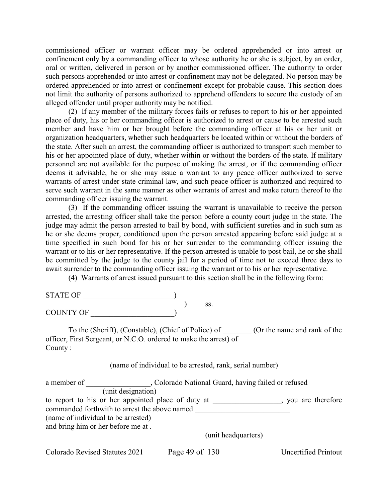commissioned officer or warrant officer may be ordered apprehended or into arrest or confinement only by a commanding officer to whose authority he or she is subject, by an order, oral or written, delivered in person or by another commissioned officer. The authority to order such persons apprehended or into arrest or confinement may not be delegated. No person may be ordered apprehended or into arrest or confinement except for probable cause. This section does not limit the authority of persons authorized to apprehend offenders to secure the custody of an alleged offender until proper authority may be notified.

(2) If any member of the military forces fails or refuses to report to his or her appointed place of duty, his or her commanding officer is authorized to arrest or cause to be arrested such member and have him or her brought before the commanding officer at his or her unit or organization headquarters, whether such headquarters be located within or without the borders of the state. After such an arrest, the commanding officer is authorized to transport such member to his or her appointed place of duty, whether within or without the borders of the state. If military personnel are not available for the purpose of making the arrest, or if the commanding officer deems it advisable, he or she may issue a warrant to any peace officer authorized to serve warrants of arrest under state criminal law, and such peace officer is authorized and required to serve such warrant in the same manner as other warrants of arrest and make return thereof to the commanding officer issuing the warrant.

(3) If the commanding officer issuing the warrant is unavailable to receive the person arrested, the arresting officer shall take the person before a county court judge in the state. The judge may admit the person arrested to bail by bond, with sufficient sureties and in such sum as he or she deems proper, conditioned upon the person arrested appearing before said judge at a time specified in such bond for his or her surrender to the commanding officer issuing the warrant or to his or her representative. If the person arrested is unable to post bail, he or she shall be committed by the judge to the county jail for a period of time not to exceed three days to await surrender to the commanding officer issuing the warrant or to his or her representative.

(4) Warrants of arrest issued pursuant to this section shall be in the following form:

| <b>STATE OF</b>  |  |     |
|------------------|--|-----|
|                  |  | 55. |
| <b>COUNTY OF</b> |  |     |

To the (Sheriff), (Constable), (Chief of Police) of (Or the name and rank of the officer, First Sergeant, or N.C.O. ordered to make the arrest) of County :

(name of individual to be arrested, rank, serial number)

| a member of                                   | , Colorado National Guard, having failed or refused |                     |  |
|-----------------------------------------------|-----------------------------------------------------|---------------------|--|
|                                               | (unit designation)                                  |                     |  |
|                                               | to report to his or her appointed place of duty at  | , you are therefore |  |
| commanded forthwith to arrest the above named |                                                     |                     |  |
| (name of individual to be arrested)           |                                                     |                     |  |
| and bring him or her before me at.            |                                                     |                     |  |
|                                               | (unit headquarters)                                 |                     |  |

Colorado Revised Statutes 2021 Page 49 of 130 Uncertified Printout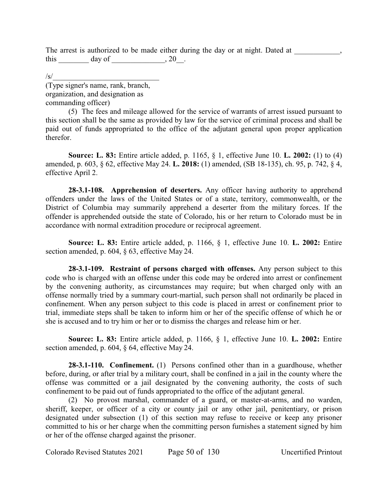The arrest is authorized to be made either during the day or at night. Dated at  $\qquad \qquad$ , this day of , 20.

 $\sqrt{s}/$ 

(Type signer's name, rank, branch, organization, and designation as commanding officer)

(5) The fees and mileage allowed for the service of warrants of arrest issued pursuant to this section shall be the same as provided by law for the service of criminal process and shall be paid out of funds appropriated to the office of the adjutant general upon proper application therefor.

**Source: L. 83:** Entire article added, p. 1165, § 1, effective June 10. **L. 2002:** (1) to (4) amended, p. 603, § 62, effective May 24. **L. 2018:** (1) amended, (SB 18-135), ch. 95, p. 742, § 4, effective April 2.

**28-3.1-108. Apprehension of deserters.** Any officer having authority to apprehend offenders under the laws of the United States or of a state, territory, commonwealth, or the District of Columbia may summarily apprehend a deserter from the military forces. If the offender is apprehended outside the state of Colorado, his or her return to Colorado must be in accordance with normal extradition procedure or reciprocal agreement.

**Source: L. 83:** Entire article added, p. 1166, § 1, effective June 10. **L. 2002:** Entire section amended, p. 604, § 63, effective May 24.

**28-3.1-109. Restraint of persons charged with offenses.** Any person subject to this code who is charged with an offense under this code may be ordered into arrest or confinement by the convening authority, as circumstances may require; but when charged only with an offense normally tried by a summary court-martial, such person shall not ordinarily be placed in confinement. When any person subject to this code is placed in arrest or confinement prior to trial, immediate steps shall be taken to inform him or her of the specific offense of which he or she is accused and to try him or her or to dismiss the charges and release him or her.

**Source: L. 83:** Entire article added, p. 1166, § 1, effective June 10. **L. 2002:** Entire section amended, p. 604, § 64, effective May 24.

**28-3.1-110. Confinement.** (1) Persons confined other than in a guardhouse, whether before, during, or after trial by a military court, shall be confined in a jail in the county where the offense was committed or a jail designated by the convening authority, the costs of such confinement to be paid out of funds appropriated to the office of the adjutant general.

(2) No provost marshal, commander of a guard, or master-at-arms, and no warden, sheriff, keeper, or officer of a city or county jail or any other jail, penitentiary, or prison designated under subsection (1) of this section may refuse to receive or keep any prisoner committed to his or her charge when the committing person furnishes a statement signed by him or her of the offense charged against the prisoner.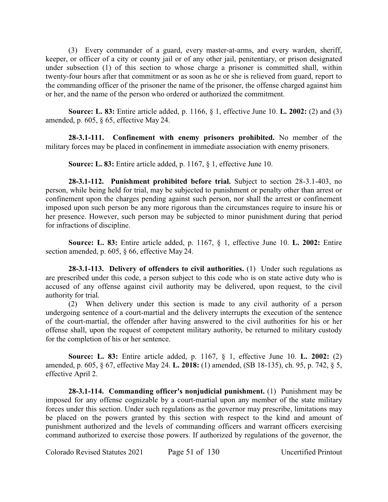(3) Every commander of a guard, every master-at-arms, and every warden, sheriff, keeper, or officer of a city or county jail or of any other jail, penitentiary, or prison designated under subsection (1) of this section to whose charge a prisoner is committed shall, within twenty-four hours after that commitment or as soon as he or she is relieved from guard, report to the commanding officer of the prisoner the name of the prisoner, the offense charged against him or her, and the name of the person who ordered or authorized the commitment.

**Source: L. 83:** Entire article added, p. 1166, § 1, effective June 10. **L. 2002:** (2) and (3) amended, p. 605, § 65, effective May 24.

**28-3.1-111. Confinement with enemy prisoners prohibited.** No member of the military forces may be placed in confinement in immediate association with enemy prisoners.

**Source: L. 83:** Entire article added, p. 1167, § 1, effective June 10.

**28-3.1-112. Punishment prohibited before trial.** Subject to section 28-3.1-403, no person, while being held for trial, may be subjected to punishment or penalty other than arrest or confinement upon the charges pending against such person, nor shall the arrest or confinement imposed upon such person be any more rigorous than the circumstances require to insure his or her presence. However, such person may be subjected to minor punishment during that period for infractions of discipline.

**Source: L. 83:** Entire article added, p. 1167, § 1, effective June 10. **L. 2002:** Entire section amended, p. 605, § 66, effective May 24.

**28-3.1-113. Delivery of offenders to civil authorities.** (1) Under such regulations as are prescribed under this code, a person subject to this code who is on state active duty who is accused of any offense against civil authority may be delivered, upon request, to the civil authority for trial.

(2) When delivery under this section is made to any civil authority of a person undergoing sentence of a court-martial and the delivery interrupts the execution of the sentence of the court-martial, the offender after having answered to the civil authorities for his or her offense shall, upon the request of competent military authority, be returned to military custody for the completion of his or her sentence.

**Source: L. 83:** Entire article added, p. 1167, § 1, effective June 10. **L. 2002:** (2) amended, p. 605, § 67, effective May 24. **L. 2018:** (1) amended, (SB 18-135), ch. 95, p. 742, § 5, effective April 2.

**28-3.1-114. Commanding officer's nonjudicial punishment.** (1) Punishment may be imposed for any offense cognizable by a court-martial upon any member of the state military forces under this section. Under such regulations as the governor may prescribe, limitations may be placed on the powers granted by this section with respect to the kind and amount of punishment authorized and the levels of commanding officers and warrant officers exercising command authorized to exercise those powers. If authorized by regulations of the governor, the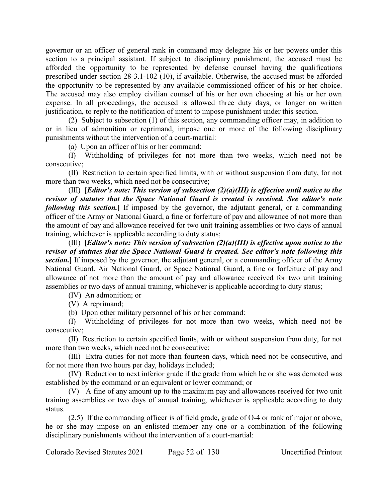governor or an officer of general rank in command may delegate his or her powers under this section to a principal assistant. If subject to disciplinary punishment, the accused must be afforded the opportunity to be represented by defense counsel having the qualifications prescribed under section 28-3.1-102 (10), if available. Otherwise, the accused must be afforded the opportunity to be represented by any available commissioned officer of his or her choice. The accused may also employ civilian counsel of his or her own choosing at his or her own expense. In all proceedings, the accused is allowed three duty days, or longer on written justification, to reply to the notification of intent to impose punishment under this section.

(2) Subject to subsection (1) of this section, any commanding officer may, in addition to or in lieu of admonition or reprimand, impose one or more of the following disciplinary punishments without the intervention of a court-martial:

(a) Upon an officer of his or her command:

(I) Withholding of privileges for not more than two weeks, which need not be consecutive;

(II) Restriction to certain specified limits, with or without suspension from duty, for not more than two weeks, which need not be consecutive;

(III) **[***Editor's note: This version of subsection (2)(a)(III) is effective until notice to the revisor of statutes that the Space National Guard is created is received. See editor's note following this section.* If imposed by the governor, the adjutant general, or a commanding officer of the Army or National Guard, a fine or forfeiture of pay and allowance of not more than the amount of pay and allowance received for two unit training assemblies or two days of annual training, whichever is applicable according to duty status;

(III) **[***Editor's note: This version of subsection (2)(a)(III) is effective upon notice to the revisor of statutes that the Space National Guard is created. See editor's note following this section.***]** If imposed by the governor, the adjutant general, or a commanding officer of the Army National Guard, Air National Guard, or Space National Guard, a fine or forfeiture of pay and allowance of not more than the amount of pay and allowance received for two unit training assemblies or two days of annual training, whichever is applicable according to duty status;

(IV) An admonition; or

(V) A reprimand;

(b) Upon other military personnel of his or her command:

(I) Withholding of privileges for not more than two weeks, which need not be consecutive;

(II) Restriction to certain specified limits, with or without suspension from duty, for not more than two weeks, which need not be consecutive;

(III) Extra duties for not more than fourteen days, which need not be consecutive, and for not more than two hours per day, holidays included;

(IV) Reduction to next inferior grade if the grade from which he or she was demoted was established by the command or an equivalent or lower command; or

(V) A fine of any amount up to the maximum pay and allowances received for two unit training assemblies or two days of annual training, whichever is applicable according to duty status.

(2.5) If the commanding officer is of field grade, grade of O-4 or rank of major or above, he or she may impose on an enlisted member any one or a combination of the following disciplinary punishments without the intervention of a court-martial: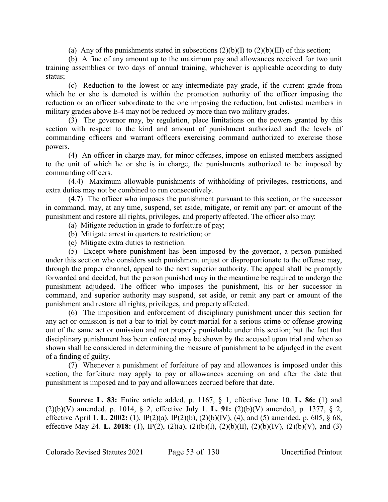(a) Any of the punishments stated in subsections  $(2)(b)(I)$  to  $(2)(b)(III)$  of this section;

(b) A fine of any amount up to the maximum pay and allowances received for two unit training assemblies or two days of annual training, whichever is applicable according to duty status;

(c) Reduction to the lowest or any intermediate pay grade, if the current grade from which he or she is demoted is within the promotion authority of the officer imposing the reduction or an officer subordinate to the one imposing the reduction, but enlisted members in military grades above E-4 may not be reduced by more than two military grades.

(3) The governor may, by regulation, place limitations on the powers granted by this section with respect to the kind and amount of punishment authorized and the levels of commanding officers and warrant officers exercising command authorized to exercise those powers.

(4) An officer in charge may, for minor offenses, impose on enlisted members assigned to the unit of which he or she is in charge, the punishments authorized to be imposed by commanding officers.

(4.4) Maximum allowable punishments of withholding of privileges, restrictions, and extra duties may not be combined to run consecutively.

(4.7) The officer who imposes the punishment pursuant to this section, or the successor in command, may, at any time, suspend, set aside, mitigate, or remit any part or amount of the punishment and restore all rights, privileges, and property affected. The officer also may:

- (a) Mitigate reduction in grade to forfeiture of pay;
- (b) Mitigate arrest in quarters to restriction; or
- (c) Mitigate extra duties to restriction.

(5) Except where punishment has been imposed by the governor, a person punished under this section who considers such punishment unjust or disproportionate to the offense may, through the proper channel, appeal to the next superior authority. The appeal shall be promptly forwarded and decided, but the person punished may in the meantime be required to undergo the punishment adjudged. The officer who imposes the punishment, his or her successor in command, and superior authority may suspend, set aside, or remit any part or amount of the punishment and restore all rights, privileges, and property affected.

(6) The imposition and enforcement of disciplinary punishment under this section for any act or omission is not a bar to trial by court-martial for a serious crime or offense growing out of the same act or omission and not properly punishable under this section; but the fact that disciplinary punishment has been enforced may be shown by the accused upon trial and when so shown shall be considered in determining the measure of punishment to be adjudged in the event of a finding of guilty.

(7) Whenever a punishment of forfeiture of pay and allowances is imposed under this section, the forfeiture may apply to pay or allowances accruing on and after the date that punishment is imposed and to pay and allowances accrued before that date.

**Source: L. 83:** Entire article added, p. 1167, § 1, effective June 10. **L. 86:** (1) and (2)(b)(V) amended, p. 1014, § 2, effective July 1. **L. 91:** (2)(b)(V) amended, p. 1377, § 2, effective April 1. **L. 2002:** (1), IP(2)(a), IP(2)(b), (2)(b)(IV), (4), and (5) amended, p. 605, § 68, effective May 24. **L. 2018:** (1), IP(2), (2)(a), (2)(b)(I), (2)(b)(II), (2)(b)(IV), (2)(b)(V), and (3)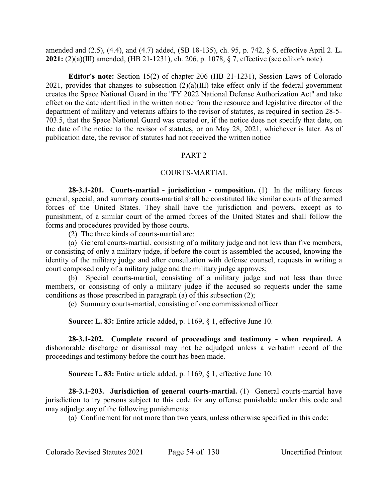amended and (2.5), (4.4), and (4.7) added, (SB 18-135), ch. 95, p. 742, § 6, effective April 2. **L. 2021:** (2)(a)(III) amended, (HB 21-1231), ch. 206, p. 1078, § 7, effective (see editor's note).

**Editor's note:** Section 15(2) of chapter 206 (HB 21-1231), Session Laws of Colorado 2021, provides that changes to subsection  $(2)(a)(III)$  take effect only if the federal government creates the Space National Guard in the "FY 2022 National Defense Authorization Act" and take effect on the date identified in the written notice from the resource and legislative director of the department of military and veterans affairs to the revisor of statutes, as required in section 28-5- 703.5, that the Space National Guard was created or, if the notice does not specify that date, on the date of the notice to the revisor of statutes, or on May 28, 2021, whichever is later. As of publication date, the revisor of statutes had not received the written notice

### PART 2

### COURTS-MARTIAL

**28-3.1-201. Courts-martial - jurisdiction - composition.** (1) In the military forces general, special, and summary courts-martial shall be constituted like similar courts of the armed forces of the United States. They shall have the jurisdiction and powers, except as to punishment, of a similar court of the armed forces of the United States and shall follow the forms and procedures provided by those courts.

(2) The three kinds of courts-martial are:

(a) General courts-martial, consisting of a military judge and not less than five members, or consisting of only a military judge, if before the court is assembled the accused, knowing the identity of the military judge and after consultation with defense counsel, requests in writing a court composed only of a military judge and the military judge approves;

(b) Special courts-martial, consisting of a military judge and not less than three members, or consisting of only a military judge if the accused so requests under the same conditions as those prescribed in paragraph (a) of this subsection (2);

(c) Summary courts-martial, consisting of one commissioned officer.

**Source: L. 83:** Entire article added, p. 1169, § 1, effective June 10.

**28-3.1-202. Complete record of proceedings and testimony - when required.** A dishonorable discharge or dismissal may not be adjudged unless a verbatim record of the proceedings and testimony before the court has been made.

**Source: L. 83:** Entire article added, p. 1169, § 1, effective June 10.

**28-3.1-203. Jurisdiction of general courts-martial.** (1) General courts-martial have jurisdiction to try persons subject to this code for any offense punishable under this code and may adjudge any of the following punishments:

(a) Confinement for not more than two years, unless otherwise specified in this code;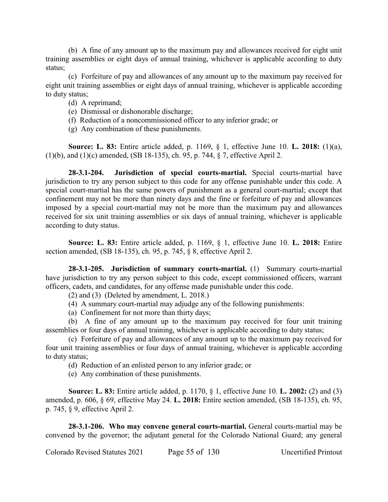(b) A fine of any amount up to the maximum pay and allowances received for eight unit training assemblies or eight days of annual training, whichever is applicable according to duty status;

(c) Forfeiture of pay and allowances of any amount up to the maximum pay received for eight unit training assemblies or eight days of annual training, whichever is applicable according to duty status;

### (d) A reprimand;

- (e) Dismissal or dishonorable discharge;
- (f) Reduction of a noncommissioned officer to any inferior grade; or
- (g) Any combination of these punishments.

**Source: L. 83:** Entire article added, p. 1169, § 1, effective June 10. **L. 2018:** (1)(a), (1)(b), and (1)(c) amended, (SB 18-135), ch. 95, p. 744, § 7, effective April 2.

**28-3.1-204. Jurisdiction of special courts-martial.** Special courts-martial have jurisdiction to try any person subject to this code for any offense punishable under this code. A special court-martial has the same powers of punishment as a general court-martial; except that confinement may not be more than ninety days and the fine or forfeiture of pay and allowances imposed by a special court-martial may not be more than the maximum pay and allowances received for six unit training assemblies or six days of annual training, whichever is applicable according to duty status.

**Source: L. 83:** Entire article added, p. 1169, § 1, effective June 10. **L. 2018:** Entire section amended, (SB 18-135), ch. 95, p. 745, § 8, effective April 2.

**28-3.1-205. Jurisdiction of summary courts-martial.** (1) Summary courts-martial have jurisdiction to try any person subject to this code, except commissioned officers, warrant officers, cadets, and candidates, for any offense made punishable under this code.

(2) and (3) (Deleted by amendment, L. 2018.)

- (4) A summary court-martial may adjudge any of the following punishments:
- (a) Confinement for not more than thirty days;

(b) A fine of any amount up to the maximum pay received for four unit training assemblies or four days of annual training, whichever is applicable according to duty status;

(c) Forfeiture of pay and allowances of any amount up to the maximum pay received for four unit training assemblies or four days of annual training, whichever is applicable according to duty status;

(d) Reduction of an enlisted person to any inferior grade; or

(e) Any combination of these punishments.

**Source: L. 83:** Entire article added, p. 1170, § 1, effective June 10. **L. 2002:** (2) and (3) amended, p. 606, § 69, effective May 24. **L. 2018:** Entire section amended, (SB 18-135), ch. 95, p. 745, § 9, effective April 2.

**28-3.1-206. Who may convene general courts-martial.** General courts-martial may be convened by the governor; the adjutant general for the Colorado National Guard; any general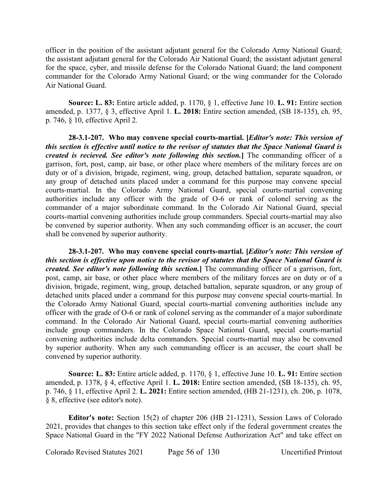officer in the position of the assistant adjutant general for the Colorado Army National Guard; the assistant adjutant general for the Colorado Air National Guard; the assistant adjutant general for the space, cyber, and missile defense for the Colorado National Guard; the land component commander for the Colorado Army National Guard; or the wing commander for the Colorado Air National Guard.

**Source: L. 83:** Entire article added, p. 1170, § 1, effective June 10. **L. 91:** Entire section amended, p. 1377, § 3, effective April 1. **L. 2018:** Entire section amended, (SB 18-135), ch. 95, p. 746, § 10, effective April 2.

**28-3.1-207. Who may convene special courts-martial. [***Editor's note: This version of this section is effective until notice to the revisor of statutes that the Space National Guard is created is recieved. See editor's note following this section.***]** The commanding officer of a garrison, fort, post, camp, air base, or other place where members of the military forces are on duty or of a division, brigade, regiment, wing, group, detached battalion, separate squadron, or any group of detached units placed under a command for this purpose may convene special courts-martial. In the Colorado Army National Guard, special courts-martial convening authorities include any officer with the grade of O-6 or rank of colonel serving as the commander of a major subordinate command. In the Colorado Air National Guard, special courts-martial convening authorities include group commanders. Special courts-martial may also be convened by superior authority. When any such commanding officer is an accuser, the court shall be convened by superior authority.

**28-3.1-207. Who may convene special courts-martial. [***Editor's note: This version of this section is effective upon notice to the revisor of statutes that the Space National Guard is created. See editor's note following this section.***]** The commanding officer of a garrison, fort, post, camp, air base, or other place where members of the military forces are on duty or of a division, brigade, regiment, wing, group, detached battalion, separate squadron, or any group of detached units placed under a command for this purpose may convene special courts-martial. In the Colorado Army National Guard, special courts-martial convening authorities include any officer with the grade of O-6 or rank of colonel serving as the commander of a major subordinate command. In the Colorado Air National Guard, special courts-martial convening authorities include group commanders. In the Colorado Space National Guard, special courts-martial convening authorities include delta commanders. Special courts-martial may also be convened by superior authority. When any such commanding officer is an accuser, the court shall be convened by superior authority.

**Source: L. 83:** Entire article added, p. 1170, § 1, effective June 10. **L. 91:** Entire section amended, p. 1378, § 4, effective April 1. **L. 2018:** Entire section amended, (SB 18-135), ch. 95, p. 746, § 11, effective April 2. **L. 2021:** Entire section amended, (HB 21-1231), ch. 206, p. 1078, § 8, effective (see editor's note).

**Editor's note:** Section 15(2) of chapter 206 (HB 21-1231), Session Laws of Colorado 2021, provides that changes to this section take effect only if the federal government creates the Space National Guard in the "FY 2022 National Defense Authorization Act" and take effect on

Colorado Revised Statutes 2021 Page 56 of 130 Uncertified Printout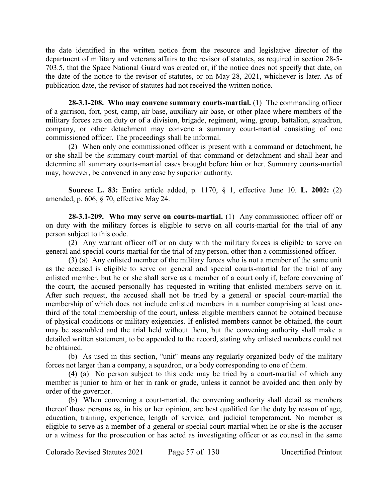the date identified in the written notice from the resource and legislative director of the department of military and veterans affairs to the revisor of statutes, as required in section 28-5- 703.5, that the Space National Guard was created or, if the notice does not specify that date, on the date of the notice to the revisor of statutes, or on May 28, 2021, whichever is later. As of publication date, the revisor of statutes had not received the written notice.

**28-3.1-208. Who may convene summary courts-martial.** (1) The commanding officer of a garrison, fort, post, camp, air base, auxiliary air base, or other place where members of the military forces are on duty or of a division, brigade, regiment, wing, group, battalion, squadron, company, or other detachment may convene a summary court-martial consisting of one commissioned officer. The proceedings shall be informal.

(2) When only one commissioned officer is present with a command or detachment, he or she shall be the summary court-martial of that command or detachment and shall hear and determine all summary courts-martial cases brought before him or her. Summary courts-martial may, however, be convened in any case by superior authority.

**Source: L. 83:** Entire article added, p. 1170, § 1, effective June 10. **L. 2002:** (2) amended, p. 606, § 70, effective May 24.

**28-3.1-209. Who may serve on courts-martial.** (1) Any commissioned officer off or on duty with the military forces is eligible to serve on all courts-martial for the trial of any person subject to this code.

(2) Any warrant officer off or on duty with the military forces is eligible to serve on general and special courts-martial for the trial of any person, other than a commissioned officer.

(3) (a) Any enlisted member of the military forces who is not a member of the same unit as the accused is eligible to serve on general and special courts-martial for the trial of any enlisted member, but he or she shall serve as a member of a court only if, before convening of the court, the accused personally has requested in writing that enlisted members serve on it. After such request, the accused shall not be tried by a general or special court-martial the membership of which does not include enlisted members in a number comprising at least onethird of the total membership of the court, unless eligible members cannot be obtained because of physical conditions or military exigencies. If enlisted members cannot be obtained, the court may be assembled and the trial held without them, but the convening authority shall make a detailed written statement, to be appended to the record, stating why enlisted members could not be obtained.

(b) As used in this section, "unit" means any regularly organized body of the military forces not larger than a company, a squadron, or a body corresponding to one of them.

(4) (a) No person subject to this code may be tried by a court-martial of which any member is junior to him or her in rank or grade, unless it cannot be avoided and then only by order of the governor.

(b) When convening a court-martial, the convening authority shall detail as members thereof those persons as, in his or her opinion, are best qualified for the duty by reason of age, education, training, experience, length of service, and judicial temperament. No member is eligible to serve as a member of a general or special court-martial when he or she is the accuser or a witness for the prosecution or has acted as investigating officer or as counsel in the same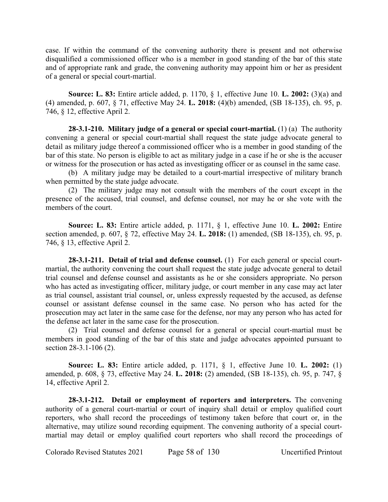case. If within the command of the convening authority there is present and not otherwise disqualified a commissioned officer who is a member in good standing of the bar of this state and of appropriate rank and grade, the convening authority may appoint him or her as president of a general or special court-martial.

**Source: L. 83:** Entire article added, p. 1170, § 1, effective June 10. **L. 2002:** (3)(a) and (4) amended, p. 607, § 71, effective May 24. **L. 2018:** (4)(b) amended, (SB 18-135), ch. 95, p. 746, § 12, effective April 2.

**28-3.1-210. Military judge of a general or special court-martial.** (1) (a) The authority convening a general or special court-martial shall request the state judge advocate general to detail as military judge thereof a commissioned officer who is a member in good standing of the bar of this state. No person is eligible to act as military judge in a case if he or she is the accuser or witness for the prosecution or has acted as investigating officer or as counsel in the same case.

(b) A military judge may be detailed to a court-martial irrespective of military branch when permitted by the state judge advocate.

(2) The military judge may not consult with the members of the court except in the presence of the accused, trial counsel, and defense counsel, nor may he or she vote with the members of the court.

**Source: L. 83:** Entire article added, p. 1171, § 1, effective June 10. **L. 2002:** Entire section amended, p. 607, § 72, effective May 24. **L. 2018:** (1) amended, (SB 18-135), ch. 95, p. 746, § 13, effective April 2.

**28-3.1-211. Detail of trial and defense counsel.** (1) For each general or special courtmartial, the authority convening the court shall request the state judge advocate general to detail trial counsel and defense counsel and assistants as he or she considers appropriate. No person who has acted as investigating officer, military judge, or court member in any case may act later as trial counsel, assistant trial counsel, or, unless expressly requested by the accused, as defense counsel or assistant defense counsel in the same case. No person who has acted for the prosecution may act later in the same case for the defense, nor may any person who has acted for the defense act later in the same case for the prosecution.

(2) Trial counsel and defense counsel for a general or special court-martial must be members in good standing of the bar of this state and judge advocates appointed pursuant to section 28-3.1-106 (2).

**Source: L. 83:** Entire article added, p. 1171, § 1, effective June 10. **L. 2002:** (1) amended, p. 608, § 73, effective May 24. **L. 2018:** (2) amended, (SB 18-135), ch. 95, p. 747, § 14, effective April 2.

**28-3.1-212. Detail or employment of reporters and interpreters.** The convening authority of a general court-martial or court of inquiry shall detail or employ qualified court reporters, who shall record the proceedings of testimony taken before that court or, in the alternative, may utilize sound recording equipment. The convening authority of a special courtmartial may detail or employ qualified court reporters who shall record the proceedings of

Colorado Revised Statutes 2021 Page 58 of 130 Uncertified Printout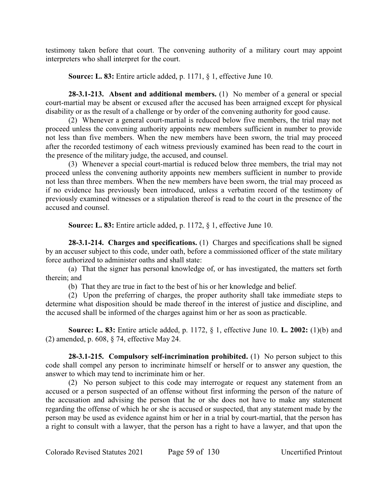testimony taken before that court. The convening authority of a military court may appoint interpreters who shall interpret for the court.

**Source: L. 83:** Entire article added, p. 1171, § 1, effective June 10.

**28-3.1-213. Absent and additional members.** (1) No member of a general or special court-martial may be absent or excused after the accused has been arraigned except for physical disability or as the result of a challenge or by order of the convening authority for good cause.

(2) Whenever a general court-martial is reduced below five members, the trial may not proceed unless the convening authority appoints new members sufficient in number to provide not less than five members. When the new members have been sworn, the trial may proceed after the recorded testimony of each witness previously examined has been read to the court in the presence of the military judge, the accused, and counsel.

(3) Whenever a special court-martial is reduced below three members, the trial may not proceed unless the convening authority appoints new members sufficient in number to provide not less than three members. When the new members have been sworn, the trial may proceed as if no evidence has previously been introduced, unless a verbatim record of the testimony of previously examined witnesses or a stipulation thereof is read to the court in the presence of the accused and counsel.

**Source: L. 83:** Entire article added, p. 1172, § 1, effective June 10.

**28-3.1-214. Charges and specifications.** (1) Charges and specifications shall be signed by an accuser subject to this code, under oath, before a commissioned officer of the state military force authorized to administer oaths and shall state:

(a) That the signer has personal knowledge of, or has investigated, the matters set forth therein; and

(b) That they are true in fact to the best of his or her knowledge and belief.

(2) Upon the preferring of charges, the proper authority shall take immediate steps to determine what disposition should be made thereof in the interest of justice and discipline, and the accused shall be informed of the charges against him or her as soon as practicable.

**Source: L. 83:** Entire article added, p. 1172, § 1, effective June 10. **L. 2002:** (1)(b) and (2) amended, p. 608, § 74, effective May 24.

**28-3.1-215. Compulsory self-incrimination prohibited.** (1) No person subject to this code shall compel any person to incriminate himself or herself or to answer any question, the answer to which may tend to incriminate him or her.

(2) No person subject to this code may interrogate or request any statement from an accused or a person suspected of an offense without first informing the person of the nature of the accusation and advising the person that he or she does not have to make any statement regarding the offense of which he or she is accused or suspected, that any statement made by the person may be used as evidence against him or her in a trial by court-martial, that the person has a right to consult with a lawyer, that the person has a right to have a lawyer, and that upon the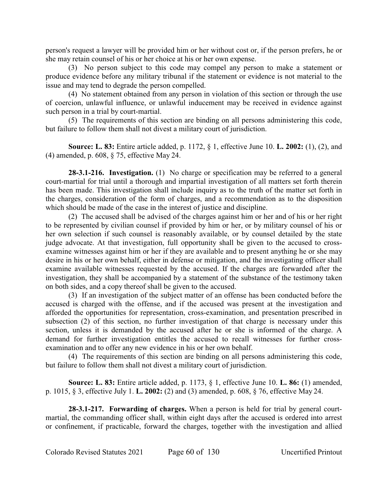person's request a lawyer will be provided him or her without cost or, if the person prefers, he or she may retain counsel of his or her choice at his or her own expense.

(3) No person subject to this code may compel any person to make a statement or produce evidence before any military tribunal if the statement or evidence is not material to the issue and may tend to degrade the person compelled.

(4) No statement obtained from any person in violation of this section or through the use of coercion, unlawful influence, or unlawful inducement may be received in evidence against such person in a trial by court-martial.

(5) The requirements of this section are binding on all persons administering this code, but failure to follow them shall not divest a military court of jurisdiction.

**Source: L. 83:** Entire article added, p. 1172, § 1, effective June 10. **L. 2002:** (1), (2), and (4) amended, p. 608, § 75, effective May 24.

**28-3.1-216. Investigation.** (1) No charge or specification may be referred to a general court-martial for trial until a thorough and impartial investigation of all matters set forth therein has been made. This investigation shall include inquiry as to the truth of the matter set forth in the charges, consideration of the form of charges, and a recommendation as to the disposition which should be made of the case in the interest of justice and discipline.

(2) The accused shall be advised of the charges against him or her and of his or her right to be represented by civilian counsel if provided by him or her, or by military counsel of his or her own selection if such counsel is reasonably available, or by counsel detailed by the state judge advocate. At that investigation, full opportunity shall be given to the accused to crossexamine witnesses against him or her if they are available and to present anything he or she may desire in his or her own behalf, either in defense or mitigation, and the investigating officer shall examine available witnesses requested by the accused. If the charges are forwarded after the investigation, they shall be accompanied by a statement of the substance of the testimony taken on both sides, and a copy thereof shall be given to the accused.

(3) If an investigation of the subject matter of an offense has been conducted before the accused is charged with the offense, and if the accused was present at the investigation and afforded the opportunities for representation, cross-examination, and presentation prescribed in subsection (2) of this section, no further investigation of that charge is necessary under this section, unless it is demanded by the accused after he or she is informed of the charge. A demand for further investigation entitles the accused to recall witnesses for further crossexamination and to offer any new evidence in his or her own behalf.

(4) The requirements of this section are binding on all persons administering this code, but failure to follow them shall not divest a military court of jurisdiction.

**Source: L. 83:** Entire article added, p. 1173, § 1, effective June 10. **L. 86:** (1) amended, p. 1015, § 3, effective July 1. **L. 2002:** (2) and (3) amended, p. 608, § 76, effective May 24.

**28-3.1-217. Forwarding of charges.** When a person is held for trial by general courtmartial, the commanding officer shall, within eight days after the accused is ordered into arrest or confinement, if practicable, forward the charges, together with the investigation and allied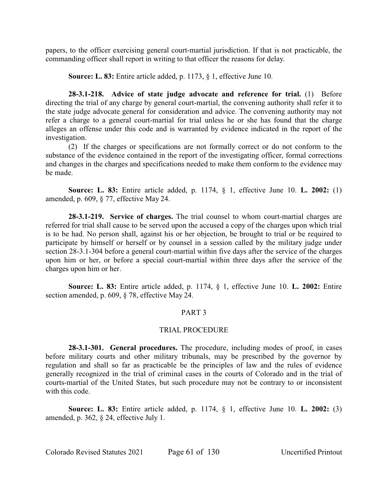papers, to the officer exercising general court-martial jurisdiction. If that is not practicable, the commanding officer shall report in writing to that officer the reasons for delay.

**Source: L. 83:** Entire article added, p. 1173, § 1, effective June 10.

**28-3.1-218. Advice of state judge advocate and reference for trial.** (1) Before directing the trial of any charge by general court-martial, the convening authority shall refer it to the state judge advocate general for consideration and advice. The convening authority may not refer a charge to a general court-martial for trial unless he or she has found that the charge alleges an offense under this code and is warranted by evidence indicated in the report of the investigation.

(2) If the charges or specifications are not formally correct or do not conform to the substance of the evidence contained in the report of the investigating officer, formal corrections and changes in the charges and specifications needed to make them conform to the evidence may be made.

**Source: L. 83:** Entire article added, p. 1174, § 1, effective June 10. **L. 2002:** (1) amended, p. 609, § 77, effective May 24.

**28-3.1-219. Service of charges.** The trial counsel to whom court-martial charges are referred for trial shall cause to be served upon the accused a copy of the charges upon which trial is to be had. No person shall, against his or her objection, be brought to trial or be required to participate by himself or herself or by counsel in a session called by the military judge under section 28-3.1-304 before a general court-martial within five days after the service of the charges upon him or her, or before a special court-martial within three days after the service of the charges upon him or her.

**Source: L. 83:** Entire article added, p. 1174, § 1, effective June 10. **L. 2002:** Entire section amended, p. 609, § 78, effective May 24.

#### PART 3

#### TRIAL PROCEDURE

**28-3.1-301. General procedures.** The procedure, including modes of proof, in cases before military courts and other military tribunals, may be prescribed by the governor by regulation and shall so far as practicable be the principles of law and the rules of evidence generally recognized in the trial of criminal cases in the courts of Colorado and in the trial of courts-martial of the United States, but such procedure may not be contrary to or inconsistent with this code.

**Source: L. 83:** Entire article added, p. 1174, § 1, effective June 10. **L. 2002:** (3) amended, p. 362, § 24, effective July 1.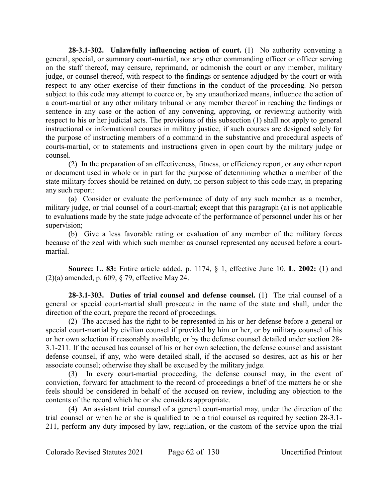**28-3.1-302. Unlawfully influencing action of court.** (1) No authority convening a general, special, or summary court-martial, nor any other commanding officer or officer serving on the staff thereof, may censure, reprimand, or admonish the court or any member, military judge, or counsel thereof, with respect to the findings or sentence adjudged by the court or with respect to any other exercise of their functions in the conduct of the proceeding. No person subject to this code may attempt to coerce or, by any unauthorized means, influence the action of a court-martial or any other military tribunal or any member thereof in reaching the findings or sentence in any case or the action of any convening, approving, or reviewing authority with respect to his or her judicial acts. The provisions of this subsection (1) shall not apply to general instructional or informational courses in military justice, if such courses are designed solely for the purpose of instructing members of a command in the substantive and procedural aspects of courts-martial, or to statements and instructions given in open court by the military judge or counsel.

(2) In the preparation of an effectiveness, fitness, or efficiency report, or any other report or document used in whole or in part for the purpose of determining whether a member of the state military forces should be retained on duty, no person subject to this code may, in preparing any such report:

(a) Consider or evaluate the performance of duty of any such member as a member, military judge, or trial counsel of a court-martial; except that this paragraph (a) is not applicable to evaluations made by the state judge advocate of the performance of personnel under his or her supervision;

(b) Give a less favorable rating or evaluation of any member of the military forces because of the zeal with which such member as counsel represented any accused before a courtmartial.

**Source: L. 83:** Entire article added, p. 1174, § 1, effective June 10. **L. 2002:** (1) and (2)(a) amended, p. 609, § 79, effective May 24.

**28-3.1-303. Duties of trial counsel and defense counsel.** (1) The trial counsel of a general or special court-martial shall prosecute in the name of the state and shall, under the direction of the court, prepare the record of proceedings.

(2) The accused has the right to be represented in his or her defense before a general or special court-martial by civilian counsel if provided by him or her, or by military counsel of his or her own selection if reasonably available, or by the defense counsel detailed under section 28- 3.1-211. If the accused has counsel of his or her own selection, the defense counsel and assistant defense counsel, if any, who were detailed shall, if the accused so desires, act as his or her associate counsel; otherwise they shall be excused by the military judge.

(3) In every court-martial proceeding, the defense counsel may, in the event of conviction, forward for attachment to the record of proceedings a brief of the matters he or she feels should be considered in behalf of the accused on review, including any objection to the contents of the record which he or she considers appropriate.

(4) An assistant trial counsel of a general court-martial may, under the direction of the trial counsel or when he or she is qualified to be a trial counsel as required by section 28-3.1- 211, perform any duty imposed by law, regulation, or the custom of the service upon the trial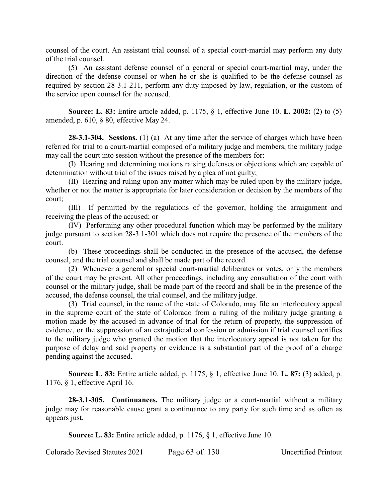counsel of the court. An assistant trial counsel of a special court-martial may perform any duty of the trial counsel.

(5) An assistant defense counsel of a general or special court-martial may, under the direction of the defense counsel or when he or she is qualified to be the defense counsel as required by section 28-3.1-211, perform any duty imposed by law, regulation, or the custom of the service upon counsel for the accused.

**Source: L. 83:** Entire article added, p. 1175, § 1, effective June 10. **L. 2002:** (2) to (5) amended, p. 610, § 80, effective May 24.

**28-3.1-304. Sessions.** (1) (a) At any time after the service of charges which have been referred for trial to a court-martial composed of a military judge and members, the military judge may call the court into session without the presence of the members for:

(I) Hearing and determining motions raising defenses or objections which are capable of determination without trial of the issues raised by a plea of not guilty;

(II) Hearing and ruling upon any matter which may be ruled upon by the military judge, whether or not the matter is appropriate for later consideration or decision by the members of the court;

(III) If permitted by the regulations of the governor, holding the arraignment and receiving the pleas of the accused; or

(IV) Performing any other procedural function which may be performed by the military judge pursuant to section 28-3.1-301 which does not require the presence of the members of the court.

(b) These proceedings shall be conducted in the presence of the accused, the defense counsel, and the trial counsel and shall be made part of the record.

(2) Whenever a general or special court-martial deliberates or votes, only the members of the court may be present. All other proceedings, including any consultation of the court with counsel or the military judge, shall be made part of the record and shall be in the presence of the accused, the defense counsel, the trial counsel, and the military judge.

(3) Trial counsel, in the name of the state of Colorado, may file an interlocutory appeal in the supreme court of the state of Colorado from a ruling of the military judge granting a motion made by the accused in advance of trial for the return of property, the suppression of evidence, or the suppression of an extrajudicial confession or admission if trial counsel certifies to the military judge who granted the motion that the interlocutory appeal is not taken for the purpose of delay and said property or evidence is a substantial part of the proof of a charge pending against the accused.

**Source: L. 83:** Entire article added, p. 1175, § 1, effective June 10. **L. 87:** (3) added, p. 1176, § 1, effective April 16.

**28-3.1-305. Continuances.** The military judge or a court-martial without a military judge may for reasonable cause grant a continuance to any party for such time and as often as appears just.

**Source: L. 83:** Entire article added, p. 1176, § 1, effective June 10.

Colorado Revised Statutes 2021 Page 63 of 130 Uncertified Printout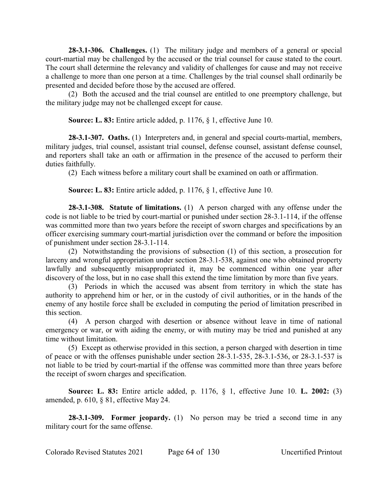**28-3.1-306. Challenges.** (1) The military judge and members of a general or special court-martial may be challenged by the accused or the trial counsel for cause stated to the court. The court shall determine the relevancy and validity of challenges for cause and may not receive a challenge to more than one person at a time. Challenges by the trial counsel shall ordinarily be presented and decided before those by the accused are offered.

(2) Both the accused and the trial counsel are entitled to one preemptory challenge, but the military judge may not be challenged except for cause.

**Source: L. 83:** Entire article added, p. 1176, § 1, effective June 10.

**28-3.1-307. Oaths.** (1) Interpreters and, in general and special courts-martial, members, military judges, trial counsel, assistant trial counsel, defense counsel, assistant defense counsel, and reporters shall take an oath or affirmation in the presence of the accused to perform their duties faithfully.

(2) Each witness before a military court shall be examined on oath or affirmation.

**Source: L. 83:** Entire article added, p. 1176, § 1, effective June 10.

**28-3.1-308. Statute of limitations.** (1) A person charged with any offense under the code is not liable to be tried by court-martial or punished under section 28-3.1-114, if the offense was committed more than two years before the receipt of sworn charges and specifications by an officer exercising summary court-martial jurisdiction over the command or before the imposition of punishment under section 28-3.1-114.

(2) Notwithstanding the provisions of subsection (1) of this section, a prosecution for larceny and wrongful appropriation under section 28-3.1-538, against one who obtained property lawfully and subsequently misappropriated it, may be commenced within one year after discovery of the loss, but in no case shall this extend the time limitation by more than five years.

(3) Periods in which the accused was absent from territory in which the state has authority to apprehend him or her, or in the custody of civil authorities, or in the hands of the enemy of any hostile force shall be excluded in computing the period of limitation prescribed in this section.

(4) A person charged with desertion or absence without leave in time of national emergency or war, or with aiding the enemy, or with mutiny may be tried and punished at any time without limitation.

(5) Except as otherwise provided in this section, a person charged with desertion in time of peace or with the offenses punishable under section 28-3.1-535, 28-3.1-536, or 28-3.1-537 is not liable to be tried by court-martial if the offense was committed more than three years before the receipt of sworn charges and specification.

**Source: L. 83:** Entire article added, p. 1176, § 1, effective June 10. **L. 2002:** (3) amended, p. 610, § 81, effective May 24.

**28-3.1-309. Former jeopardy.** (1) No person may be tried a second time in any military court for the same offense.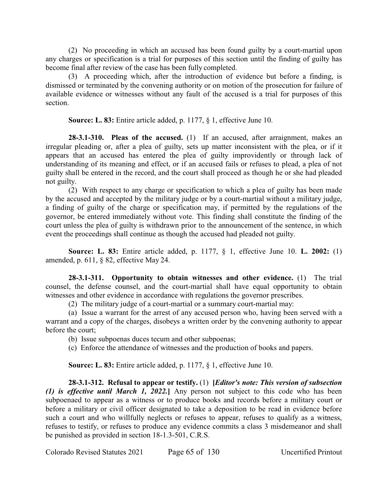(2) No proceeding in which an accused has been found guilty by a court-martial upon any charges or specification is a trial for purposes of this section until the finding of guilty has become final after review of the case has been fully completed.

(3) A proceeding which, after the introduction of evidence but before a finding, is dismissed or terminated by the convening authority or on motion of the prosecution for failure of available evidence or witnesses without any fault of the accused is a trial for purposes of this section.

**Source: L. 83:** Entire article added, p. 1177, § 1, effective June 10.

**28-3.1-310. Pleas of the accused.** (1) If an accused, after arraignment, makes an irregular pleading or, after a plea of guilty, sets up matter inconsistent with the plea, or if it appears that an accused has entered the plea of guilty improvidently or through lack of understanding of its meaning and effect, or if an accused fails or refuses to plead, a plea of not guilty shall be entered in the record, and the court shall proceed as though he or she had pleaded not guilty.

(2) With respect to any charge or specification to which a plea of guilty has been made by the accused and accepted by the military judge or by a court-martial without a military judge, a finding of guilty of the charge or specification may, if permitted by the regulations of the governor, be entered immediately without vote. This finding shall constitute the finding of the court unless the plea of guilty is withdrawn prior to the announcement of the sentence, in which event the proceedings shall continue as though the accused had pleaded not guilty.

**Source: L. 83:** Entire article added, p. 1177, § 1, effective June 10. **L. 2002:** (1) amended, p. 611, § 82, effective May 24.

**28-3.1-311. Opportunity to obtain witnesses and other evidence.** (1) The trial counsel, the defense counsel, and the court-martial shall have equal opportunity to obtain witnesses and other evidence in accordance with regulations the governor prescribes.

(2) The military judge of a court-martial or a summary court-martial may:

(a) Issue a warrant for the arrest of any accused person who, having been served with a warrant and a copy of the charges, disobeys a written order by the convening authority to appear before the court;

- (b) Issue subpoenas duces tecum and other subpoenas;
- (c) Enforce the attendance of witnesses and the production of books and papers.

**Source: L. 83:** Entire article added, p. 1177, § 1, effective June 10.

**28-3.1-312. Refusal to appear or testify.** (1) **[***Editor's note: This version of subsection (1) is effective until March 1, 2022.***]** Any person not subject to this code who has been subpoenaed to appear as a witness or to produce books and records before a military court or before a military or civil officer designated to take a deposition to be read in evidence before such a court and who willfully neglects or refuses to appear, refuses to qualify as a witness, refuses to testify, or refuses to produce any evidence commits a class 3 misdemeanor and shall be punished as provided in section 18-1.3-501, C.R.S.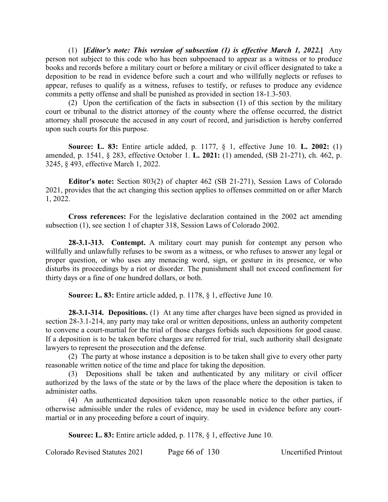(1) **[***Editor's note: This version of subsection (1) is effective March 1, 2022.***]** Any person not subject to this code who has been subpoenaed to appear as a witness or to produce books and records before a military court or before a military or civil officer designated to take a deposition to be read in evidence before such a court and who willfully neglects or refuses to appear, refuses to qualify as a witness, refuses to testify, or refuses to produce any evidence commits a petty offense and shall be punished as provided in section 18-1.3-503.

(2) Upon the certification of the facts in subsection (1) of this section by the military court or tribunal to the district attorney of the county where the offense occurred, the district attorney shall prosecute the accused in any court of record, and jurisdiction is hereby conferred upon such courts for this purpose.

**Source: L. 83:** Entire article added, p. 1177, § 1, effective June 10. **L. 2002:** (1) amended, p. 1541, § 283, effective October 1. **L. 2021:** (1) amended, (SB 21-271), ch. 462, p. 3245, § 493, effective March 1, 2022.

**Editor's note:** Section 803(2) of chapter 462 (SB 21-271), Session Laws of Colorado 2021, provides that the act changing this section applies to offenses committed on or after March 1, 2022.

**Cross references:** For the legislative declaration contained in the 2002 act amending subsection (1), see section 1 of chapter 318, Session Laws of Colorado 2002.

**28-3.1-313. Contempt.** A military court may punish for contempt any person who willfully and unlawfully refuses to be sworn as a witness, or who refuses to answer any legal or proper question, or who uses any menacing word, sign, or gesture in its presence, or who disturbs its proceedings by a riot or disorder. The punishment shall not exceed confinement for thirty days or a fine of one hundred dollars, or both.

**Source: L. 83:** Entire article added, p. 1178, § 1, effective June 10.

**28-3.1-314. Depositions.** (1) At any time after charges have been signed as provided in section 28-3.1-214, any party may take oral or written depositions, unless an authority competent to convene a court-martial for the trial of those charges forbids such depositions for good cause. If a deposition is to be taken before charges are referred for trial, such authority shall designate lawyers to represent the prosecution and the defense.

(2) The party at whose instance a deposition is to be taken shall give to every other party reasonable written notice of the time and place for taking the deposition.

(3) Depositions shall be taken and authenticated by any military or civil officer authorized by the laws of the state or by the laws of the place where the deposition is taken to administer oaths.

(4) An authenticated deposition taken upon reasonable notice to the other parties, if otherwise admissible under the rules of evidence, may be used in evidence before any courtmartial or in any proceeding before a court of inquiry.

**Source: L. 83:** Entire article added, p. 1178, § 1, effective June 10.

Colorado Revised Statutes 2021 Page 66 of 130 Uncertified Printout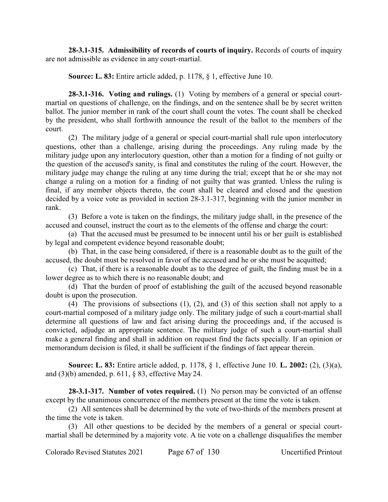**28-3.1-315. Admissibility of records of courts of inquiry.** Records of courts of inquiry are not admissible as evidence in any court-martial.

**Source: L. 83:** Entire article added, p. 1178, § 1, effective June 10.

**28-3.1-316. Voting and rulings.** (1) Voting by members of a general or special courtmartial on questions of challenge, on the findings, and on the sentence shall be by secret written ballot. The junior member in rank of the court shall count the votes. The count shall be checked by the president, who shall forthwith announce the result of the ballot to the members of the court.

(2) The military judge of a general or special court-martial shall rule upon interlocutory questions, other than a challenge, arising during the proceedings. Any ruling made by the military judge upon any interlocutory question, other than a motion for a finding of not guilty or the question of the accused's sanity, is final and constitutes the ruling of the court. However, the military judge may change the ruling at any time during the trial; except that he or she may not change a ruling on a motion for a finding of not guilty that was granted. Unless the ruling is final, if any member objects thereto, the court shall be cleared and closed and the question decided by a voice vote as provided in section 28-3.1-317, beginning with the junior member in rank.

(3) Before a vote is taken on the findings, the military judge shall, in the presence of the accused and counsel, instruct the court as to the elements of the offense and charge the court:

(a) That the accused must be presumed to be innocent until his or her guilt is established by legal and competent evidence beyond reasonable doubt;

(b) That, in the case being considered, if there is a reasonable doubt as to the guilt of the accused, the doubt must be resolved in favor of the accused and he or she must be acquitted;

(c) That, if there is a reasonable doubt as to the degree of guilt, the finding must be in a lower degree as to which there is no reasonable doubt; and

(d) That the burden of proof of establishing the guilt of the accused beyond reasonable doubt is upon the prosecution.

(4) The provisions of subsections (1), (2), and (3) of this section shall not apply to a court-martial composed of a military judge only. The military judge of such a court-martial shall determine all questions of law and fact arising during the proceedings and, if the accused is convicted, adjudge an appropriate sentence. The military judge of such a court-martial shall make a general finding and shall in addition on request find the facts specially. If an opinion or memorandum decision is filed, it shall be sufficient if the findings of fact appear therein.

**Source: L. 83:** Entire article added, p. 1178, § 1, effective June 10. **L. 2002:** (2), (3)(a), and (3)(b) amended, p. 611, § 83, effective May 24.

**28-3.1-317. Number of votes required.** (1) No person may be convicted of an offense except by the unanimous concurrence of the members present at the time the vote is taken.

(2) All sentences shall be determined by the vote of two-thirds of the members present at the time the vote is taken.

(3) All other questions to be decided by the members of a general or special courtmartial shall be determined by a majority vote. A tie vote on a challenge disqualifies the member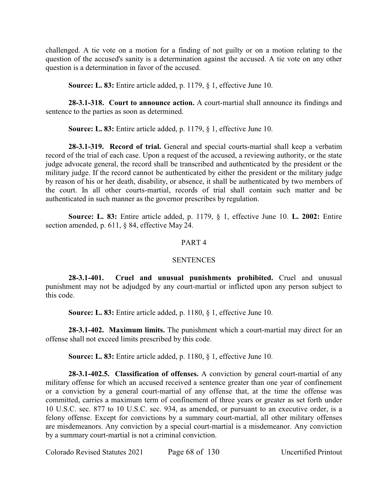challenged. A tie vote on a motion for a finding of not guilty or on a motion relating to the question of the accused's sanity is a determination against the accused. A tie vote on any other question is a determination in favor of the accused.

**Source: L. 83:** Entire article added, p. 1179, § 1, effective June 10.

**28-3.1-318. Court to announce action.** A court-martial shall announce its findings and sentence to the parties as soon as determined.

**Source: L. 83:** Entire article added, p. 1179, § 1, effective June 10.

**28-3.1-319. Record of trial.** General and special courts-martial shall keep a verbatim record of the trial of each case. Upon a request of the accused, a reviewing authority, or the state judge advocate general, the record shall be transcribed and authenticated by the president or the military judge. If the record cannot be authenticated by either the president or the military judge by reason of his or her death, disability, or absence, it shall be authenticated by two members of the court. In all other courts-martial, records of trial shall contain such matter and be authenticated in such manner as the governor prescribes by regulation.

**Source: L. 83:** Entire article added, p. 1179, § 1, effective June 10. **L. 2002:** Entire section amended, p. 611, § 84, effective May 24.

## PART 4

### **SENTENCES**

**28-3.1-401. Cruel and unusual punishments prohibited.** Cruel and unusual punishment may not be adjudged by any court-martial or inflicted upon any person subject to this code.

**Source: L. 83:** Entire article added, p. 1180, § 1, effective June 10.

**28-3.1-402. Maximum limits.** The punishment which a court-martial may direct for an offense shall not exceed limits prescribed by this code.

**Source: L. 83:** Entire article added, p. 1180, § 1, effective June 10.

**28-3.1-402.5. Classification of offenses.** A conviction by general court-martial of any military offense for which an accused received a sentence greater than one year of confinement or a conviction by a general court-martial of any offense that, at the time the offense was committed, carries a maximum term of confinement of three years or greater as set forth under 10 U.S.C. sec. 877 to 10 U.S.C. sec. 934, as amended, or pursuant to an executive order, is a felony offense. Except for convictions by a summary court-martial, all other military offenses are misdemeanors. Any conviction by a special court-martial is a misdemeanor. Any conviction by a summary court-martial is not a criminal conviction.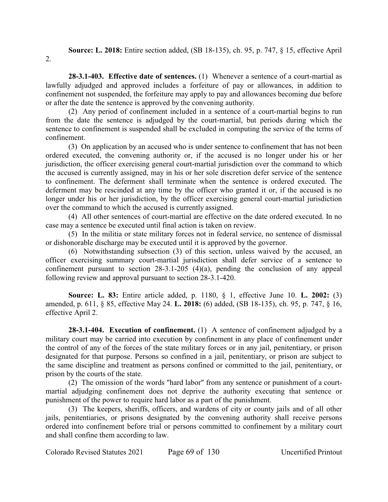**Source: L. 2018:** Entire section added, (SB 18-135), ch. 95, p. 747, § 15, effective April

2.

**28-3.1-403. Effective date of sentences.** (1) Whenever a sentence of a court-martial as lawfully adjudged and approved includes a forfeiture of pay or allowances, in addition to confinement not suspended, the forfeiture may apply to pay and allowances becoming due before or after the date the sentence is approved by the convening authority.

(2) Any period of confinement included in a sentence of a court-martial begins to run from the date the sentence is adjudged by the court-martial, but periods during which the sentence to confinement is suspended shall be excluded in computing the service of the terms of confinement.

(3) On application by an accused who is under sentence to confinement that has not been ordered executed, the convening authority or, if the accused is no longer under his or her jurisdiction, the officer exercising general court-martial jurisdiction over the command to which the accused is currently assigned, may in his or her sole discretion defer service of the sentence to confinement. The deferment shall terminate when the sentence is ordered executed. The deferment may be rescinded at any time by the officer who granted it or, if the accused is no longer under his or her jurisdiction, by the officer exercising general court-martial jurisdiction over the command to which the accused is currently assigned.

(4) All other sentences of court-martial are effective on the date ordered executed. In no case may a sentence be executed until final action is taken on review.

(5) In the militia or state military forces not in federal service, no sentence of dismissal or dishonorable discharge may be executed until it is approved by the governor.

(6) Notwithstanding subsection (3) of this section, unless waived by the accused, an officer exercising summary court-martial jurisdiction shall defer service of a sentence to confinement pursuant to section 28-3.1-205 (4)(a), pending the conclusion of any appeal following review and approval pursuant to section 28-3.1-420.

**Source: L. 83:** Entire article added, p. 1180, § 1, effective June 10. **L. 2002:** (3) amended, p. 611, § 85, effective May 24. **L. 2018:** (6) added, (SB 18-135), ch. 95, p. 747, § 16, effective April 2.

**28-3.1-404. Execution of confinement.** (1) A sentence of confinement adjudged by a military court may be carried into execution by confinement in any place of confinement under the control of any of the forces of the state military forces or in any jail, penitentiary, or prison designated for that purpose. Persons so confined in a jail, penitentiary, or prison are subject to the same discipline and treatment as persons confined or committed to the jail, penitentiary, or prison by the courts of the state.

(2) The omission of the words "hard labor" from any sentence or punishment of a courtmartial adjudging confinement does not deprive the authority executing that sentence or punishment of the power to require hard labor as a part of the punishment.

(3) The keepers, sheriffs, officers, and wardens of city or county jails and of all other jails, penitentiaries, or prisons designated by the convening authority shall receive persons ordered into confinement before trial or persons committed to confinement by a military court and shall confine them according to law.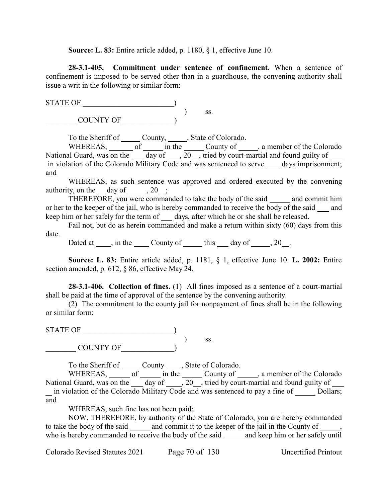**Source: L. 83:** Entire article added, p. 1180, § 1, effective June 10.

**28-3.1-405. Commitment under sentence of confinement.** When a sentence of confinement is imposed to be served other than in a guardhouse, the convening authority shall issue a writ in the following or similar form:

STATE OF \_\_\_\_\_\_\_\_\_\_\_\_\_\_\_\_\_\_\_\_\_\_\_\_) ) ss.

 $\begin{CD} \begin{pmatrix} \text{COUNTY OF} \end{pmatrix} \end{CD}$ 

To the Sheriff of County, State of Colorado.

WHEREAS,  $\overline{\hspace{1cm}}$  of  $\overline{\hspace{1cm}}$  in the  $\overline{\hspace{1cm}}$  County of  $\overline{\hspace{1cm}}$ , a member of the Colorado National Guard, was on the  $\boxed{\phantom{+}}$  day of  $\boxed{\phantom{+}}$ , 20 , tried by court-martial and found guilty of  $\boxed{\phantom{+}}$ in violation of the Colorado Military Code and was sentenced to serve days imprisonment; and

WHEREAS, as such sentence was approved and ordered executed by the convening authority, on the day of  $, 20$ ;

THEREFORE, you were commanded to take the body of the said and commit him or her to the keeper of the jail, who is hereby commanded to receive the body of the said and keep him or her safely for the term of days, after which he or she shall be released.

Fail not, but do as herein commanded and make a return within sixty (60) days from this date.

Dated at  $\_\_\$ , in the  $\_\_\_$  County of  $\_\_\_$  this  $\_\_$  day of  $\_\_\$ , 20 $\_\_\$ .

**Source: L. 83:** Entire article added, p. 1181, § 1, effective June 10. **L. 2002:** Entire section amended, p. 612, § 86, effective May 24.

**28-3.1-406. Collection of fines.** (1) All fines imposed as a sentence of a court-martial shall be paid at the time of approval of the sentence by the convening authority.

(2) The commitment to the county jail for nonpayment of fines shall be in the following or similar form:

STATE OF \_\_\_\_\_\_\_\_\_\_\_\_\_\_\_\_\_\_\_\_\_\_\_\_) ) ss.  $\begin{CD} \begin{pmatrix} \text{COUNTY OF} \end{pmatrix} \end{CD}$ 

To the Sheriff of \_\_\_\_\_\_ County \_\_\_\_\_, State of Colorado.

WHEREAS,  $\overline{\hspace{1cm}}$  of  $\overline{\hspace{1cm}}$  in the  $\overline{\hspace{1cm}}$  County of  $\overline{\hspace{1cm}}$ , a member of the Colorado National Guard, was on the  $\frac{d}{d}$  day of  $\frac{1}{d}$ , 20  $\frac{1}{d}$ , tried by court-martial and found guilty of  $\frac{1}{d}$ in violation of the Colorado Military Code and was sentenced to pay a fine of Dollars; and

WHEREAS, such fine has not been paid;

NOW, THEREFORE, by authority of the State of Colorado, you are hereby commanded to take the body of the said and commit it to the keeper of the jail in the County of who is hereby commanded to receive the body of the said  $\frac{1}{\sqrt{2}}$  and keep him or her safely until

Colorado Revised Statutes 2021 Page 70 of 130 Uncertified Printout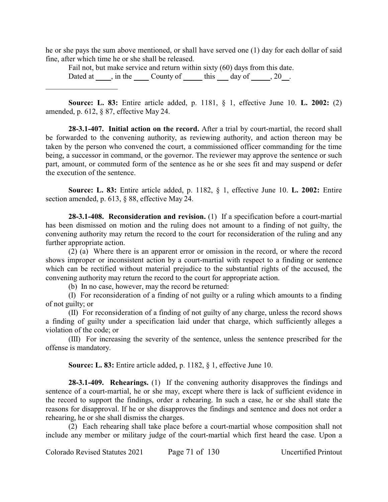he or she pays the sum above mentioned, or shall have served one (1) day for each dollar of said fine, after which time he or she shall be released.

Fail not, but make service and return within sixty (60) days from this date. Dated at  $\_\_\$ , in the  $\_\_\_$  County of  $\_\_\_$  this  $\_\_$  day of  $\_\_\_$ , 20  $\_\$ .  $\overline{\phantom{a}}$  , which is a set of the set of the set of the set of the set of the set of the set of the set of the set of the set of the set of the set of the set of the set of the set of the set of the set of the set of th

**Source: L. 83:** Entire article added, p. 1181, § 1, effective June 10. **L. 2002:** (2) amended, p. 612, § 87, effective May 24.

**28-3.1-407. Initial action on the record.** After a trial by court-martial, the record shall be forwarded to the convening authority, as reviewing authority, and action thereon may be taken by the person who convened the court, a commissioned officer commanding for the time being, a successor in command, or the governor. The reviewer may approve the sentence or such part, amount, or commuted form of the sentence as he or she sees fit and may suspend or defer the execution of the sentence.

**Source: L. 83:** Entire article added, p. 1182, § 1, effective June 10. **L. 2002:** Entire section amended, p. 613, § 88, effective May 24.

**28-3.1-408. Reconsideration and revision.** (1) If a specification before a court-martial has been dismissed on motion and the ruling does not amount to a finding of not guilty, the convening authority may return the record to the court for reconsideration of the ruling and any further appropriate action.

(2) (a) Where there is an apparent error or omission in the record, or where the record shows improper or inconsistent action by a court-martial with respect to a finding or sentence which can be rectified without material prejudice to the substantial rights of the accused, the convening authority may return the record to the court for appropriate action.

(b) In no case, however, may the record be returned:

(I) For reconsideration of a finding of not guilty or a ruling which amounts to a finding of not guilty; or

(II) For reconsideration of a finding of not guilty of any charge, unless the record shows a finding of guilty under a specification laid under that charge, which sufficiently alleges a violation of the code; or

(III) For increasing the severity of the sentence, unless the sentence prescribed for the offense is mandatory.

**Source: L. 83:** Entire article added, p. 1182, § 1, effective June 10.

**28-3.1-409. Rehearings.** (1) If the convening authority disapproves the findings and sentence of a court-martial, he or she may, except where there is lack of sufficient evidence in the record to support the findings, order a rehearing. In such a case, he or she shall state the reasons for disapproval. If he or she disapproves the findings and sentence and does not order a rehearing, he or she shall dismiss the charges.

(2) Each rehearing shall take place before a court-martial whose composition shall not include any member or military judge of the court-martial which first heard the case. Upon a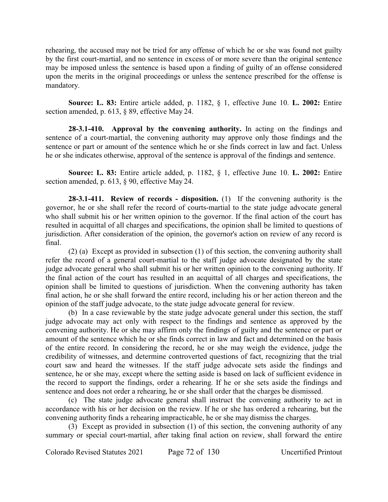rehearing, the accused may not be tried for any offense of which he or she was found not guilty by the first court-martial, and no sentence in excess of or more severe than the original sentence may be imposed unless the sentence is based upon a finding of guilty of an offense considered upon the merits in the original proceedings or unless the sentence prescribed for the offense is mandatory.

**Source: L. 83:** Entire article added, p. 1182, § 1, effective June 10. **L. 2002:** Entire section amended, p. 613, § 89, effective May 24.

**28-3.1-410. Approval by the convening authority.** In acting on the findings and sentence of a court-martial, the convening authority may approve only those findings and the sentence or part or amount of the sentence which he or she finds correct in law and fact. Unless he or she indicates otherwise, approval of the sentence is approval of the findings and sentence.

**Source: L. 83:** Entire article added, p. 1182, § 1, effective June 10. **L. 2002:** Entire section amended, p. 613, § 90, effective May 24.

**28-3.1-411. Review of records - disposition.** (1) If the convening authority is the governor, he or she shall refer the record of courts-martial to the state judge advocate general who shall submit his or her written opinion to the governor. If the final action of the court has resulted in acquittal of all charges and specifications, the opinion shall be limited to questions of jurisdiction. After consideration of the opinion, the governor's action on review of any record is final.

(2) (a) Except as provided in subsection (1) of this section, the convening authority shall refer the record of a general court-martial to the staff judge advocate designated by the state judge advocate general who shall submit his or her written opinion to the convening authority. If the final action of the court has resulted in an acquittal of all charges and specifications, the opinion shall be limited to questions of jurisdiction. When the convening authority has taken final action, he or she shall forward the entire record, including his or her action thereon and the opinion of the staff judge advocate, to the state judge advocate general for review.

(b) In a case reviewable by the state judge advocate general under this section, the staff judge advocate may act only with respect to the findings and sentence as approved by the convening authority. He or she may affirm only the findings of guilty and the sentence or part or amount of the sentence which he or she finds correct in law and fact and determined on the basis of the entire record. In considering the record, he or she may weigh the evidence, judge the credibility of witnesses, and determine controverted questions of fact, recognizing that the trial court saw and heard the witnesses. If the staff judge advocate sets aside the findings and sentence, he or she may, except where the setting aside is based on lack of sufficient evidence in the record to support the findings, order a rehearing. If he or she sets aside the findings and sentence and does not order a rehearing, he or she shall order that the charges be dismissed.

(c) The state judge advocate general shall instruct the convening authority to act in accordance with his or her decision on the review. If he or she has ordered a rehearing, but the convening authority finds a rehearing impracticable, he or she may dismiss the charges.

(3) Except as provided in subsection (1) of this section, the convening authority of any summary or special court-martial, after taking final action on review, shall forward the entire

Colorado Revised Statutes 2021 Page 72 of 130 Uncertified Printout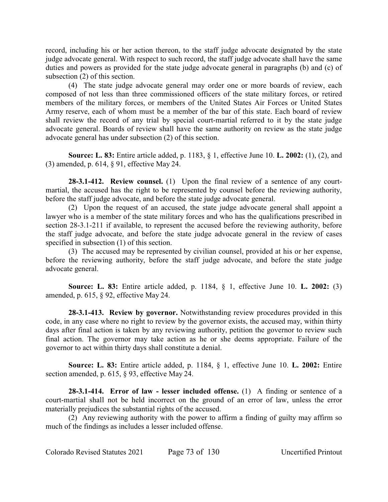record, including his or her action thereon, to the staff judge advocate designated by the state judge advocate general. With respect to such record, the staff judge advocate shall have the same duties and powers as provided for the state judge advocate general in paragraphs (b) and (c) of subsection (2) of this section.

(4) The state judge advocate general may order one or more boards of review, each composed of not less than three commissioned officers of the state military forces, or retired members of the military forces, or members of the United States Air Forces or United States Army reserve, each of whom must be a member of the bar of this state. Each board of review shall review the record of any trial by special court-martial referred to it by the state judge advocate general. Boards of review shall have the same authority on review as the state judge advocate general has under subsection (2) of this section.

**Source: L. 83:** Entire article added, p. 1183, § 1, effective June 10. **L. 2002:** (1), (2), and (3) amended, p. 614, § 91, effective May 24.

**28-3.1-412. Review counsel.** (1) Upon the final review of a sentence of any courtmartial, the accused has the right to be represented by counsel before the reviewing authority, before the staff judge advocate, and before the state judge advocate general.

(2) Upon the request of an accused, the state judge advocate general shall appoint a lawyer who is a member of the state military forces and who has the qualifications prescribed in section 28-3.1-211 if available, to represent the accused before the reviewing authority, before the staff judge advocate, and before the state judge advocate general in the review of cases specified in subsection (1) of this section.

(3) The accused may be represented by civilian counsel, provided at his or her expense, before the reviewing authority, before the staff judge advocate, and before the state judge advocate general.

**Source: L. 83:** Entire article added, p. 1184, § 1, effective June 10. **L. 2002:** (3) amended, p. 615, § 92, effective May 24.

**28-3.1-413. Review by governor.** Notwithstanding review procedures provided in this code, in any case where no right to review by the governor exists, the accused may, within thirty days after final action is taken by any reviewing authority, petition the governor to review such final action. The governor may take action as he or she deems appropriate. Failure of the governor to act within thirty days shall constitute a denial.

**Source: L. 83:** Entire article added, p. 1184, § 1, effective June 10. **L. 2002:** Entire section amended, p. 615, § 93, effective May 24.

**28-3.1-414. Error of law - lesser included offense.** (1) A finding or sentence of a court-martial shall not be held incorrect on the ground of an error of law, unless the error materially prejudices the substantial rights of the accused.

(2) Any reviewing authority with the power to affirm a finding of guilty may affirm so much of the findings as includes a lesser included offense.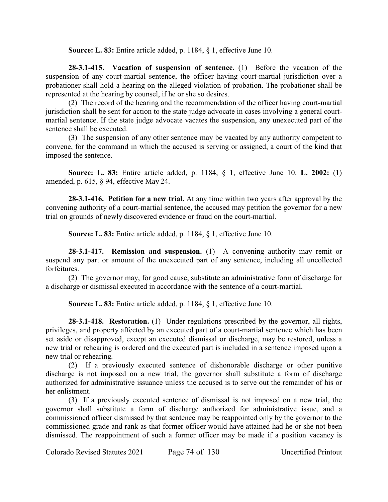**Source: L. 83:** Entire article added, p. 1184, § 1, effective June 10.

**28-3.1-415. Vacation of suspension of sentence.** (1) Before the vacation of the suspension of any court-martial sentence, the officer having court-martial jurisdiction over a probationer shall hold a hearing on the alleged violation of probation. The probationer shall be represented at the hearing by counsel, if he or she so desires.

(2) The record of the hearing and the recommendation of the officer having court-martial jurisdiction shall be sent for action to the state judge advocate in cases involving a general courtmartial sentence. If the state judge advocate vacates the suspension, any unexecuted part of the sentence shall be executed.

(3) The suspension of any other sentence may be vacated by any authority competent to convene, for the command in which the accused is serving or assigned, a court of the kind that imposed the sentence.

**Source: L. 83:** Entire article added, p. 1184, § 1, effective June 10. **L. 2002:** (1) amended, p. 615, § 94, effective May 24.

**28-3.1-416. Petition for a new trial.** At any time within two years after approval by the convening authority of a court-martial sentence, the accused may petition the governor for a new trial on grounds of newly discovered evidence or fraud on the court-martial.

**Source: L. 83:** Entire article added, p. 1184, § 1, effective June 10.

**28-3.1-417. Remission and suspension.** (1) A convening authority may remit or suspend any part or amount of the unexecuted part of any sentence, including all uncollected forfeitures.

(2) The governor may, for good cause, substitute an administrative form of discharge for a discharge or dismissal executed in accordance with the sentence of a court-martial.

**Source: L. 83:** Entire article added, p. 1184, § 1, effective June 10.

**28-3.1-418. Restoration.** (1) Under regulations prescribed by the governor, all rights, privileges, and property affected by an executed part of a court-martial sentence which has been set aside or disapproved, except an executed dismissal or discharge, may be restored, unless a new trial or rehearing is ordered and the executed part is included in a sentence imposed upon a new trial or rehearing.

(2) If a previously executed sentence of dishonorable discharge or other punitive discharge is not imposed on a new trial, the governor shall substitute a form of discharge authorized for administrative issuance unless the accused is to serve out the remainder of his or her enlistment.

(3) If a previously executed sentence of dismissal is not imposed on a new trial, the governor shall substitute a form of discharge authorized for administrative issue, and a commissioned officer dismissed by that sentence may be reappointed only by the governor to the commissioned grade and rank as that former officer would have attained had he or she not been dismissed. The reappointment of such a former officer may be made if a position vacancy is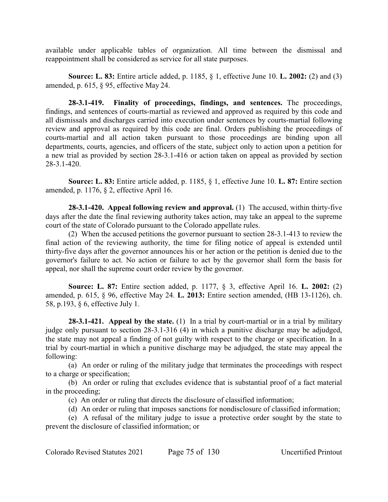available under applicable tables of organization. All time between the dismissal and reappointment shall be considered as service for all state purposes.

**Source: L. 83:** Entire article added, p. 1185, § 1, effective June 10. **L. 2002:** (2) and (3) amended, p. 615, § 95, effective May 24.

**28-3.1-419. Finality of proceedings, findings, and sentences.** The proceedings, findings, and sentences of courts-martial as reviewed and approved as required by this code and all dismissals and discharges carried into execution under sentences by courts-martial following review and approval as required by this code are final. Orders publishing the proceedings of courts-martial and all action taken pursuant to those proceedings are binding upon all departments, courts, agencies, and officers of the state, subject only to action upon a petition for a new trial as provided by section 28-3.1-416 or action taken on appeal as provided by section 28-3.1-420.

**Source: L. 83:** Entire article added, p. 1185, § 1, effective June 10. **L. 87:** Entire section amended, p. 1176, § 2, effective April 16.

**28-3.1-420. Appeal following review and approval.** (1) The accused, within thirty-five days after the date the final reviewing authority takes action, may take an appeal to the supreme court of the state of Colorado pursuant to the Colorado appellate rules.

(2) When the accused petitions the governor pursuant to section 28-3.1-413 to review the final action of the reviewing authority, the time for filing notice of appeal is extended until thirty-five days after the governor announces his or her action or the petition is denied due to the governor's failure to act. No action or failure to act by the governor shall form the basis for appeal, nor shall the supreme court order review by the governor.

**Source: L. 87:** Entire section added, p. 1177, § 3, effective April 16. **L. 2002:** (2) amended, p. 615, § 96, effective May 24. **L. 2013:** Entire section amended, (HB 13-1126), ch. 58, p.193, § 6, effective July 1.

**28-3.1-421. Appeal by the state.** (1) In a trial by court-martial or in a trial by military judge only pursuant to section 28-3.1-316 (4) in which a punitive discharge may be adjudged, the state may not appeal a finding of not guilty with respect to the charge or specification. In a trial by court-martial in which a punitive discharge may be adjudged, the state may appeal the following:

(a) An order or ruling of the military judge that terminates the proceedings with respect to a charge or specification;

(b) An order or ruling that excludes evidence that is substantial proof of a fact material in the proceeding;

(c) An order or ruling that directs the disclosure of classified information;

(d) An order or ruling that imposes sanctions for nondisclosure of classified information;

(e) A refusal of the military judge to issue a protective order sought by the state to prevent the disclosure of classified information; or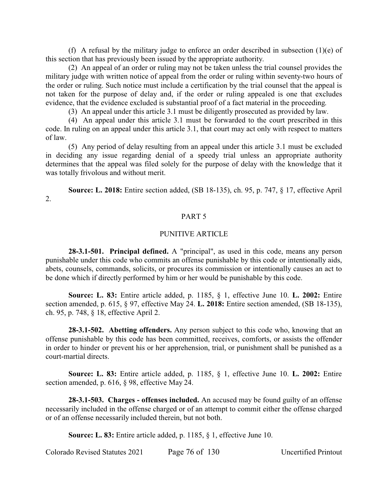(f) A refusal by the military judge to enforce an order described in subsection  $(1)(e)$  of this section that has previously been issued by the appropriate authority.

(2) An appeal of an order or ruling may not be taken unless the trial counsel provides the military judge with written notice of appeal from the order or ruling within seventy-two hours of the order or ruling. Such notice must include a certification by the trial counsel that the appeal is not taken for the purpose of delay and, if the order or ruling appealed is one that excludes evidence, that the evidence excluded is substantial proof of a fact material in the proceeding.

(3) An appeal under this article 3.1 must be diligently prosecuted as provided by law.

(4) An appeal under this article 3.1 must be forwarded to the court prescribed in this code. In ruling on an appeal under this article 3.1, that court may act only with respect to matters of law.

(5) Any period of delay resulting from an appeal under this article 3.1 must be excluded in deciding any issue regarding denial of a speedy trial unless an appropriate authority determines that the appeal was filed solely for the purpose of delay with the knowledge that it was totally frivolous and without merit.

**Source: L. 2018:** Entire section added, (SB 18-135), ch. 95, p. 747, § 17, effective April 2.

### PART 5

# PUNITIVE ARTICLE

**28-3.1-501. Principal defined.** A "principal", as used in this code, means any person punishable under this code who commits an offense punishable by this code or intentionally aids, abets, counsels, commands, solicits, or procures its commission or intentionally causes an act to be done which if directly performed by him or her would be punishable by this code.

**Source: L. 83:** Entire article added, p. 1185, § 1, effective June 10. **L. 2002:** Entire section amended, p. 615, § 97, effective May 24. **L. 2018:** Entire section amended, (SB 18-135), ch. 95, p. 748, § 18, effective April 2.

**28-3.1-502. Abetting offenders.** Any person subject to this code who, knowing that an offense punishable by this code has been committed, receives, comforts, or assists the offender in order to hinder or prevent his or her apprehension, trial, or punishment shall be punished as a court-martial directs.

**Source: L. 83:** Entire article added, p. 1185, § 1, effective June 10. **L. 2002:** Entire section amended, p. 616, § 98, effective May 24.

**28-3.1-503. Charges - offenses included.** An accused may be found guilty of an offense necessarily included in the offense charged or of an attempt to commit either the offense charged or of an offense necessarily included therein, but not both.

**Source: L. 83:** Entire article added, p. 1185, § 1, effective June 10.

Colorado Revised Statutes 2021 Page 76 of 130 Uncertified Printout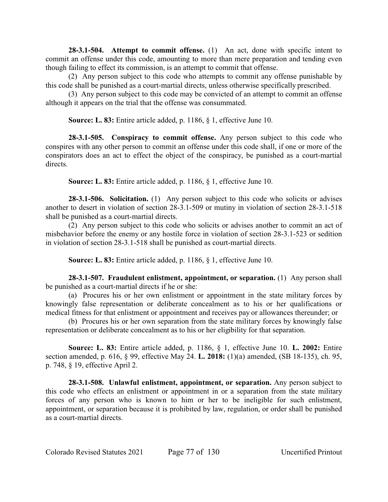**28-3.1-504. Attempt to commit offense.** (1) An act, done with specific intent to commit an offense under this code, amounting to more than mere preparation and tending even though failing to effect its commission, is an attempt to commit that offense.

(2) Any person subject to this code who attempts to commit any offense punishable by this code shall be punished as a court-martial directs, unless otherwise specifically prescribed.

(3) Any person subject to this code may be convicted of an attempt to commit an offense although it appears on the trial that the offense was consummated.

**Source: L. 83:** Entire article added, p. 1186, § 1, effective June 10.

**28-3.1-505. Conspiracy to commit offense.** Any person subject to this code who conspires with any other person to commit an offense under this code shall, if one or more of the conspirators does an act to effect the object of the conspiracy, be punished as a court-martial directs.

**Source: L. 83:** Entire article added, p. 1186, § 1, effective June 10.

**28-3.1-506. Solicitation.** (1) Any person subject to this code who solicits or advises another to desert in violation of section 28-3.1-509 or mutiny in violation of section 28-3.1-518 shall be punished as a court-martial directs.

(2) Any person subject to this code who solicits or advises another to commit an act of misbehavior before the enemy or any hostile force in violation of section 28-3.1-523 or sedition in violation of section 28-3.1-518 shall be punished as court-martial directs.

**Source: L. 83:** Entire article added, p. 1186, § 1, effective June 10.

**28-3.1-507. Fraudulent enlistment, appointment, or separation.** (1) Any person shall be punished as a court-martial directs if he or she:

(a) Procures his or her own enlistment or appointment in the state military forces by knowingly false representation or deliberate concealment as to his or her qualifications or medical fitness for that enlistment or appointment and receives pay or allowances thereunder; or

(b) Procures his or her own separation from the state military forces by knowingly false representation or deliberate concealment as to his or her eligibility for that separation.

**Source: L. 83:** Entire article added, p. 1186, § 1, effective June 10. **L. 2002:** Entire section amended, p. 616, § 99, effective May 24. **L. 2018:** (1)(a) amended, (SB 18-135), ch. 95, p. 748, § 19, effective April 2.

**28-3.1-508. Unlawful enlistment, appointment, or separation.** Any person subject to this code who effects an enlistment or appointment in or a separation from the state military forces of any person who is known to him or her to be ineligible for such enlistment, appointment, or separation because it is prohibited by law, regulation, or order shall be punished as a court-martial directs.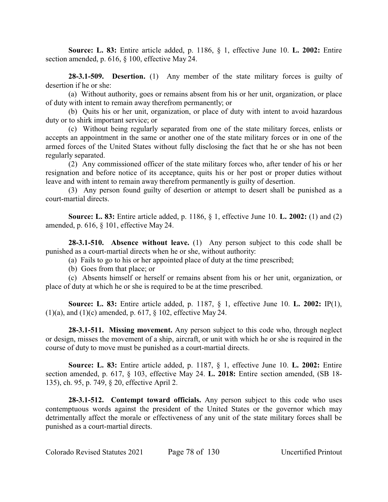**Source: L. 83:** Entire article added, p. 1186, § 1, effective June 10. **L. 2002:** Entire section amended, p. 616, § 100, effective May 24.

**28-3.1-509. Desertion.** (1) Any member of the state military forces is guilty of desertion if he or she:

(a) Without authority, goes or remains absent from his or her unit, organization, or place of duty with intent to remain away therefrom permanently; or

(b) Quits his or her unit, organization, or place of duty with intent to avoid hazardous duty or to shirk important service; or

(c) Without being regularly separated from one of the state military forces, enlists or accepts an appointment in the same or another one of the state military forces or in one of the armed forces of the United States without fully disclosing the fact that he or she has not been regularly separated.

(2) Any commissioned officer of the state military forces who, after tender of his or her resignation and before notice of its acceptance, quits his or her post or proper duties without leave and with intent to remain away therefrom permanently is guilty of desertion.

(3) Any person found guilty of desertion or attempt to desert shall be punished as a court-martial directs.

**Source: L. 83:** Entire article added, p. 1186, § 1, effective June 10. **L. 2002:** (1) and (2) amended, p. 616, § 101, effective May 24.

**28-3.1-510. Absence without leave.** (1) Any person subject to this code shall be punished as a court-martial directs when he or she, without authority:

(a) Fails to go to his or her appointed place of duty at the time prescribed;

(b) Goes from that place; or

(c) Absents himself or herself or remains absent from his or her unit, organization, or place of duty at which he or she is required to be at the time prescribed.

**Source: L. 83:** Entire article added, p. 1187, § 1, effective June 10. **L. 2002:** IP(1), (1)(a), and (1)(c) amended, p. 617, § 102, effective May 24.

**28-3.1-511. Missing movement.** Any person subject to this code who, through neglect or design, misses the movement of a ship, aircraft, or unit with which he or she is required in the course of duty to move must be punished as a court-martial directs.

**Source: L. 83:** Entire article added, p. 1187, § 1, effective June 10. **L. 2002:** Entire section amended, p. 617, § 103, effective May 24. **L. 2018:** Entire section amended, (SB 18- 135), ch. 95, p. 749, § 20, effective April 2.

**28-3.1-512. Contempt toward officials.** Any person subject to this code who uses contemptuous words against the president of the United States or the governor which may detrimentally affect the morale or effectiveness of any unit of the state military forces shall be punished as a court-martial directs.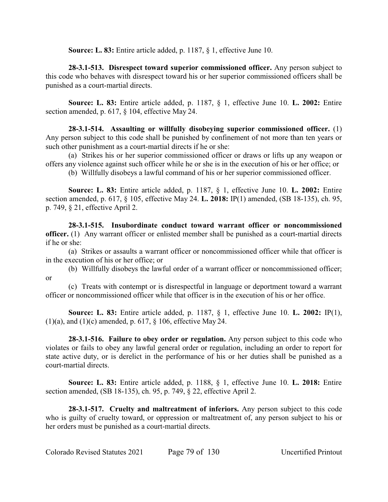**Source: L. 83:** Entire article added, p. 1187, § 1, effective June 10.

**28-3.1-513. Disrespect toward superior commissioned officer.** Any person subject to this code who behaves with disrespect toward his or her superior commissioned officers shall be punished as a court-martial directs.

**Source: L. 83:** Entire article added, p. 1187, § 1, effective June 10. **L. 2002:** Entire section amended, p. 617, § 104, effective May 24.

**28-3.1-514. Assaulting or willfully disobeying superior commissioned officer.** (1) Any person subject to this code shall be punished by confinement of not more than ten years or such other punishment as a court-martial directs if he or she:

(a) Strikes his or her superior commissioned officer or draws or lifts up any weapon or offers any violence against such officer while he or she is in the execution of his or her office; or

(b) Willfully disobeys a lawful command of his or her superior commissioned officer.

**Source: L. 83:** Entire article added, p. 1187, § 1, effective June 10. **L. 2002:** Entire section amended, p. 617, § 105, effective May 24. **L. 2018:** IP(1) amended, (SB 18-135), ch. 95, p. 749, § 21, effective April 2.

**28-3.1-515. Insubordinate conduct toward warrant officer or noncommissioned officer.** (1) Any warrant officer or enlisted member shall be punished as a court-martial directs if he or she:

(a) Strikes or assaults a warrant officer or noncommissioned officer while that officer is in the execution of his or her office; or

(b) Willfully disobeys the lawful order of a warrant officer or noncommissioned officer; or

(c) Treats with contempt or is disrespectful in language or deportment toward a warrant officer or noncommissioned officer while that officer is in the execution of his or her office.

**Source: L. 83:** Entire article added, p. 1187, § 1, effective June 10. **L. 2002:** IP(1), (1)(a), and (1)(c) amended, p. 617, § 106, effective May 24.

**28-3.1-516. Failure to obey order or regulation.** Any person subject to this code who violates or fails to obey any lawful general order or regulation, including an order to report for state active duty, or is derelict in the performance of his or her duties shall be punished as a court-martial directs.

**Source: L. 83:** Entire article added, p. 1188, § 1, effective June 10. **L. 2018:** Entire section amended, (SB 18-135), ch. 95, p. 749, § 22, effective April 2.

**28-3.1-517. Cruelty and maltreatment of inferiors.** Any person subject to this code who is guilty of cruelty toward, or oppression or maltreatment of, any person subject to his or her orders must be punished as a court-martial directs.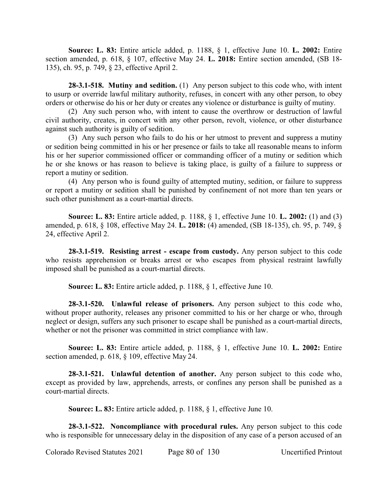**Source: L. 83:** Entire article added, p. 1188, § 1, effective June 10. **L. 2002:** Entire section amended, p. 618, § 107, effective May 24. **L. 2018:** Entire section amended, (SB 18- 135), ch. 95, p. 749, § 23, effective April 2.

**28-3.1-518. Mutiny and sedition.** (1) Any person subject to this code who, with intent to usurp or override lawful military authority, refuses, in concert with any other person, to obey orders or otherwise do his or her duty or creates any violence or disturbance is guilty of mutiny.

(2) Any such person who, with intent to cause the overthrow or destruction of lawful civil authority, creates, in concert with any other person, revolt, violence, or other disturbance against such authority is guilty of sedition.

(3) Any such person who fails to do his or her utmost to prevent and suppress a mutiny or sedition being committed in his or her presence or fails to take all reasonable means to inform his or her superior commissioned officer or commanding officer of a mutiny or sedition which he or she knows or has reason to believe is taking place, is guilty of a failure to suppress or report a mutiny or sedition.

(4) Any person who is found guilty of attempted mutiny, sedition, or failure to suppress or report a mutiny or sedition shall be punished by confinement of not more than ten years or such other punishment as a court-martial directs.

**Source: L. 83:** Entire article added, p. 1188, § 1, effective June 10. **L. 2002:** (1) and (3) amended, p. 618, § 108, effective May 24. **L. 2018:** (4) amended, (SB 18-135), ch. 95, p. 749, § 24, effective April 2.

**28-3.1-519. Resisting arrest - escape from custody.** Any person subject to this code who resists apprehension or breaks arrest or who escapes from physical restraint lawfully imposed shall be punished as a court-martial directs.

**Source: L. 83:** Entire article added, p. 1188, § 1, effective June 10.

**28-3.1-520. Unlawful release of prisoners.** Any person subject to this code who, without proper authority, releases any prisoner committed to his or her charge or who, through neglect or design, suffers any such prisoner to escape shall be punished as a court-martial directs, whether or not the prisoner was committed in strict compliance with law.

**Source: L. 83:** Entire article added, p. 1188, § 1, effective June 10. **L. 2002:** Entire section amended, p. 618, § 109, effective May 24.

**28-3.1-521. Unlawful detention of another.** Any person subject to this code who, except as provided by law, apprehends, arrests, or confines any person shall be punished as a court-martial directs.

**Source: L. 83:** Entire article added, p. 1188, § 1, effective June 10.

**28-3.1-522. Noncompliance with procedural rules.** Any person subject to this code who is responsible for unnecessary delay in the disposition of any case of a person accused of an

Colorado Revised Statutes 2021 Page 80 of 130 Uncertified Printout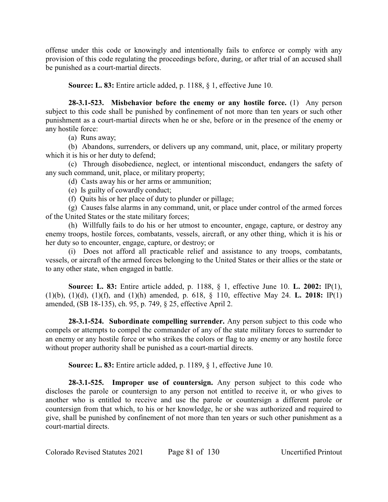offense under this code or knowingly and intentionally fails to enforce or comply with any provision of this code regulating the proceedings before, during, or after trial of an accused shall be punished as a court-martial directs.

**Source: L. 83:** Entire article added, p. 1188, § 1, effective June 10.

**28-3.1-523. Misbehavior before the enemy or any hostile force.** (1) Any person subject to this code shall be punished by confinement of not more than ten years or such other punishment as a court-martial directs when he or she, before or in the presence of the enemy or any hostile force:

(a) Runs away;

(b) Abandons, surrenders, or delivers up any command, unit, place, or military property which it is his or her duty to defend;

(c) Through disobedience, neglect, or intentional misconduct, endangers the safety of any such command, unit, place, or military property;

(d) Casts away his or her arms or ammunition;

(e) Is guilty of cowardly conduct;

(f) Quits his or her place of duty to plunder or pillage;

(g) Causes false alarms in any command, unit, or place under control of the armed forces of the United States or the state military forces;

(h) Willfully fails to do his or her utmost to encounter, engage, capture, or destroy any enemy troops, hostile forces, combatants, vessels, aircraft, or any other thing, which it is his or her duty so to encounter, engage, capture, or destroy; or

(i) Does not afford all practicable relief and assistance to any troops, combatants, vessels, or aircraft of the armed forces belonging to the United States or their allies or the state or to any other state, when engaged in battle.

**Source: L. 83:** Entire article added, p. 1188, § 1, effective June 10. **L. 2002:** IP(1), (1)(b), (1)(d), (1)(f), and (1)(h) amended, p. 618, § 110, effective May 24. **L. 2018:** IP(1) amended, (SB 18-135), ch. 95, p. 749, § 25, effective April 2.

**28-3.1-524. Subordinate compelling surrender.** Any person subject to this code who compels or attempts to compel the commander of any of the state military forces to surrender to an enemy or any hostile force or who strikes the colors or flag to any enemy or any hostile force without proper authority shall be punished as a court-martial directs.

**Source: L. 83:** Entire article added, p. 1189, § 1, effective June 10.

**28-3.1-525. Improper use of countersign.** Any person subject to this code who discloses the parole or countersign to any person not entitled to receive it, or who gives to another who is entitled to receive and use the parole or countersign a different parole or countersign from that which, to his or her knowledge, he or she was authorized and required to give, shall be punished by confinement of not more than ten years or such other punishment as a court-martial directs.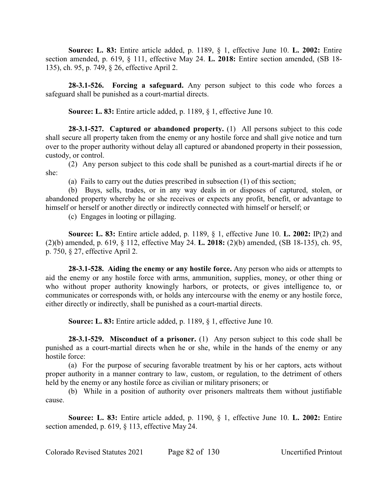**Source: L. 83:** Entire article added, p. 1189, § 1, effective June 10. **L. 2002:** Entire section amended, p. 619, § 111, effective May 24. **L. 2018:** Entire section amended, (SB 18- 135), ch. 95, p. 749, § 26, effective April 2.

**28-3.1-526. Forcing a safeguard.** Any person subject to this code who forces a safeguard shall be punished as a court-martial directs.

**Source: L. 83:** Entire article added, p. 1189, § 1, effective June 10.

**28-3.1-527. Captured or abandoned property.** (1) All persons subject to this code shall secure all property taken from the enemy or any hostile force and shall give notice and turn over to the proper authority without delay all captured or abandoned property in their possession, custody, or control.

(2) Any person subject to this code shall be punished as a court-martial directs if he or she:

(a) Fails to carry out the duties prescribed in subsection (1) of this section;

(b) Buys, sells, trades, or in any way deals in or disposes of captured, stolen, or abandoned property whereby he or she receives or expects any profit, benefit, or advantage to himself or herself or another directly or indirectly connected with himself or herself; or

(c) Engages in looting or pillaging.

**Source: L. 83:** Entire article added, p. 1189, § 1, effective June 10. **L. 2002:** IP(2) and (2)(b) amended, p. 619, § 112, effective May 24. **L. 2018:** (2)(b) amended, (SB 18-135), ch. 95, p. 750, § 27, effective April 2.

**28-3.1-528. Aiding the enemy or any hostile force.** Any person who aids or attempts to aid the enemy or any hostile force with arms, ammunition, supplies, money, or other thing or who without proper authority knowingly harbors, or protects, or gives intelligence to, or communicates or corresponds with, or holds any intercourse with the enemy or any hostile force, either directly or indirectly, shall be punished as a court-martial directs.

**Source: L. 83:** Entire article added, p. 1189, § 1, effective June 10.

**28-3.1-529. Misconduct of a prisoner.** (1) Any person subject to this code shall be punished as a court-martial directs when he or she, while in the hands of the enemy or any hostile force:

(a) For the purpose of securing favorable treatment by his or her captors, acts without proper authority in a manner contrary to law, custom, or regulation, to the detriment of others held by the enemy or any hostile force as civilian or military prisoners; or

(b) While in a position of authority over prisoners maltreats them without justifiable cause.

**Source: L. 83:** Entire article added, p. 1190, § 1, effective June 10. **L. 2002:** Entire section amended, p. 619, § 113, effective May 24.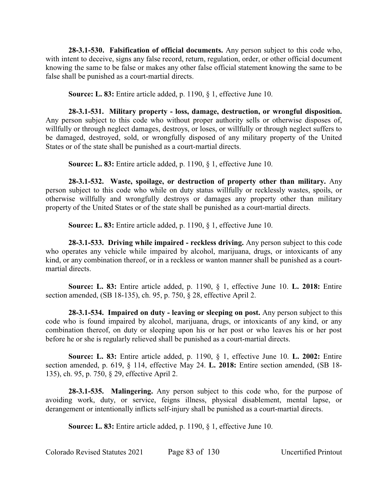**28-3.1-530. Falsification of official documents.** Any person subject to this code who, with intent to deceive, signs any false record, return, regulation, order, or other official document knowing the same to be false or makes any other false official statement knowing the same to be false shall be punished as a court-martial directs.

**Source: L. 83:** Entire article added, p. 1190, § 1, effective June 10.

**28-3.1-531. Military property - loss, damage, destruction, or wrongful disposition.** Any person subject to this code who without proper authority sells or otherwise disposes of, willfully or through neglect damages, destroys, or loses, or willfully or through neglect suffers to be damaged, destroyed, sold, or wrongfully disposed of any military property of the United States or of the state shall be punished as a court-martial directs.

**Source: L. 83:** Entire article added, p. 1190, § 1, effective June 10.

**28-3.1-532. Waste, spoilage, or destruction of property other than military.** Any person subject to this code who while on duty status willfully or recklessly wastes, spoils, or otherwise willfully and wrongfully destroys or damages any property other than military property of the United States or of the state shall be punished as a court-martial directs.

**Source: L. 83:** Entire article added, p. 1190, § 1, effective June 10.

**28-3.1-533. Driving while impaired - reckless driving.** Any person subject to this code who operates any vehicle while impaired by alcohol, marijuana, drugs, or intoxicants of any kind, or any combination thereof, or in a reckless or wanton manner shall be punished as a courtmartial directs.

**Source: L. 83:** Entire article added, p. 1190, § 1, effective June 10. **L. 2018:** Entire section amended, (SB 18-135), ch. 95, p. 750, § 28, effective April 2.

**28-3.1-534. Impaired on duty - leaving or sleeping on post.** Any person subject to this code who is found impaired by alcohol, marijuana, drugs, or intoxicants of any kind, or any combination thereof, on duty or sleeping upon his or her post or who leaves his or her post before he or she is regularly relieved shall be punished as a court-martial directs.

**Source: L. 83:** Entire article added, p. 1190, § 1, effective June 10. **L. 2002:** Entire section amended, p. 619, § 114, effective May 24. **L. 2018:** Entire section amended, (SB 18- 135), ch. 95, p. 750, § 29, effective April 2.

**28-3.1-535. Malingering.** Any person subject to this code who, for the purpose of avoiding work, duty, or service, feigns illness, physical disablement, mental lapse, or derangement or intentionally inflicts self-injury shall be punished as a court-martial directs.

**Source: L. 83:** Entire article added, p. 1190, § 1, effective June 10.

Colorado Revised Statutes 2021 Page 83 of 130 Uncertified Printout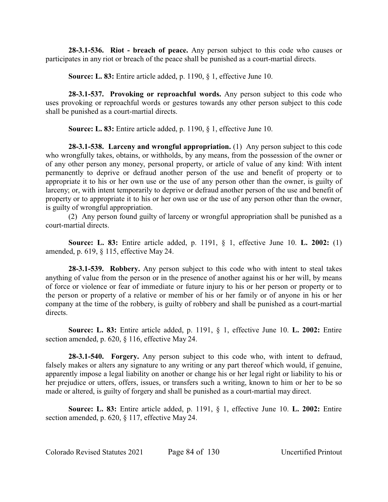**28-3.1-536. Riot - breach of peace.** Any person subject to this code who causes or participates in any riot or breach of the peace shall be punished as a court-martial directs.

**Source: L. 83:** Entire article added, p. 1190, § 1, effective June 10.

**28-3.1-537. Provoking or reproachful words.** Any person subject to this code who uses provoking or reproachful words or gestures towards any other person subject to this code shall be punished as a court-martial directs.

**Source: L. 83:** Entire article added, p. 1190, § 1, effective June 10.

**28-3.1-538. Larceny and wrongful appropriation.** (1) Any person subject to this code who wrongfully takes, obtains, or withholds, by any means, from the possession of the owner or of any other person any money, personal property, or article of value of any kind: With intent permanently to deprive or defraud another person of the use and benefit of property or to appropriate it to his or her own use or the use of any person other than the owner, is guilty of larceny; or, with intent temporarily to deprive or defraud another person of the use and benefit of property or to appropriate it to his or her own use or the use of any person other than the owner, is guilty of wrongful appropriation.

(2) Any person found guilty of larceny or wrongful appropriation shall be punished as a court-martial directs.

**Source: L. 83:** Entire article added, p. 1191, § 1, effective June 10. **L. 2002:** (1) amended, p. 619, § 115, effective May 24.

**28-3.1-539. Robbery.** Any person subject to this code who with intent to steal takes anything of value from the person or in the presence of another against his or her will, by means of force or violence or fear of immediate or future injury to his or her person or property or to the person or property of a relative or member of his or her family or of anyone in his or her company at the time of the robbery, is guilty of robbery and shall be punished as a court-martial directs.

**Source: L. 83:** Entire article added, p. 1191, § 1, effective June 10. **L. 2002:** Entire section amended, p. 620, § 116, effective May 24.

**28-3.1-540. Forgery.** Any person subject to this code who, with intent to defraud, falsely makes or alters any signature to any writing or any part thereof which would, if genuine, apparently impose a legal liability on another or change his or her legal right or liability to his or her prejudice or utters, offers, issues, or transfers such a writing, known to him or her to be so made or altered, is guilty of forgery and shall be punished as a court-martial may direct.

**Source: L. 83:** Entire article added, p. 1191, § 1, effective June 10. **L. 2002:** Entire section amended, p. 620, § 117, effective May 24.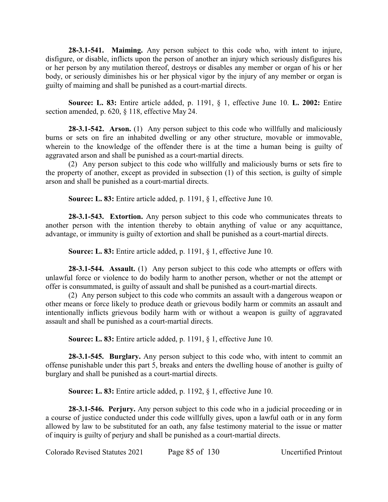**28-3.1-541. Maiming.** Any person subject to this code who, with intent to injure, disfigure, or disable, inflicts upon the person of another an injury which seriously disfigures his or her person by any mutilation thereof, destroys or disables any member or organ of his or her body, or seriously diminishes his or her physical vigor by the injury of any member or organ is guilty of maiming and shall be punished as a court-martial directs.

**Source: L. 83:** Entire article added, p. 1191, § 1, effective June 10. **L. 2002:** Entire section amended, p. 620, § 118, effective May 24.

**28-3.1-542. Arson.** (1) Any person subject to this code who willfully and maliciously burns or sets on fire an inhabited dwelling or any other structure, movable or immovable, wherein to the knowledge of the offender there is at the time a human being is guilty of aggravated arson and shall be punished as a court-martial directs.

(2) Any person subject to this code who willfully and maliciously burns or sets fire to the property of another, except as provided in subsection (1) of this section, is guilty of simple arson and shall be punished as a court-martial directs.

**Source: L. 83:** Entire article added, p. 1191, § 1, effective June 10.

**28-3.1-543. Extortion.** Any person subject to this code who communicates threats to another person with the intention thereby to obtain anything of value or any acquittance, advantage, or immunity is guilty of extortion and shall be punished as a court-martial directs.

**Source: L. 83:** Entire article added, p. 1191, § 1, effective June 10.

**28-3.1-544. Assault.** (1) Any person subject to this code who attempts or offers with unlawful force or violence to do bodily harm to another person, whether or not the attempt or offer is consummated, is guilty of assault and shall be punished as a court-martial directs.

(2) Any person subject to this code who commits an assault with a dangerous weapon or other means or force likely to produce death or grievous bodily harm or commits an assault and intentionally inflicts grievous bodily harm with or without a weapon is guilty of aggravated assault and shall be punished as a court-martial directs.

**Source: L. 83:** Entire article added, p. 1191, § 1, effective June 10.

**28-3.1-545. Burglary.** Any person subject to this code who, with intent to commit an offense punishable under this part 5, breaks and enters the dwelling house of another is guilty of burglary and shall be punished as a court-martial directs.

**Source: L. 83:** Entire article added, p. 1192, § 1, effective June 10.

**28-3.1-546. Perjury.** Any person subject to this code who in a judicial proceeding or in a course of justice conducted under this code willfully gives, upon a lawful oath or in any form allowed by law to be substituted for an oath, any false testimony material to the issue or matter of inquiry is guilty of perjury and shall be punished as a court-martial directs.

Colorado Revised Statutes 2021 Page 85 of 130 Uncertified Printout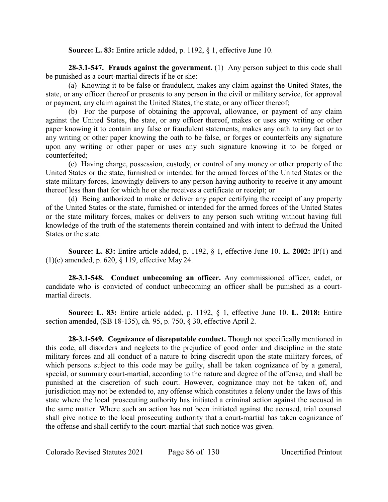**Source: L. 83:** Entire article added, p. 1192, § 1, effective June 10.

**28-3.1-547. Frauds against the government.** (1) Any person subject to this code shall be punished as a court-martial directs if he or she:

(a) Knowing it to be false or fraudulent, makes any claim against the United States, the state, or any officer thereof or presents to any person in the civil or military service, for approval or payment, any claim against the United States, the state, or any officer thereof;

(b) For the purpose of obtaining the approval, allowance, or payment of any claim against the United States, the state, or any officer thereof, makes or uses any writing or other paper knowing it to contain any false or fraudulent statements, makes any oath to any fact or to any writing or other paper knowing the oath to be false, or forges or counterfeits any signature upon any writing or other paper or uses any such signature knowing it to be forged or counterfeited;

(c) Having charge, possession, custody, or control of any money or other property of the United States or the state, furnished or intended for the armed forces of the United States or the state military forces, knowingly delivers to any person having authority to receive it any amount thereof less than that for which he or she receives a certificate or receipt; or

(d) Being authorized to make or deliver any paper certifying the receipt of any property of the United States or the state, furnished or intended for the armed forces of the United States or the state military forces, makes or delivers to any person such writing without having full knowledge of the truth of the statements therein contained and with intent to defraud the United States or the state.

**Source: L. 83:** Entire article added, p. 1192, § 1, effective June 10. **L. 2002:** IP(1) and (1)(c) amended, p. 620, § 119, effective May 24.

**28-3.1-548. Conduct unbecoming an officer.** Any commissioned officer, cadet, or candidate who is convicted of conduct unbecoming an officer shall be punished as a courtmartial directs.

**Source: L. 83:** Entire article added, p. 1192, § 1, effective June 10. **L. 2018:** Entire section amended, (SB 18-135), ch. 95, p. 750, § 30, effective April 2.

**28-3.1-549. Cognizance of disreputable conduct.** Though not specifically mentioned in this code, all disorders and neglects to the prejudice of good order and discipline in the state military forces and all conduct of a nature to bring discredit upon the state military forces, of which persons subject to this code may be guilty, shall be taken cognizance of by a general, special, or summary court-martial, according to the nature and degree of the offense, and shall be punished at the discretion of such court. However, cognizance may not be taken of, and jurisdiction may not be extended to, any offense which constitutes a felony under the laws of this state where the local prosecuting authority has initiated a criminal action against the accused in the same matter. Where such an action has not been initiated against the accused, trial counsel shall give notice to the local prosecuting authority that a court-martial has taken cognizance of the offense and shall certify to the court-martial that such notice was given.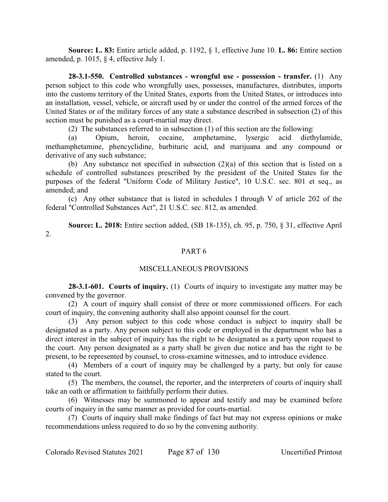**Source: L. 83:** Entire article added, p. 1192, § 1, effective June 10. **L. 86:** Entire section amended, p. 1015, § 4, effective July 1.

**28-3.1-550. Controlled substances - wrongful use - possession - transfer.** (1) Any person subject to this code who wrongfully uses, possesses, manufactures, distributes, imports into the customs territory of the United States, exports from the United States, or introduces into an installation, vessel, vehicle, or aircraft used by or under the control of the armed forces of the United States or of the military forces of any state a substance described in subsection (2) of this section must be punished as a court-martial may direct.

(2) The substances referred to in subsection (1) of this section are the following:

(a) Opium, heroin, cocaine, amphetamine, lysergic acid diethylamide, methamphetamine, phencyclidine, barbituric acid, and marijuana and any compound or derivative of any such substance;

(b) Any substance not specified in subsection (2)(a) of this section that is listed on a schedule of controlled substances prescribed by the president of the United States for the purposes of the federal "Uniform Code of Military Justice", 10 U.S.C. sec. 801 et seq., as amended; and

(c) Any other substance that is listed in schedules I through V of article 202 of the federal "Controlled Substances Act", 21 U.S.C. sec. 812, as amended.

**Source: L. 2018:** Entire section added, (SB 18-135), ch. 95, p. 750, § 31, effective April 2.

# PART 6

## MISCELLANEOUS PROVISIONS

**28-3.1-601. Courts of inquiry.** (1) Courts of inquiry to investigate any matter may be convened by the governor.

(2) A court of inquiry shall consist of three or more commissioned officers. For each court of inquiry, the convening authority shall also appoint counsel for the court.

(3) Any person subject to this code whose conduct is subject to inquiry shall be designated as a party. Any person subject to this code or employed in the department who has a direct interest in the subject of inquiry has the right to be designated as a party upon request to the court. Any person designated as a party shall be given due notice and has the right to be present, to be represented by counsel, to cross-examine witnesses, and to introduce evidence.

(4) Members of a court of inquiry may be challenged by a party, but only for cause stated to the court.

(5) The members, the counsel, the reporter, and the interpreters of courts of inquiry shall take an oath or affirmation to faithfully perform their duties.

(6) Witnesses may be summoned to appear and testify and may be examined before courts of inquiry in the same manner as provided for courts-martial.

(7) Courts of inquiry shall make findings of fact but may not express opinions or make recommendations unless required to do so by the convening authority.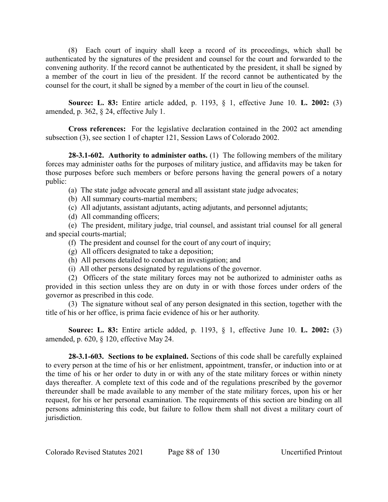(8) Each court of inquiry shall keep a record of its proceedings, which shall be authenticated by the signatures of the president and counsel for the court and forwarded to the convening authority. If the record cannot be authenticated by the president, it shall be signed by a member of the court in lieu of the president. If the record cannot be authenticated by the counsel for the court, it shall be signed by a member of the court in lieu of the counsel.

**Source: L. 83:** Entire article added, p. 1193, § 1, effective June 10. **L. 2002:** (3) amended, p. 362, § 24, effective July 1.

**Cross references:** For the legislative declaration contained in the 2002 act amending subsection (3), see section 1 of chapter 121, Session Laws of Colorado 2002.

**28-3.1-602. Authority to administer oaths.** (1) The following members of the military forces may administer oaths for the purposes of military justice, and affidavits may be taken for those purposes before such members or before persons having the general powers of a notary public:

(a) The state judge advocate general and all assistant state judge advocates;

- (b) All summary courts-martial members;
- (c) All adjutants, assistant adjutants, acting adjutants, and personnel adjutants;
- (d) All commanding officers;

(e) The president, military judge, trial counsel, and assistant trial counsel for all general and special courts-martial;

- (f) The president and counsel for the court of any court of inquiry;
- (g) All officers designated to take a deposition;
- (h) All persons detailed to conduct an investigation; and
- (i) All other persons designated by regulations of the governor.

(2) Officers of the state military forces may not be authorized to administer oaths as provided in this section unless they are on duty in or with those forces under orders of the governor as prescribed in this code.

(3) The signature without seal of any person designated in this section, together with the title of his or her office, is prima facie evidence of his or her authority.

**Source: L. 83:** Entire article added, p. 1193, § 1, effective June 10. **L. 2002:** (3) amended, p. 620, § 120, effective May 24.

**28-3.1-603. Sections to be explained.** Sections of this code shall be carefully explained to every person at the time of his or her enlistment, appointment, transfer, or induction into or at the time of his or her order to duty in or with any of the state military forces or within ninety days thereafter. A complete text of this code and of the regulations prescribed by the governor thereunder shall be made available to any member of the state military forces, upon his or her request, for his or her personal examination. The requirements of this section are binding on all persons administering this code, but failure to follow them shall not divest a military court of jurisdiction.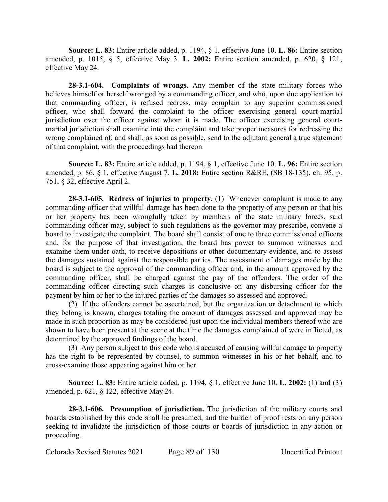**Source: L. 83:** Entire article added, p. 1194, § 1, effective June 10. **L. 86:** Entire section amended, p. 1015, § 5, effective May 3. **L. 2002:** Entire section amended, p. 620, § 121, effective May 24.

**28-3.1-604. Complaints of wrongs.** Any member of the state military forces who believes himself or herself wronged by a commanding officer, and who, upon due application to that commanding officer, is refused redress, may complain to any superior commissioned officer, who shall forward the complaint to the officer exercising general court-martial jurisdiction over the officer against whom it is made. The officer exercising general courtmartial jurisdiction shall examine into the complaint and take proper measures for redressing the wrong complained of, and shall, as soon as possible, send to the adjutant general a true statement of that complaint, with the proceedings had thereon.

**Source: L. 83:** Entire article added, p. 1194, § 1, effective June 10. **L. 96:** Entire section amended, p. 86, § 1, effective August 7. **L. 2018:** Entire section R&RE, (SB 18-135), ch. 95, p. 751, § 32, effective April 2.

**28-3.1-605. Redress of injuries to property.** (1) Whenever complaint is made to any commanding officer that willful damage has been done to the property of any person or that his or her property has been wrongfully taken by members of the state military forces, said commanding officer may, subject to such regulations as the governor may prescribe, convene a board to investigate the complaint. The board shall consist of one to three commissioned officers and, for the purpose of that investigation, the board has power to summon witnesses and examine them under oath, to receive depositions or other documentary evidence, and to assess the damages sustained against the responsible parties. The assessment of damages made by the board is subject to the approval of the commanding officer and, in the amount approved by the commanding officer, shall be charged against the pay of the offenders. The order of the commanding officer directing such charges is conclusive on any disbursing officer for the payment by him or her to the injured parties of the damages so assessed and approved.

(2) If the offenders cannot be ascertained, but the organization or detachment to which they belong is known, charges totaling the amount of damages assessed and approved may be made in such proportion as may be considered just upon the individual members thereof who are shown to have been present at the scene at the time the damages complained of were inflicted, as determined by the approved findings of the board.

(3) Any person subject to this code who is accused of causing willful damage to property has the right to be represented by counsel, to summon witnesses in his or her behalf, and to cross-examine those appearing against him or her.

**Source: L. 83:** Entire article added, p. 1194, § 1, effective June 10. **L. 2002:** (1) and (3) amended, p. 621, § 122, effective May 24.

**28-3.1-606. Presumption of jurisdiction.** The jurisdiction of the military courts and boards established by this code shall be presumed, and the burden of proof rests on any person seeking to invalidate the jurisdiction of those courts or boards of jurisdiction in any action or proceeding.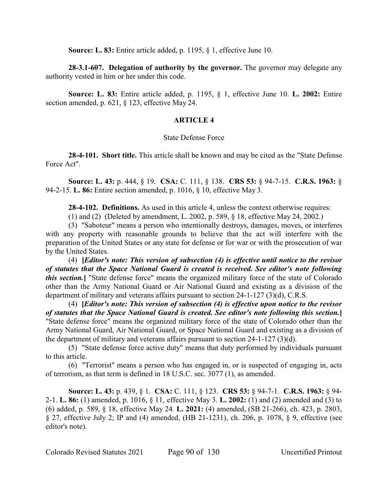**Source: L. 83:** Entire article added, p. 1195, § 1, effective June 10.

**28-3.1-607. Delegation of authority by the governor.** The governor may delegate any authority vested in him or her under this code.

**Source: L. 83:** Entire article added, p. 1195, § 1, effective June 10. **L. 2002:** Entire section amended, p. 621, § 123, effective May 24.

# **ARTICLE 4**

### State Defense Force

**28-4-101. Short title.** This article shall be known and may be cited as the "State Defense Force Act".

**Source: L. 43:** p. 444, § 19. **CSA:** C. 111, § 138. **CRS 53:** § 94-7-15. **C.R.S. 1963:** § 94-2-15. **L. 86:** Entire section amended, p. 1016, § 10, effective May 3.

**28-4-102. Definitions.** As used in this article 4, unless the context otherwise requires:

(1) and (2) (Deleted by amendment, L. 2002, p. 589, § 18, effective May 24, 2002.)

(3) "Saboteur" means a person who intentionally destroys, damages, moves, or interferes with any property with reasonable grounds to believe that the act will interfere with the preparation of the United States or any state for defense or for war or with the prosecution of war by the United States.

(4) **[***Editor's note: This version of subsection (4) is effective until notice to the revisor of statutes that the Space National Guard is created is received. See editor's note following this section.***]** "State defense force" means the organized military force of the state of Colorado other than the Army National Guard or Air National Guard and existing as a division of the department of military and veterans affairs pursuant to section 24-1-127 (3)(d), C.R.S.

(4) **[***Editor's note: This version of subsection (4) is effective upon notice to the revisor of statutes that the Space National Guard is created. See editor's note following this section.***]** "State defense force" means the organized military force of the state of Colorado other than the Army National Guard, Air National Guard, or Space National Guard and existing as a division of the department of military and veterans affairs pursuant to section 24-1-127 (3)(d).

(5) "State defense force active duty" means that duty performed by individuals pursuant to this article.

(6) "Terrorist" means a person who has engaged in, or is suspected of engaging in, acts of terrorism, as that term is defined in 18 U.S.C. sec. 3077 (1), as amended.

**Source: L. 43:** p. 439, § 1. **CSA:** C. 111, § 123. **CRS 53:** § 94-7-1. **C.R.S. 1963:** § 94- 2-1. **L. 86:** (1) amended, p. 1016, § 11, effective May 3. **L. 2002:** (1) and (2) amended and (3) to (6) added, p. 589, § 18, effective May 24. **L. 2021:** (4) amended, (SB 21-266), ch. 423, p. 2803, § 27, effective July 2; IP and (4) amended, (HB 21-1231), ch. 206, p. 1078, § 9, effective (see editor's note).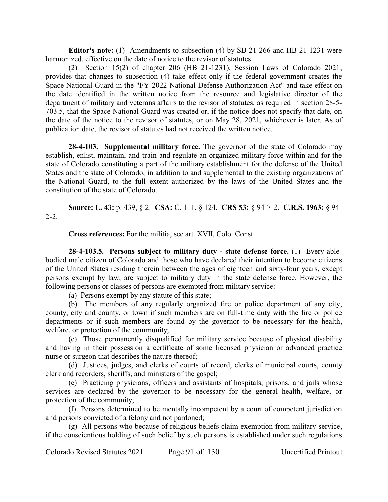**Editor's note:** (1) Amendments to subsection (4) by SB 21-266 and HB 21-1231 were harmonized, effective on the date of notice to the revisor of statutes.

(2) Section 15(2) of chapter 206 (HB 21-1231), Session Laws of Colorado 2021, provides that changes to subsection (4) take effect only if the federal government creates the Space National Guard in the "FY 2022 National Defense Authorization Act" and take effect on the date identified in the written notice from the resource and legislative director of the department of military and veterans affairs to the revisor of statutes, as required in section 28-5- 703.5, that the Space National Guard was created or, if the notice does not specify that date, on the date of the notice to the revisor of statutes, or on May 28, 2021, whichever is later. As of publication date, the revisor of statutes had not received the written notice.

**28-4-103. Supplemental military force.** The governor of the state of Colorado may establish, enlist, maintain, and train and regulate an organized military force within and for the state of Colorado constituting a part of the military establishment for the defense of the United States and the state of Colorado, in addition to and supplemental to the existing organizations of the National Guard, to the full extent authorized by the laws of the United States and the constitution of the state of Colorado.

**Source: L. 43:** p. 439, § 2. **CSA:** C. 111, § 124. **CRS 53:** § 94-7-2. **C.R.S. 1963:** § 94- 2-2.

**Cross references:** For the militia, see art. XVII, Colo. Const.

**28-4-103.5. Persons subject to military duty - state defense force.** (1) Every ablebodied male citizen of Colorado and those who have declared their intention to become citizens of the United States residing therein between the ages of eighteen and sixty-four years, except persons exempt by law, are subject to military duty in the state defense force. However, the following persons or classes of persons are exempted from military service:

(a) Persons exempt by any statute of this state;

(b) The members of any regularly organized fire or police department of any city, county, city and county, or town if such members are on full-time duty with the fire or police departments or if such members are found by the governor to be necessary for the health, welfare, or protection of the community;

(c) Those permanently disqualified for military service because of physical disability and having in their possession a certificate of some licensed physician or advanced practice nurse or surgeon that describes the nature thereof;

(d) Justices, judges, and clerks of courts of record, clerks of municipal courts, county clerk and recorders, sheriffs, and ministers of the gospel;

(e) Practicing physicians, officers and assistants of hospitals, prisons, and jails whose services are declared by the governor to be necessary for the general health, welfare, or protection of the community;

(f) Persons determined to be mentally incompetent by a court of competent jurisdiction and persons convicted of a felony and not pardoned;

(g) All persons who because of religious beliefs claim exemption from military service, if the conscientious holding of such belief by such persons is established under such regulations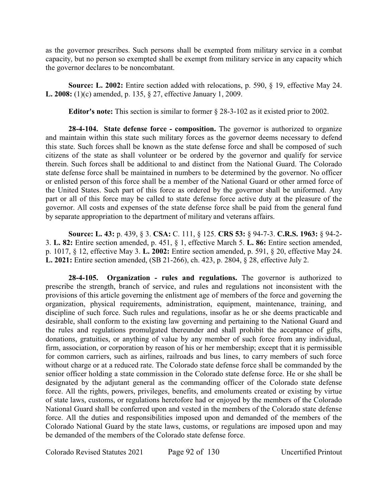as the governor prescribes. Such persons shall be exempted from military service in a combat capacity, but no person so exempted shall be exempt from military service in any capacity which the governor declares to be noncombatant.

**Source: L. 2002:** Entire section added with relocations, p. 590, § 19, effective May 24. **L. 2008:** (1)(c) amended, p. 135, § 27, effective January 1, 2009.

**Editor's note:** This section is similar to former § 28-3-102 as it existed prior to 2002.

**28-4-104. State defense force - composition.** The governor is authorized to organize and maintain within this state such military forces as the governor deems necessary to defend this state. Such forces shall be known as the state defense force and shall be composed of such citizens of the state as shall volunteer or be ordered by the governor and qualify for service therein. Such forces shall be additional to and distinct from the National Guard. The Colorado state defense force shall be maintained in numbers to be determined by the governor. No officer or enlisted person of this force shall be a member of the National Guard or other armed force of the United States. Such part of this force as ordered by the governor shall be uniformed. Any part or all of this force may be called to state defense force active duty at the pleasure of the governor. All costs and expenses of the state defense force shall be paid from the general fund by separate appropriation to the department of military and veterans affairs.

**Source: L. 43:** p. 439, § 3. **CSA:** C. 111, § 125. **CRS 53:** § 94-7-3. **C.R.S. 1963:** § 94-2- 3. **L. 82:** Entire section amended, p. 451, § 1, effective March 5. **L. 86:** Entire section amended, p. 1017, § 12, effective May 3. **L. 2002:** Entire section amended, p. 591, § 20, effective May 24. **L. 2021:** Entire section amended, (SB 21-266), ch. 423, p. 2804, § 28, effective July 2.

**28-4-105. Organization - rules and regulations.** The governor is authorized to prescribe the strength, branch of service, and rules and regulations not inconsistent with the provisions of this article governing the enlistment age of members of the force and governing the organization, physical requirements, administration, equipment, maintenance, training, and discipline of such force. Such rules and regulations, insofar as he or she deems practicable and desirable, shall conform to the existing law governing and pertaining to the National Guard and the rules and regulations promulgated thereunder and shall prohibit the acceptance of gifts, donations, gratuities, or anything of value by any member of such force from any individual, firm, association, or corporation by reason of his or her membership; except that it is permissible for common carriers, such as airlines, railroads and bus lines, to carry members of such force without charge or at a reduced rate. The Colorado state defense force shall be commanded by the senior officer holding a state commission in the Colorado state defense force. He or she shall be designated by the adjutant general as the commanding officer of the Colorado state defense force. All the rights, powers, privileges, benefits, and emoluments created or existing by virtue of state laws, customs, or regulations heretofore had or enjoyed by the members of the Colorado National Guard shall be conferred upon and vested in the members of the Colorado state defense force. All the duties and responsibilities imposed upon and demanded of the members of the Colorado National Guard by the state laws, customs, or regulations are imposed upon and may be demanded of the members of the Colorado state defense force.

Colorado Revised Statutes 2021 Page 92 of 130 Uncertified Printout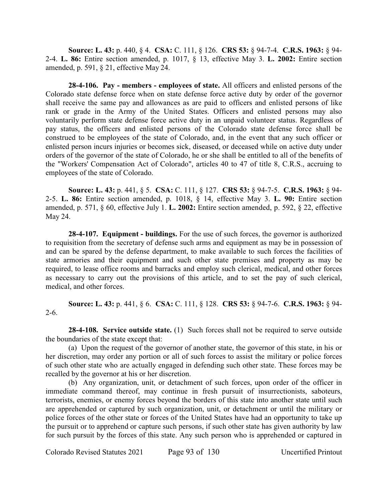**Source: L. 43:** p. 440, § 4. **CSA:** C. 111, § 126. **CRS 53:** § 94-7-4. **C.R.S. 1963:** § 94- 2-4. **L. 86:** Entire section amended, p. 1017, § 13, effective May 3. **L. 2002:** Entire section amended, p. 591, § 21, effective May 24.

**28-4-106. Pay - members - employees of state.** All officers and enlisted persons of the Colorado state defense force when on state defense force active duty by order of the governor shall receive the same pay and allowances as are paid to officers and enlisted persons of like rank or grade in the Army of the United States. Officers and enlisted persons may also voluntarily perform state defense force active duty in an unpaid volunteer status. Regardless of pay status, the officers and enlisted persons of the Colorado state defense force shall be construed to be employees of the state of Colorado, and, in the event that any such officer or enlisted person incurs injuries or becomes sick, diseased, or deceased while on active duty under orders of the governor of the state of Colorado, he or she shall be entitled to all of the benefits of the "Workers' Compensation Act of Colorado", articles 40 to 47 of title 8, C.R.S., accruing to employees of the state of Colorado.

**Source: L. 43:** p. 441, § 5. **CSA:** C. 111, § 127. **CRS 53:** § 94-7-5. **C.R.S. 1963:** § 94- 2-5. **L. 86:** Entire section amended, p. 1018, § 14, effective May 3. **L. 90:** Entire section amended, p. 571, § 60, effective July 1. **L. 2002:** Entire section amended, p. 592, § 22, effective May 24.

**28-4-107. Equipment - buildings.** For the use of such forces, the governor is authorized to requisition from the secretary of defense such arms and equipment as may be in possession of and can be spared by the defense department, to make available to such forces the facilities of state armories and their equipment and such other state premises and property as may be required, to lease office rooms and barracks and employ such clerical, medical, and other forces as necessary to carry out the provisions of this article, and to set the pay of such clerical, medical, and other forces.

**Source: L. 43:** p. 441, § 6. **CSA:** C. 111, § 128. **CRS 53:** § 94-7-6. **C.R.S. 1963:** § 94- 2-6.

**28-4-108. Service outside state.** (1) Such forces shall not be required to serve outside the boundaries of the state except that:

(a) Upon the request of the governor of another state, the governor of this state, in his or her discretion, may order any portion or all of such forces to assist the military or police forces of such other state who are actually engaged in defending such other state. These forces may be recalled by the governor at his or her discretion.

(b) Any organization, unit, or detachment of such forces, upon order of the officer in immediate command thereof, may continue in fresh pursuit of insurrectionists, saboteurs, terrorists, enemies, or enemy forces beyond the borders of this state into another state until such are apprehended or captured by such organization, unit, or detachment or until the military or police forces of the other state or forces of the United States have had an opportunity to take up the pursuit or to apprehend or capture such persons, if such other state has given authority by law for such pursuit by the forces of this state. Any such person who is apprehended or captured in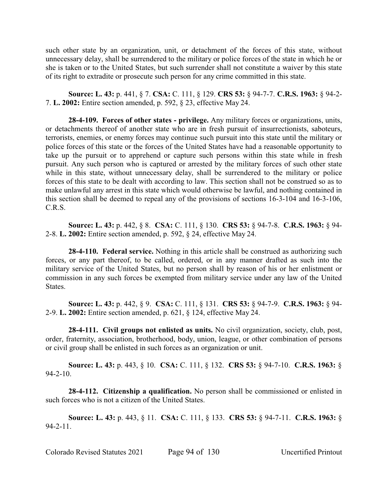such other state by an organization, unit, or detachment of the forces of this state, without unnecessary delay, shall be surrendered to the military or police forces of the state in which he or she is taken or to the United States, but such surrender shall not constitute a waiver by this state of its right to extradite or prosecute such person for any crime committed in this state.

**Source: L. 43:** p. 441, § 7. **CSA:** C. 111, § 129. **CRS 53:** § 94-7-7. **C.R.S. 1963:** § 94-2- 7. **L. 2002:** Entire section amended, p. 592, § 23, effective May 24.

**28-4-109. Forces of other states - privilege.** Any military forces or organizations, units, or detachments thereof of another state who are in fresh pursuit of insurrectionists, saboteurs, terrorists, enemies, or enemy forces may continue such pursuit into this state until the military or police forces of this state or the forces of the United States have had a reasonable opportunity to take up the pursuit or to apprehend or capture such persons within this state while in fresh pursuit. Any such person who is captured or arrested by the military forces of such other state while in this state, without unnecessary delay, shall be surrendered to the military or police forces of this state to be dealt with according to law. This section shall not be construed so as to make unlawful any arrest in this state which would otherwise be lawful, and nothing contained in this section shall be deemed to repeal any of the provisions of sections 16-3-104 and 16-3-106, C.R.S.

**Source: L. 43:** p. 442, § 8. **CSA:** C. 111, § 130. **CRS 53:** § 94-7-8. **C.R.S. 1963:** § 94- 2-8. **L. 2002:** Entire section amended, p. 592, § 24, effective May 24.

**28-4-110. Federal service.** Nothing in this article shall be construed as authorizing such forces, or any part thereof, to be called, ordered, or in any manner drafted as such into the military service of the United States, but no person shall by reason of his or her enlistment or commission in any such forces be exempted from military service under any law of the United States.

**Source: L. 43:** p. 442, § 9. **CSA:** C. 111, § 131. **CRS 53:** § 94-7-9. **C.R.S. 1963:** § 94- 2-9. **L. 2002:** Entire section amended, p. 621, § 124, effective May 24.

**28-4-111. Civil groups not enlisted as units.** No civil organization, society, club, post, order, fraternity, association, brotherhood, body, union, league, or other combination of persons or civil group shall be enlisted in such forces as an organization or unit.

**Source: L. 43:** p. 443, § 10. **CSA:** C. 111, § 132. **CRS 53:** § 94-7-10. **C.R.S. 1963:** § 94-2-10.

**28-4-112. Citizenship a qualification.** No person shall be commissioned or enlisted in such forces who is not a citizen of the United States.

**Source: L. 43:** p. 443, § 11. **CSA:** C. 111, § 133. **CRS 53:** § 94-7-11. **C.R.S. 1963:** § 94-2-11.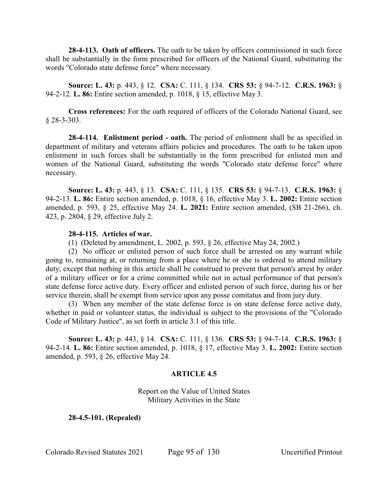**28-4-113. Oath of officers.** The oath to be taken by officers commissioned in such force shall be substantially in the form prescribed for officers of the National Guard, substituting the words "Colorado state defense force" where necessary.

**Source: L. 43:** p. 443, § 12. **CSA:** C. 111, § 134. **CRS 53:** § 94-7-12. **C.R.S. 1963:** § 94-2-12. **L. 86:** Entire section amended, p. 1018, § 15, effective May 3.

**Cross references:** For the oath required of officers of the Colorado National Guard, see § 28-3-303.

**28-4-114. Enlistment period - oath.** The period of enlistment shall be as specified in department of military and veterans affairs policies and procedures. The oath to be taken upon enlistment in such forces shall be substantially in the form prescribed for enlisted men and women of the National Guard, substituting the words "Colorado state defense force" where necessary.

**Source: L. 43:** p. 443, § 13. **CSA:** C. 111, § 135. **CRS 53:** § 94-7-13. **C.R.S. 1963:** § 94-2-13. **L. 86:** Entire section amended, p. 1018, § 16, effective May 3. **L. 2002:** Entire section amended, p. 593, § 25, effective May 24. **L. 2021:** Entire section amended, (SB 21-266), ch. 423, p. 2804, § 29, effective July 2.

## **28-4-115. Articles of war.**

(1) (Deleted by amendment, L. 2002, p. 593, § 26, effective May 24, 2002.)

(2) No officer or enlisted person of such force shall be arrested on any warrant while going to, remaining at, or returning from a place where he or she is ordered to attend military duty; except that nothing in this article shall be construed to prevent that person's arrest by order of a military officer or for a crime committed while not in actual performance of that person's state defense force active duty. Every officer and enlisted person of such force, during his or her service therein, shall be exempt from service upon any posse comitatus and from jury duty.

(3) When any member of the state defense force is on state defense force active duty, whether in paid or volunteer status, the individual is subject to the provisions of the "Colorado" Code of Military Justice", as set forth in article 3.1 of this title.

**Source: L. 43:** p. 443, § 14. **CSA:** C. 111, § 136. **CRS 53:** § 94-7-14. **C.R.S. 1963:** § 94-2-14. **L. 86:** Entire section amended, p. 1018, § 17, effective May 3. **L. 2002:** Entire section amended, p. 593, § 26, effective May 24.

# **ARTICLE 4.5**

Report on the Value of United States Military Activities in the State

**28-4.5-101. (Repealed)**

Colorado Revised Statutes 2021 Page 95 of 130 Uncertified Printout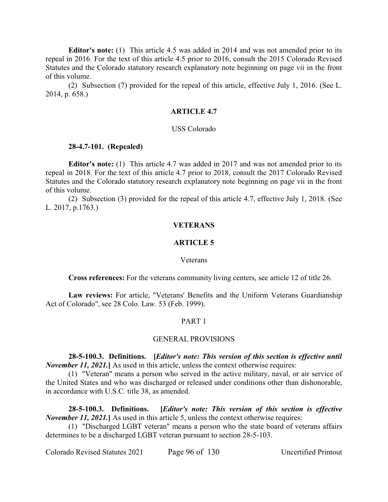**Editor's note:** (1) This article 4.5 was added in 2014 and was not amended prior to its repeal in 2016. For the text of this article 4.5 prior to 2016, consult the 2015 Colorado Revised Statutes and the Colorado statutory research explanatory note beginning on page vii in the front of this volume.

(2) Subsection (7) provided for the repeal of this article, effective July 1, 2016. (See L. 2014, p. 658.)

#### **ARTICLE 4.7**

## USS Colorado

### **28-4.7-101. (Repealed)**

**Editor's note:** (1) This article 4.7 was added in 2017 and was not amended prior to its repeal in 2018. For the text of this article 4.7 prior to 2018, consult the 2017 Colorado Revised Statutes and the Colorado statutory research explanatory note beginning on page vii in the front of this volume.

(2) Subsection (3) provided for the repeal of this article 4.7, effective July 1, 2018. (See L. 2017, p.1763.)

#### **VETERANS**

### **ARTICLE 5**

#### Veterans

**Cross references:** For the veterans community living centers, see article 12 of title 26.

**Law reviews:** For article, "Veterans' Benefits and the Uniform Veterans Guardianship Act of Colorado", see 28 Colo. Law. 53 (Feb. 1999).

### PART 1

### GENERAL PROVISIONS

**28-5-100.3. Definitions. [***Editor's note: This version of this section is effective until November 11, 2021.* As used in this article, unless the context otherwise requires:

(1) "Veteran" means a person who served in the active military, naval, or air service of the United States and who was discharged or released under conditions other than dishonorable, in accordance with U.S.C. title 38, as amended.

**28-5-100.3. Definitions. [***Editor's note: This version of this section is effective November 11, 2021.* As used in this article 5, unless the context otherwise requires:

(1) "Discharged LGBT veteran" means a person who the state board of veterans affairs determines to be a discharged LGBT veteran pursuant to section 28-5-103.

Colorado Revised Statutes 2021 Page 96 of 130 Uncertified Printout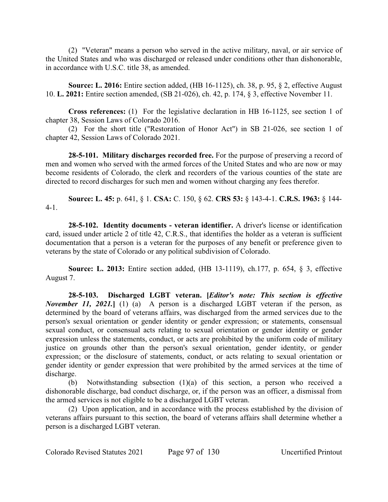(2) "Veteran" means a person who served in the active military, naval, or air service of the United States and who was discharged or released under conditions other than dishonorable, in accordance with U.S.C. title 38, as amended.

**Source: L. 2016:** Entire section added, (HB 16-1125), ch. 38, p. 95, § 2, effective August 10. **L. 2021:** Entire section amended, (SB 21-026), ch. 42, p. 174, § 3, effective November 11.

**Cross references:** (1) For the legislative declaration in HB 16-1125, see section 1 of chapter 38, Session Laws of Colorado 2016.

(2) For the short title ("Restoration of Honor Act") in SB 21-026, see section 1 of chapter 42, Session Laws of Colorado 2021.

**28-5-101. Military discharges recorded free.** For the purpose of preserving a record of men and women who served with the armed forces of the United States and who are now or may become residents of Colorado, the clerk and recorders of the various counties of the state are directed to record discharges for such men and women without charging any fees therefor.

**Source: L. 45:** p. 641, § 1. **CSA:** C. 150, § 62. **CRS 53:** § 143-4-1. **C.R.S. 1963:** § 144- 4-1.

**28-5-102. Identity documents - veteran identifier.** A driver's license or identification card, issued under article 2 of title 42, C.R.S., that identifies the holder as a veteran is sufficient documentation that a person is a veteran for the purposes of any benefit or preference given to veterans by the state of Colorado or any political subdivision of Colorado.

**Source: L. 2013:** Entire section added, (HB 13-1119), ch.177, p. 654, § 3, effective August 7.

**28-5-103. Discharged LGBT veteran. [***Editor's note: This section is effective November 11, 2021.* (1) (a) A person is a discharged LGBT veteran if the person, as determined by the board of veterans affairs, was discharged from the armed services due to the person's sexual orientation or gender identity or gender expression; or statements, consensual sexual conduct, or consensual acts relating to sexual orientation or gender identity or gender expression unless the statements, conduct, or acts are prohibited by the uniform code of military justice on grounds other than the person's sexual orientation, gender identity, or gender expression; or the disclosure of statements, conduct, or acts relating to sexual orientation or gender identity or gender expression that were prohibited by the armed services at the time of discharge.

(b) Notwithstanding subsection (1)(a) of this section, a person who received a dishonorable discharge, bad conduct discharge, or, if the person was an officer, a dismissal from the armed services is not eligible to be a discharged LGBT veteran.

(2) Upon application, and in accordance with the process established by the division of veterans affairs pursuant to this section, the board of veterans affairs shall determine whether a person is a discharged LGBT veteran.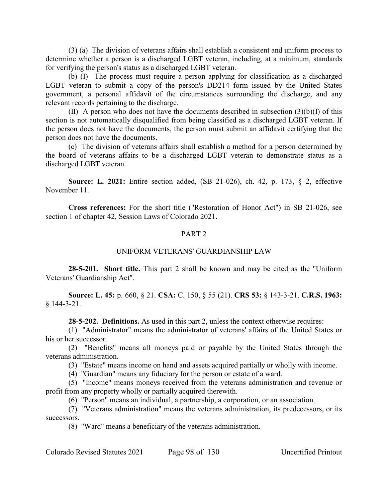(3) (a) The division of veterans affairs shall establish a consistent and uniform process to determine whether a person is a discharged LGBT veteran, including, at a minimum, standards for verifying the person's status as a discharged LGBT veteran.

(b) (I) The process must require a person applying for classification as a discharged LGBT veteran to submit a copy of the person's DD214 form issued by the United States government, a personal affidavit of the circumstances surrounding the discharge, and any relevant records pertaining to the discharge.

(II) A person who does not have the documents described in subsection  $(3)(b)(I)$  of this section is not automatically disqualified from being classified as a discharged LGBT veteran. If the person does not have the documents, the person must submit an affidavit certifying that the person does not have the documents.

(c) The division of veterans affairs shall establish a method for a person determined by the board of veterans affairs to be a discharged LGBT veteran to demonstrate status as a discharged LGBT veteran.

**Source: L. 2021:** Entire section added, (SB 21-026), ch. 42, p. 173, § 2, effective November 11.

**Cross references:** For the short title ("Restoration of Honor Act") in SB 21-026, see section 1 of chapter 42, Session Laws of Colorado 2021.

## PART 2

### UNIFORM VETERANS' GUARDIANSHIP LAW

**28-5-201. Short title.** This part 2 shall be known and may be cited as the "Uniform Veterans' Guardianship Act".

**Source: L. 45:** p. 660, § 21. **CSA:** C. 150, § 55 (21). **CRS 53:** § 143-3-21. **C.R.S. 1963:** § 144-3-21.

**28-5-202. Definitions.** As used in this part 2, unless the context otherwise requires:

(1) "Administrator" means the administrator of veterans' affairs of the United States or his or her successor.

(2) "Benefits" means all moneys paid or payable by the United States through the veterans administration.

(3) "Estate" means income on hand and assets acquired partially or wholly with income.

(4) "Guardian" means any fiduciary for the person or estate of a ward.

(5) "Income" means moneys received from the veterans administration and revenue or profit from any property wholly or partially acquired therewith.

(6) "Person" means an individual, a partnership, a corporation, or an association.

(7) "Veterans administration" means the veterans administration, its predecessors, or its successors.

(8) "Ward" means a beneficiary of the veterans administration.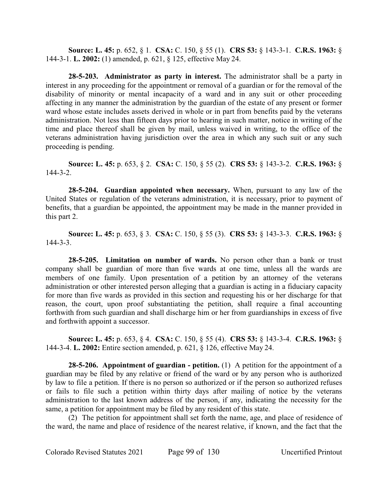**Source: L. 45:** p. 652, § 1. **CSA:** C. 150, § 55 (1). **CRS 53:** § 143-3-1. **C.R.S. 1963:** § 144-3-1. **L. 2002:** (1) amended, p. 621, § 125, effective May 24.

**28-5-203. Administrator as party in interest.** The administrator shall be a party in interest in any proceeding for the appointment or removal of a guardian or for the removal of the disability of minority or mental incapacity of a ward and in any suit or other proceeding affecting in any manner the administration by the guardian of the estate of any present or former ward whose estate includes assets derived in whole or in part from benefits paid by the veterans administration. Not less than fifteen days prior to hearing in such matter, notice in writing of the time and place thereof shall be given by mail, unless waived in writing, to the office of the veterans administration having jurisdiction over the area in which any such suit or any such proceeding is pending.

**Source: L. 45:** p. 653, § 2. **CSA:** C. 150, § 55 (2). **CRS 53:** § 143-3-2. **C.R.S. 1963:** § 144-3-2.

**28-5-204. Guardian appointed when necessary.** When, pursuant to any law of the United States or regulation of the veterans administration, it is necessary, prior to payment of benefits, that a guardian be appointed, the appointment may be made in the manner provided in this part 2.

**Source: L. 45:** p. 653, § 3. **CSA:** C. 150, § 55 (3). **CRS 53:** § 143-3-3. **C.R.S. 1963:** § 144-3-3.

**28-5-205. Limitation on number of wards.** No person other than a bank or trust company shall be guardian of more than five wards at one time, unless all the wards are members of one family. Upon presentation of a petition by an attorney of the veterans administration or other interested person alleging that a guardian is acting in a fiduciary capacity for more than five wards as provided in this section and requesting his or her discharge for that reason, the court, upon proof substantiating the petition, shall require a final accounting forthwith from such guardian and shall discharge him or her from guardianships in excess of five and forthwith appoint a successor.

**Source: L. 45:** p. 653, § 4. **CSA:** C. 150, § 55 (4). **CRS 53:** § 143-3-4. **C.R.S. 1963:** § 144-3-4. **L. 2002:** Entire section amended, p. 621, § 126, effective May 24.

**28-5-206. Appointment of guardian - petition.** (1) A petition for the appointment of a guardian may be filed by any relative or friend of the ward or by any person who is authorized by law to file a petition. If there is no person so authorized or if the person so authorized refuses or fails to file such a petition within thirty days after mailing of notice by the veterans administration to the last known address of the person, if any, indicating the necessity for the same, a petition for appointment may be filed by any resident of this state.

(2) The petition for appointment shall set forth the name, age, and place of residence of the ward, the name and place of residence of the nearest relative, if known, and the fact that the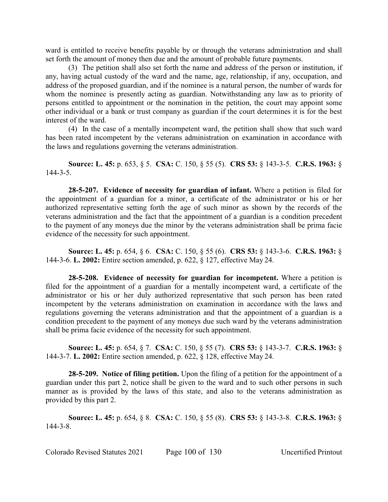ward is entitled to receive benefits payable by or through the veterans administration and shall set forth the amount of money then due and the amount of probable future payments.

(3) The petition shall also set forth the name and address of the person or institution, if any, having actual custody of the ward and the name, age, relationship, if any, occupation, and address of the proposed guardian, and if the nominee is a natural person, the number of wards for whom the nominee is presently acting as guardian. Notwithstanding any law as to priority of persons entitled to appointment or the nomination in the petition, the court may appoint some other individual or a bank or trust company as guardian if the court determines it is for the best interest of the ward.

(4) In the case of a mentally incompetent ward, the petition shall show that such ward has been rated incompetent by the veterans administration on examination in accordance with the laws and regulations governing the veterans administration.

**Source: L. 45:** p. 653, § 5. **CSA:** C. 150, § 55 (5). **CRS 53:** § 143-3-5. **C.R.S. 1963:** § 144-3-5.

**28-5-207. Evidence of necessity for guardian of infant.** Where a petition is filed for the appointment of a guardian for a minor, a certificate of the administrator or his or her authorized representative setting forth the age of such minor as shown by the records of the veterans administration and the fact that the appointment of a guardian is a condition precedent to the payment of any moneys due the minor by the veterans administration shall be prima facie evidence of the necessity for such appointment.

**Source: L. 45:** p. 654, § 6. **CSA:** C. 150, § 55 (6). **CRS 53:** § 143-3-6. **C.R.S. 1963:** § 144-3-6. **L. 2002:** Entire section amended, p. 622, § 127, effective May 24.

**28-5-208. Evidence of necessity for guardian for incompetent.** Where a petition is filed for the appointment of a guardian for a mentally incompetent ward, a certificate of the administrator or his or her duly authorized representative that such person has been rated incompetent by the veterans administration on examination in accordance with the laws and regulations governing the veterans administration and that the appointment of a guardian is a condition precedent to the payment of any moneys due such ward by the veterans administration shall be prima facie evidence of the necessity for such appointment.

**Source: L. 45:** p. 654, § 7. **CSA:** C. 150, § 55 (7). **CRS 53:** § 143-3-7. **C.R.S. 1963:** § 144-3-7. **L. 2002:** Entire section amended, p. 622, § 128, effective May 24.

**28-5-209. Notice of filing petition.** Upon the filing of a petition for the appointment of a guardian under this part 2, notice shall be given to the ward and to such other persons in such manner as is provided by the laws of this state, and also to the veterans administration as provided by this part 2.

**Source: L. 45:** p. 654, § 8. **CSA:** C. 150, § 55 (8). **CRS 53:** § 143-3-8. **C.R.S. 1963:** § 144-3-8.

Colorado Revised Statutes 2021 Page 100 of 130 Uncertified Printout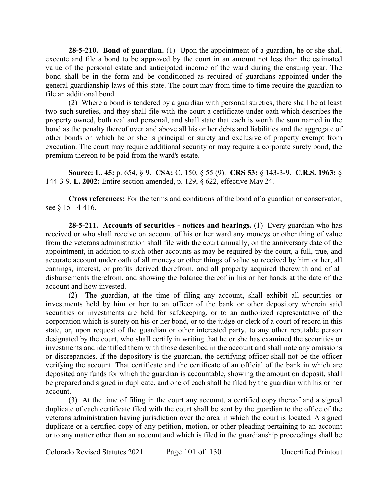**28-5-210. Bond of guardian.** (1) Upon the appointment of a guardian, he or she shall execute and file a bond to be approved by the court in an amount not less than the estimated value of the personal estate and anticipated income of the ward during the ensuing year. The bond shall be in the form and be conditioned as required of guardians appointed under the general guardianship laws of this state. The court may from time to time require the guardian to file an additional bond.

(2) Where a bond is tendered by a guardian with personal sureties, there shall be at least two such sureties, and they shall file with the court a certificate under oath which describes the property owned, both real and personal, and shall state that each is worth the sum named in the bond as the penalty thereof over and above all his or her debts and liabilities and the aggregate of other bonds on which he or she is principal or surety and exclusive of property exempt from execution. The court may require additional security or may require a corporate surety bond, the premium thereon to be paid from the ward's estate.

**Source: L. 45:** p. 654, § 9. **CSA:** C. 150, § 55 (9). **CRS 53:** § 143-3-9. **C.R.S. 1963:** § 144-3-9. **L. 2002:** Entire section amended, p. 129, § 622, effective May 24.

**Cross references:** For the terms and conditions of the bond of a guardian or conservator, see § 15-14-416.

**28-5-211. Accounts of securities - notices and hearings.** (1) Every guardian who has received or who shall receive on account of his or her ward any moneys or other thing of value from the veterans administration shall file with the court annually, on the anniversary date of the appointment, in addition to such other accounts as may be required by the court, a full, true, and accurate account under oath of all moneys or other things of value so received by him or her, all earnings, interest, or profits derived therefrom, and all property acquired therewith and of all disbursements therefrom, and showing the balance thereof in his or her hands at the date of the account and how invested.

(2) The guardian, at the time of filing any account, shall exhibit all securities or investments held by him or her to an officer of the bank or other depository wherein said securities or investments are held for safekeeping, or to an authorized representative of the corporation which is surety on his or her bond, or to the judge or clerk of a court of record in this state, or, upon request of the guardian or other interested party, to any other reputable person designated by the court, who shall certify in writing that he or she has examined the securities or investments and identified them with those described in the account and shall note any omissions or discrepancies. If the depository is the guardian, the certifying officer shall not be the officer verifying the account. That certificate and the certificate of an official of the bank in which are deposited any funds for which the guardian is accountable, showing the amount on deposit, shall be prepared and signed in duplicate, and one of each shall be filed by the guardian with his or her account.

(3) At the time of filing in the court any account, a certified copy thereof and a signed duplicate of each certificate filed with the court shall be sent by the guardian to the office of the veterans administration having jurisdiction over the area in which the court is located. A signed duplicate or a certified copy of any petition, motion, or other pleading pertaining to an account or to any matter other than an account and which is filed in the guardianship proceedings shall be

Colorado Revised Statutes 2021 Page 101 of 130 Uncertified Printout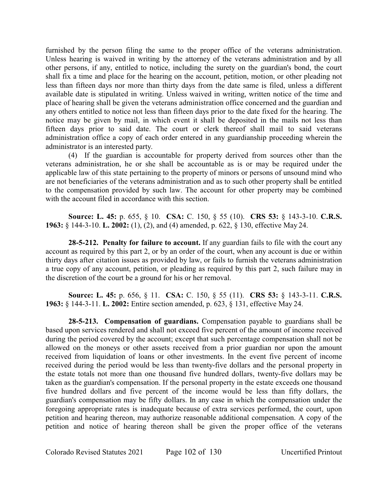furnished by the person filing the same to the proper office of the veterans administration. Unless hearing is waived in writing by the attorney of the veterans administration and by all other persons, if any, entitled to notice, including the surety on the guardian's bond, the court shall fix a time and place for the hearing on the account, petition, motion, or other pleading not less than fifteen days nor more than thirty days from the date same is filed, unless a different available date is stipulated in writing. Unless waived in writing, written notice of the time and place of hearing shall be given the veterans administration office concerned and the guardian and any others entitled to notice not less than fifteen days prior to the date fixed for the hearing. The notice may be given by mail, in which event it shall be deposited in the mails not less than fifteen days prior to said date. The court or clerk thereof shall mail to said veterans administration office a copy of each order entered in any guardianship proceeding wherein the administrator is an interested party.

(4) If the guardian is accountable for property derived from sources other than the veterans administration, he or she shall be accountable as is or may be required under the applicable law of this state pertaining to the property of minors or persons of unsound mind who are not beneficiaries of the veterans administration and as to such other property shall be entitled to the compensation provided by such law. The account for other property may be combined with the account filed in accordance with this section.

**Source: L. 45:** p. 655, § 10. **CSA:** C. 150, § 55 (10). **CRS 53:** § 143-3-10. **C.R.S. 1963:** § 144-3-10. **L. 2002:** (1), (2), and (4) amended, p. 622, § 130, effective May 24.

**28-5-212. Penalty for failure to account.** If any guardian fails to file with the court any account as required by this part 2, or by an order of the court, when any account is due or within thirty days after citation issues as provided by law, or fails to furnish the veterans administration a true copy of any account, petition, or pleading as required by this part 2, such failure may in the discretion of the court be a ground for his or her removal.

**Source: L. 45:** p. 656, § 11. **CSA:** C. 150, § 55 (11). **CRS 53:** § 143-3-11. **C.R.S. 1963:** § 144-3-11. **L. 2002:** Entire section amended, p. 623, § 131, effective May 24.

**28-5-213. Compensation of guardians.** Compensation payable to guardians shall be based upon services rendered and shall not exceed five percent of the amount of income received during the period covered by the account; except that such percentage compensation shall not be allowed on the moneys or other assets received from a prior guardian nor upon the amount received from liquidation of loans or other investments. In the event five percent of income received during the period would be less than twenty-five dollars and the personal property in the estate totals not more than one thousand five hundred dollars, twenty-five dollars may be taken as the guardian's compensation. If the personal property in the estate exceeds one thousand five hundred dollars and five percent of the income would be less than fifty dollars, the guardian's compensation may be fifty dollars. In any case in which the compensation under the foregoing appropriate rates is inadequate because of extra services performed, the court, upon petition and hearing thereon, may authorize reasonable additional compensation. A copy of the petition and notice of hearing thereon shall be given the proper office of the veterans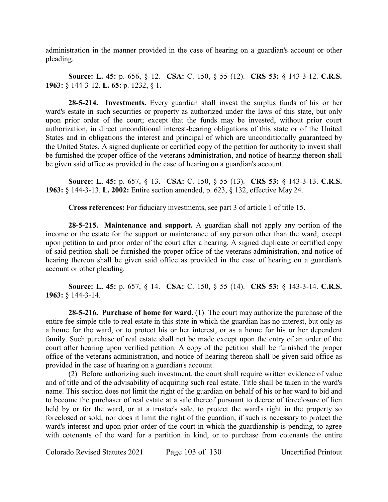administration in the manner provided in the case of hearing on a guardian's account or other pleading.

**Source: L. 45:** p. 656, § 12. **CSA:** C. 150, § 55 (12). **CRS 53:** § 143-3-12. **C.R.S. 1963:** § 144-3-12. **L. 65:** p. 1232, § 1.

**28-5-214. Investments.** Every guardian shall invest the surplus funds of his or her ward's estate in such securities or property as authorized under the laws of this state, but only upon prior order of the court; except that the funds may be invested, without prior court authorization, in direct unconditional interest-bearing obligations of this state or of the United States and in obligations the interest and principal of which are unconditionally guaranteed by the United States. A signed duplicate or certified copy of the petition for authority to invest shall be furnished the proper office of the veterans administration, and notice of hearing thereon shall be given said office as provided in the case of hearing on a guardian's account.

**Source: L. 45:** p. 657, § 13. **CSA:** C. 150, § 55 (13). **CRS 53:** § 143-3-13. **C.R.S. 1963:** § 144-3-13. **L. 2002:** Entire section amended, p. 623, § 132, effective May 24.

**Cross references:** For fiduciary investments, see part 3 of article 1 of title 15.

**28-5-215. Maintenance and support.** A guardian shall not apply any portion of the income or the estate for the support or maintenance of any person other than the ward, except upon petition to and prior order of the court after a hearing. A signed duplicate or certified copy of said petition shall be furnished the proper office of the veterans administration, and notice of hearing thereon shall be given said office as provided in the case of hearing on a guardian's account or other pleading.

**Source: L. 45:** p. 657, § 14. **CSA:** C. 150, § 55 (14). **CRS 53:** § 143-3-14. **C.R.S. 1963:** § 144-3-14.

**28-5-216. Purchase of home for ward.** (1) The court may authorize the purchase of the entire fee simple title to real estate in this state in which the guardian has no interest, but only as a home for the ward, or to protect his or her interest, or as a home for his or her dependent family. Such purchase of real estate shall not be made except upon the entry of an order of the court after hearing upon verified petition. A copy of the petition shall be furnished the proper office of the veterans administration, and notice of hearing thereon shall be given said office as provided in the case of hearing on a guardian's account.

(2) Before authorizing such investment, the court shall require written evidence of value and of title and of the advisability of acquiring such real estate. Title shall be taken in the ward's name. This section does not limit the right of the guardian on behalf of his or her ward to bid and to become the purchaser of real estate at a sale thereof pursuant to decree of foreclosure of lien held by or for the ward, or at a trustee's sale, to protect the ward's right in the property so foreclosed or sold; nor does it limit the right of the guardian, if such is necessary to protect the ward's interest and upon prior order of the court in which the guardianship is pending, to agree with cotenants of the ward for a partition in kind, or to purchase from cotenants the entire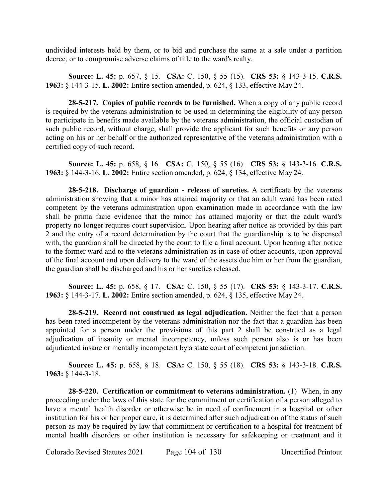undivided interests held by them, or to bid and purchase the same at a sale under a partition decree, or to compromise adverse claims of title to the ward's realty.

**Source: L. 45:** p. 657, § 15. **CSA:** C. 150, § 55 (15). **CRS 53:** § 143-3-15. **C.R.S. 1963:** § 144-3-15. **L. 2002:** Entire section amended, p. 624, § 133, effective May 24.

**28-5-217. Copies of public records to be furnished.** When a copy of any public record is required by the veterans administration to be used in determining the eligibility of any person to participate in benefits made available by the veterans administration, the official custodian of such public record, without charge, shall provide the applicant for such benefits or any person acting on his or her behalf or the authorized representative of the veterans administration with a certified copy of such record.

**Source: L. 45:** p. 658, § 16. **CSA:** C. 150, § 55 (16). **CRS 53:** § 143-3-16. **C.R.S. 1963:** § 144-3-16. **L. 2002:** Entire section amended, p. 624, § 134, effective May 24.

**28-5-218. Discharge of guardian - release of sureties.** A certificate by the veterans administration showing that a minor has attained majority or that an adult ward has been rated competent by the veterans administration upon examination made in accordance with the law shall be prima facie evidence that the minor has attained majority or that the adult ward's property no longer requires court supervision. Upon hearing after notice as provided by this part 2 and the entry of a record determination by the court that the guardianship is to be dispensed with, the guardian shall be directed by the court to file a final account. Upon hearing after notice to the former ward and to the veterans administration as in case of other accounts, upon approval of the final account and upon delivery to the ward of the assets due him or her from the guardian, the guardian shall be discharged and his or her sureties released.

**Source: L. 45:** p. 658, § 17. **CSA:** C. 150, § 55 (17). **CRS 53:** § 143-3-17. **C.R.S. 1963:** § 144-3-17. **L. 2002:** Entire section amended, p. 624, § 135, effective May 24.

**28-5-219. Record not construed as legal adjudication.** Neither the fact that a person has been rated incompetent by the veterans administration nor the fact that a guardian has been appointed for a person under the provisions of this part 2 shall be construed as a legal adjudication of insanity or mental incompetency, unless such person also is or has been adjudicated insane or mentally incompetent by a state court of competent jurisdiction.

**Source: L. 45:** p. 658, § 18. **CSA:** C. 150, § 55 (18). **CRS 53:** § 143-3-18. **C.R.S. 1963:** § 144-3-18.

**28-5-220. Certification or commitment to veterans administration.** (1) When, in any proceeding under the laws of this state for the commitment or certification of a person alleged to have a mental health disorder or otherwise be in need of confinement in a hospital or other institution for his or her proper care, it is determined after such adjudication of the status of such person as may be required by law that commitment or certification to a hospital for treatment of mental health disorders or other institution is necessary for safekeeping or treatment and it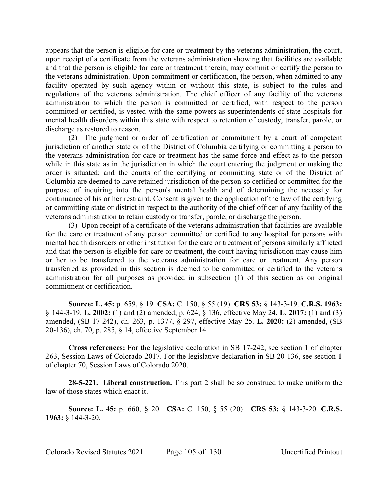appears that the person is eligible for care or treatment by the veterans administration, the court, upon receipt of a certificate from the veterans administration showing that facilities are available and that the person is eligible for care or treatment therein, may commit or certify the person to the veterans administration. Upon commitment or certification, the person, when admitted to any facility operated by such agency within or without this state, is subject to the rules and regulations of the veterans administration. The chief officer of any facility of the veterans administration to which the person is committed or certified, with respect to the person committed or certified, is vested with the same powers as superintendents of state hospitals for mental health disorders within this state with respect to retention of custody, transfer, parole, or discharge as restored to reason.

(2) The judgment or order of certification or commitment by a court of competent jurisdiction of another state or of the District of Columbia certifying or committing a person to the veterans administration for care or treatment has the same force and effect as to the person while in this state as in the jurisdiction in which the court entering the judgment or making the order is situated; and the courts of the certifying or committing state or of the District of Columbia are deemed to have retained jurisdiction of the person so certified or committed for the purpose of inquiring into the person's mental health and of determining the necessity for continuance of his or her restraint. Consent is given to the application of the law of the certifying or committing state or district in respect to the authority of the chief officer of any facility of the veterans administration to retain custody or transfer, parole, or discharge the person.

(3) Upon receipt of a certificate of the veterans administration that facilities are available for the care or treatment of any person committed or certified to any hospital for persons with mental health disorders or other institution for the care or treatment of persons similarly afflicted and that the person is eligible for care or treatment, the court having jurisdiction may cause him or her to be transferred to the veterans administration for care or treatment. Any person transferred as provided in this section is deemed to be committed or certified to the veterans administration for all purposes as provided in subsection (1) of this section as on original commitment or certification.

**Source: L. 45:** p. 659, § 19. **CSA:** C. 150, § 55 (19). **CRS 53:** § 143-3-19. **C.R.S. 1963:** § 144-3-19. **L. 2002:** (1) and (2) amended, p. 624, § 136, effective May 24. **L. 2017:** (1) and (3) amended, (SB 17-242), ch. 263, p. 1377, § 297, effective May 25. **L. 2020:** (2) amended, (SB 20-136), ch. 70, p. 285, § 14, effective September 14.

**Cross references:** For the legislative declaration in SB 17-242, see section 1 of chapter 263, Session Laws of Colorado 2017. For the legislative declaration in SB 20-136, see section 1 of chapter 70, Session Laws of Colorado 2020.

**28-5-221. Liberal construction.** This part 2 shall be so construed to make uniform the law of those states which enact it.

**Source: L. 45:** p. 660, § 20. **CSA:** C. 150, § 55 (20). **CRS 53:** § 143-3-20. **C.R.S. 1963:** § 144-3-20.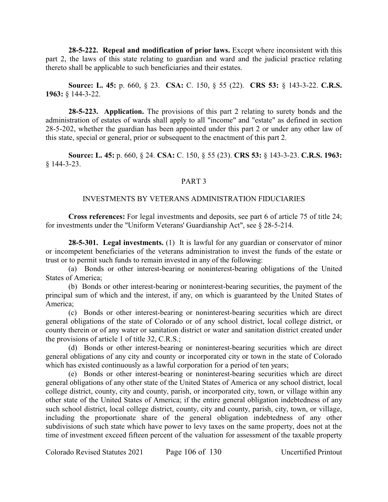**28-5-222. Repeal and modification of prior laws.** Except where inconsistent with this part 2, the laws of this state relating to guardian and ward and the judicial practice relating thereto shall be applicable to such beneficiaries and their estates.

# **Source: L. 45:** p. 660, § 23. **CSA:** C. 150, § 55 (22). **CRS 53:** § 143-3-22. **C.R.S. 1963:** § 144-3-22.

**28-5-223. Application.** The provisions of this part 2 relating to surety bonds and the administration of estates of wards shall apply to all "income" and "estate" as defined in section 28-5-202, whether the guardian has been appointed under this part 2 or under any other law of this state, special or general, prior or subsequent to the enactment of this part 2.

**Source: L. 45:** p. 660, § 24. **CSA:** C. 150, § 55 (23). **CRS 53:** § 143-3-23. **C.R.S. 1963:** § 144-3-23.

### PART 3

# INVESTMENTS BY VETERANS ADMINISTRATION FIDUCIARIES

**Cross references:** For legal investments and deposits, see part 6 of article 75 of title 24; for investments under the "Uniform Veterans' Guardianship Act", see § 28-5-214.

**28-5-301. Legal investments.** (1) It is lawful for any guardian or conservator of minor or incompetent beneficiaries of the veterans administration to invest the funds of the estate or trust or to permit such funds to remain invested in any of the following:

(a) Bonds or other interest-bearing or noninterest-bearing obligations of the United States of America;

(b) Bonds or other interest-bearing or noninterest-bearing securities, the payment of the principal sum of which and the interest, if any, on which is guaranteed by the United States of America;

(c) Bonds or other interest-bearing or noninterest-bearing securities which are direct general obligations of the state of Colorado or of any school district, local college district, or county therein or of any water or sanitation district or water and sanitation district created under the provisions of article 1 of title 32, C.R.S.;

(d) Bonds or other interest-bearing or noninterest-bearing securities which are direct general obligations of any city and county or incorporated city or town in the state of Colorado which has existed continuously as a lawful corporation for a period of ten years;

(e) Bonds or other interest-bearing or noninterest-bearing securities which are direct general obligations of any other state of the United States of America or any school district, local college district, county, city and county, parish, or incorporated city, town, or village within any other state of the United States of America; if the entire general obligation indebtedness of any such school district, local college district, county, city and county, parish, city, town, or village, including the proportionate share of the general obligation indebtedness of any other subdivisions of such state which have power to levy taxes on the same property, does not at the time of investment exceed fifteen percent of the valuation for assessment of the taxable property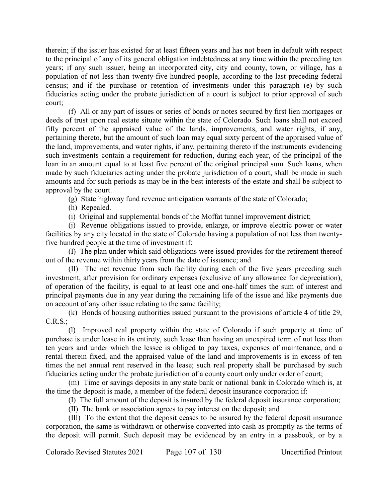therein; if the issuer has existed for at least fifteen years and has not been in default with respect to the principal of any of its general obligation indebtedness at any time within the preceding ten years; if any such issuer, being an incorporated city, city and county, town, or village, has a population of not less than twenty-five hundred people, according to the last preceding federal census; and if the purchase or retention of investments under this paragraph (e) by such fiduciaries acting under the probate jurisdiction of a court is subject to prior approval of such court;

(f) All or any part of issues or series of bonds or notes secured by first lien mortgages or deeds of trust upon real estate situate within the state of Colorado. Such loans shall not exceed fifty percent of the appraised value of the lands, improvements, and water rights, if any, pertaining thereto, but the amount of such loan may equal sixty percent of the appraised value of the land, improvements, and water rights, if any, pertaining thereto if the instruments evidencing such investments contain a requirement for reduction, during each year, of the principal of the loan in an amount equal to at least five percent of the original principal sum. Such loans, when made by such fiduciaries acting under the probate jurisdiction of a court, shall be made in such amounts and for such periods as may be in the best interests of the estate and shall be subject to approval by the court.

(g) State highway fund revenue anticipation warrants of the state of Colorado;

(h) Repealed.

(i) Original and supplemental bonds of the Moffat tunnel improvement district;

(j) Revenue obligations issued to provide, enlarge, or improve electric power or water facilities by any city located in the state of Colorado having a population of not less than twentyfive hundred people at the time of investment if:

(I) The plan under which said obligations were issued provides for the retirement thereof out of the revenue within thirty years from the date of issuance; and

(II) The net revenue from such facility during each of the five years preceding such investment, after provision for ordinary expenses (exclusive of any allowance for depreciation), of operation of the facility, is equal to at least one and one-half times the sum of interest and principal payments due in any year during the remaining life of the issue and like payments due on account of any other issue relating to the same facility;

(k) Bonds of housing authorities issued pursuant to the provisions of article 4 of title 29, C.R.S.;

(l) Improved real property within the state of Colorado if such property at time of purchase is under lease in its entirety, such lease then having an unexpired term of not less than ten years and under which the lessee is obliged to pay taxes, expenses of maintenance, and a rental therein fixed, and the appraised value of the land and improvements is in excess of ten times the net annual rent reserved in the lease; such real property shall be purchased by such fiduciaries acting under the probate jurisdiction of a county court only under order of court;

(m) Time or savings deposits in any state bank or national bank in Colorado which is, at the time the deposit is made, a member of the federal deposit insurance corporation if:

(I) The full amount of the deposit is insured by the federal deposit insurance corporation;

(II) The bank or association agrees to pay interest on the deposit; and

(III) To the extent that the deposit ceases to be insured by the federal deposit insurance corporation, the same is withdrawn or otherwise converted into cash as promptly as the terms of the deposit will permit. Such deposit may be evidenced by an entry in a passbook, or by a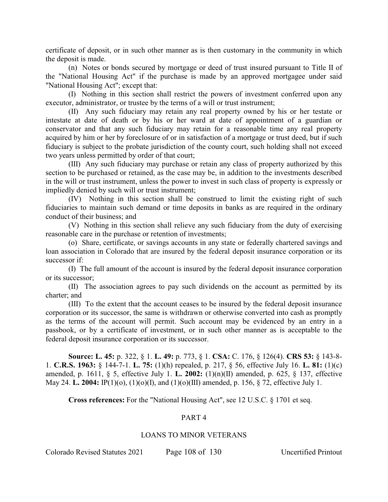certificate of deposit, or in such other manner as is then customary in the community in which the deposit is made.

(n) Notes or bonds secured by mortgage or deed of trust insured pursuant to Title II of the "National Housing Act" if the purchase is made by an approved mortgagee under said "National Housing Act"; except that:

(I) Nothing in this section shall restrict the powers of investment conferred upon any executor, administrator, or trustee by the terms of a will or trust instrument;

(II) Any such fiduciary may retain any real property owned by his or her testate or intestate at date of death or by his or her ward at date of appointment of a guardian or conservator and that any such fiduciary may retain for a reasonable time any real property acquired by him or her by foreclosure of or in satisfaction of a mortgage or trust deed, but if such fiduciary is subject to the probate jurisdiction of the county court, such holding shall not exceed two years unless permitted by order of that court;

(III) Any such fiduciary may purchase or retain any class of property authorized by this section to be purchased or retained, as the case may be, in addition to the investments described in the will or trust instrument, unless the power to invest in such class of property is expressly or impliedly denied by such will or trust instrument;

(IV) Nothing in this section shall be construed to limit the existing right of such fiduciaries to maintain such demand or time deposits in banks as are required in the ordinary conduct of their business; and

(V) Nothing in this section shall relieve any such fiduciary from the duty of exercising reasonable care in the purchase or retention of investments;

(o) Share, certificate, or savings accounts in any state or federally chartered savings and loan association in Colorado that are insured by the federal deposit insurance corporation or its successor if:

(I) The full amount of the account is insured by the federal deposit insurance corporation or its successor;

(II) The association agrees to pay such dividends on the account as permitted by its charter; and

(III) To the extent that the account ceases to be insured by the federal deposit insurance corporation or its successor, the same is withdrawn or otherwise converted into cash as promptly as the terms of the account will permit. Such account may be evidenced by an entry in a passbook, or by a certificate of investment, or in such other manner as is acceptable to the federal deposit insurance corporation or its successor.

**Source: L. 45:** p. 322, § 1. **L. 49:** p. 773, § 1. **CSA:** C. 176, § 126(4). **CRS 53:** § 143-8- 1. **C.R.S. 1963:** § 144-7-1. **L. 75:** (1)(h) repealed, p. 217, § 56, effective July 16. **L. 81:** (1)(c) amended, p. 1611, § 5, effective July 1. **L. 2002:** (1)(n)(II) amended, p. 625, § 137, effective May 24. **L. 2004:** IP(1)(o), (1)(o)(I), and (1)(o)(III) amended, p. 156, § 72, effective July 1.

### **Cross references:** For the "National Housing Act", see 12 U.S.C. § 1701 et seq.

## PART 4

### LOANS TO MINOR VETERANS

Colorado Revised Statutes 2021 Page 108 of 130 Uncertified Printout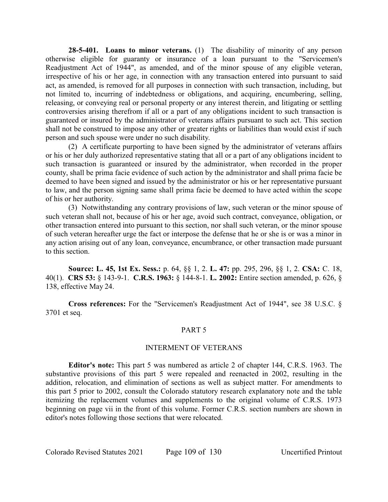**28-5-401. Loans to minor veterans.** (1) The disability of minority of any person otherwise eligible for guaranty or insurance of a loan pursuant to the "Servicemen's Readjustment Act of 1944", as amended, and of the minor spouse of any eligible veteran, irrespective of his or her age, in connection with any transaction entered into pursuant to said act, as amended, is removed for all purposes in connection with such transaction, including, but not limited to, incurring of indebtedness or obligations, and acquiring, encumbering, selling, releasing, or conveying real or personal property or any interest therein, and litigating or settling controversies arising therefrom if all or a part of any obligations incident to such transaction is guaranteed or insured by the administrator of veterans affairs pursuant to such act. This section shall not be construed to impose any other or greater rights or liabilities than would exist if such person and such spouse were under no such disability.

(2) A certificate purporting to have been signed by the administrator of veterans affairs or his or her duly authorized representative stating that all or a part of any obligations incident to such transaction is guaranteed or insured by the administrator, when recorded in the proper county, shall be prima facie evidence of such action by the administrator and shall prima facie be deemed to have been signed and issued by the administrator or his or her representative pursuant to law, and the person signing same shall prima facie be deemed to have acted within the scope of his or her authority.

(3) Notwithstanding any contrary provisions of law, such veteran or the minor spouse of such veteran shall not, because of his or her age, avoid such contract, conveyance, obligation, or other transaction entered into pursuant to this section, nor shall such veteran, or the minor spouse of such veteran hereafter urge the fact or interpose the defense that he or she is or was a minor in any action arising out of any loan, conveyance, encumbrance, or other transaction made pursuant to this section.

**Source: L. 45, 1st Ex. Sess.:** p. 64, §§ 1, 2. **L. 47:** pp. 295, 296, §§ 1, 2. **CSA:** C. 18, 40(1). **CRS 53:** § 143-9-1. **C.R.S. 1963:** § 144-8-1. **L. 2002:** Entire section amended, p. 626, § 138, effective May 24.

**Cross references:** For the "Servicemen's Readjustment Act of 1944", see 38 U.S.C. § 3701 et seq.

### PART 5

### INTERMENT OF VETERANS

**Editor's note:** This part 5 was numbered as article 2 of chapter 144, C.R.S. 1963. The substantive provisions of this part 5 were repealed and reenacted in 2002, resulting in the addition, relocation, and elimination of sections as well as subject matter. For amendments to this part 5 prior to 2002, consult the Colorado statutory research explanatory note and the table itemizing the replacement volumes and supplements to the original volume of C.R.S. 1973 beginning on page vii in the front of this volume. Former C.R.S. section numbers are shown in editor's notes following those sections that were relocated.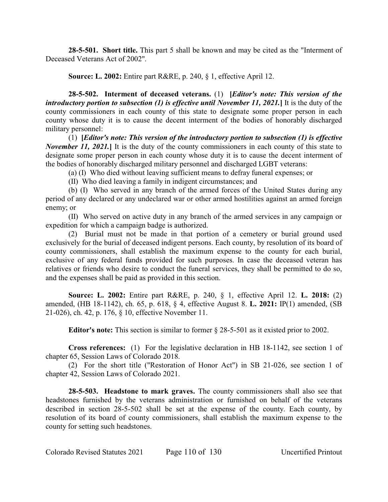**28-5-501. Short title.** This part 5 shall be known and may be cited as the "Interment of Deceased Veterans Act of 2002".

**Source: L. 2002:** Entire part R&RE, p. 240, § 1, effective April 12.

**28-5-502. Interment of deceased veterans.** (1) **[***Editor's note: This version of the introductory portion to subsection (1) is effective until November 11, 2021.***]** It is the duty of the county commissioners in each county of this state to designate some proper person in each county whose duty it is to cause the decent interment of the bodies of honorably discharged military personnel:

(1) **[***Editor's note: This version of the introductory portion to subsection (1) is effective November 11, 2021.* It is the duty of the county commissioners in each county of this state to designate some proper person in each county whose duty it is to cause the decent interment of the bodies of honorably discharged military personnel and discharged LGBT veterans:

(a) (I) Who died without leaving sufficient means to defray funeral expenses; or

(II) Who died leaving a family in indigent circumstances; and

(b) (I) Who served in any branch of the armed forces of the United States during any period of any declared or any undeclared war or other armed hostilities against an armed foreign enemy; or

(II) Who served on active duty in any branch of the armed services in any campaign or expedition for which a campaign badge is authorized.

(2) Burial must not be made in that portion of a cemetery or burial ground used exclusively for the burial of deceased indigent persons. Each county, by resolution of its board of county commissioners, shall establish the maximum expense to the county for each burial, exclusive of any federal funds provided for such purposes. In case the deceased veteran has relatives or friends who desire to conduct the funeral services, they shall be permitted to do so, and the expenses shall be paid as provided in this section.

**Source: L. 2002:** Entire part R&RE, p. 240, § 1, effective April 12. **L. 2018:** (2) amended, (HB 18-1142), ch. 65, p. 618, § 4, effective August 8. **L. 2021:** IP(1) amended, (SB 21-026), ch. 42, p. 176, § 10, effective November 11.

**Editor's note:** This section is similar to former § 28-5-501 as it existed prior to 2002.

**Cross references:** (1) For the legislative declaration in HB 18-1142, see section 1 of chapter 65, Session Laws of Colorado 2018.

(2) For the short title ("Restoration of Honor Act") in SB 21-026, see section 1 of chapter 42, Session Laws of Colorado 2021.

**28-5-503. Headstone to mark graves.** The county commissioners shall also see that headstones furnished by the veterans administration or furnished on behalf of the veterans described in section 28-5-502 shall be set at the expense of the county. Each county, by resolution of its board of county commissioners, shall establish the maximum expense to the county for setting such headstones.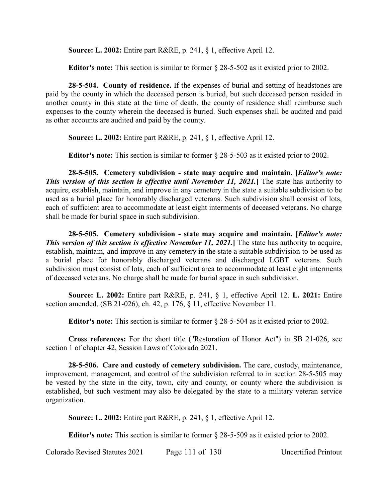**Source: L. 2002:** Entire part R&RE, p. 241, § 1, effective April 12.

**Editor's note:** This section is similar to former § 28-5-502 as it existed prior to 2002.

**28-5-504. County of residence.** If the expenses of burial and setting of headstones are paid by the county in which the deceased person is buried, but such deceased person resided in another county in this state at the time of death, the county of residence shall reimburse such expenses to the county wherein the deceased is buried. Such expenses shall be audited and paid as other accounts are audited and paid by the county.

**Source: L. 2002:** Entire part R&RE, p. 241, § 1, effective April 12.

**Editor's note:** This section is similar to former § 28-5-503 as it existed prior to 2002.

**28-5-505. Cemetery subdivision - state may acquire and maintain. [***Editor's note: This version of this section is effective until November 11, 2021.***]** The state has authority to acquire, establish, maintain, and improve in any cemetery in the state a suitable subdivision to be used as a burial place for honorably discharged veterans. Such subdivision shall consist of lots, each of sufficient area to accommodate at least eight interments of deceased veterans. No charge shall be made for burial space in such subdivision.

**28-5-505. Cemetery subdivision - state may acquire and maintain. [***Editor's note: This version of this section is effective November 11, 2021.***]** The state has authority to acquire, establish, maintain, and improve in any cemetery in the state a suitable subdivision to be used as a burial place for honorably discharged veterans and discharged LGBT veterans. Such subdivision must consist of lots, each of sufficient area to accommodate at least eight interments of deceased veterans. No charge shall be made for burial space in such subdivision.

**Source: L. 2002:** Entire part R&RE, p. 241, § 1, effective April 12. **L. 2021:** Entire section amended, (SB 21-026), ch. 42, p. 176, § 11, effective November 11.

**Editor's note:** This section is similar to former § 28-5-504 as it existed prior to 2002.

**Cross references:** For the short title ("Restoration of Honor Act") in SB 21-026, see section 1 of chapter 42, Session Laws of Colorado 2021.

**28-5-506. Care and custody of cemetery subdivision.** The care, custody, maintenance, improvement, management, and control of the subdivision referred to in section 28-5-505 may be vested by the state in the city, town, city and county, or county where the subdivision is established, but such vestment may also be delegated by the state to a military veteran service organization.

**Source: L. 2002:** Entire part R&RE, p. 241, § 1, effective April 12.

**Editor's note:** This section is similar to former § 28-5-509 as it existed prior to 2002.

Colorado Revised Statutes 2021 Page 111 of 130 Uncertified Printout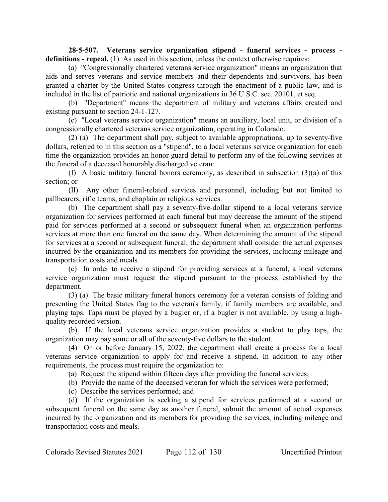**28-5-507. Veterans service organization stipend - funeral services - process**  definitions - repeal. (1) As used in this section, unless the context otherwise requires:

(a) "Congressionally chartered veterans service organization" means an organization that aids and serves veterans and service members and their dependents and survivors, has been granted a charter by the United States congress through the enactment of a public law, and is included in the list of patriotic and national organizations in 36 U.S.C. sec. 20101, et seq.

(b) "Department" means the department of military and veterans affairs created and existing pursuant to section 24-1-127.

(c) "Local veterans service organization" means an auxiliary, local unit, or division of a congressionally chartered veterans service organization, operating in Colorado.

(2) (a) The department shall pay, subject to available appropriations, up to seventy-five dollars, referred to in this section as a "stipend", to a local veterans service organization for each time the organization provides an honor guard detail to perform any of the following services at the funeral of a deceased honorably discharged veteran:

(I) A basic military funeral honors ceremony, as described in subsection (3)(a) of this section; or

(II) Any other funeral-related services and personnel, including but not limited to pallbearers, rifle teams, and chaplain or religious services.

(b) The department shall pay a seventy-five-dollar stipend to a local veterans service organization for services performed at each funeral but may decrease the amount of the stipend paid for services performed at a second or subsequent funeral when an organization performs services at more than one funeral on the same day. When determining the amount of the stipend for services at a second or subsequent funeral, the department shall consider the actual expenses incurred by the organization and its members for providing the services, including mileage and transportation costs and meals.

(c) In order to receive a stipend for providing services at a funeral, a local veterans service organization must request the stipend pursuant to the process established by the department.

(3) (a) The basic military funeral honors ceremony for a veteran consists of folding and presenting the United States flag to the veteran's family, if family members are available, and playing taps. Taps must be played by a bugler or, if a bugler is not available, by using a highquality recorded version.

(b) If the local veterans service organization provides a student to play taps, the organization may pay some or all of the seventy-five dollars to the student.

(4) On or before January 15, 2022, the department shall create a process for a local veterans service organization to apply for and receive a stipend. In addition to any other requirements, the process must require the organization to:

(a) Request the stipend within fifteen days after providing the funeral services;

(b) Provide the name of the deceased veteran for which the services were performed;

(c) Describe the services performed; and

(d) If the organization is seeking a stipend for services performed at a second or subsequent funeral on the same day as another funeral, submit the amount of actual expenses incurred by the organization and its members for providing the services, including mileage and transportation costs and meals.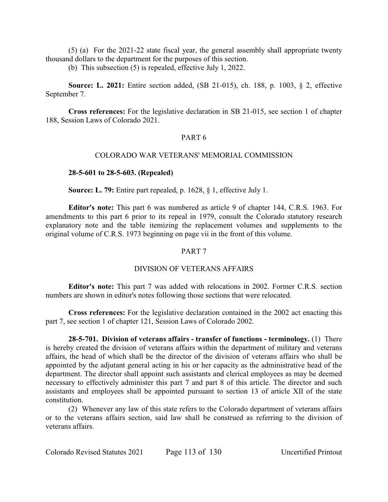(5) (a) For the 2021-22 state fiscal year, the general assembly shall appropriate twenty thousand dollars to the department for the purposes of this section.

(b) This subsection (5) is repealed, effective July 1, 2022.

**Source: L. 2021:** Entire section added, (SB 21-015), ch. 188, p. 1003, § 2, effective September 7.

**Cross references:** For the legislative declaration in SB 21-015, see section 1 of chapter 188, Session Laws of Colorado 2021.

## PART 6

## COLORADO WAR VETERANS' MEMORIAL COMMISSION

### **28-5-601 to 28-5-603. (Repealed)**

**Source: L. 79:** Entire part repealed, p. 1628, § 1, effective July 1.

**Editor's note:** This part 6 was numbered as article 9 of chapter 144, C.R.S. 1963. For amendments to this part 6 prior to its repeal in 1979, consult the Colorado statutory research explanatory note and the table itemizing the replacement volumes and supplements to the original volume of C.R.S. 1973 beginning on page vii in the front of this volume.

### PART 7

### DIVISION OF VETERANS AFFAIRS

**Editor's note:** This part 7 was added with relocations in 2002. Former C.R.S. section numbers are shown in editor's notes following those sections that were relocated.

**Cross references:** For the legislative declaration contained in the 2002 act enacting this part 7, see section 1 of chapter 121, Session Laws of Colorado 2002.

**28-5-701. Division of veterans affairs - transfer of functions - terminology.** (1) There is hereby created the division of veterans affairs within the department of military and veterans affairs, the head of which shall be the director of the division of veterans affairs who shall be appointed by the adjutant general acting in his or her capacity as the administrative head of the department. The director shall appoint such assistants and clerical employees as may be deemed necessary to effectively administer this part 7 and part 8 of this article. The director and such assistants and employees shall be appointed pursuant to section 13 of article XII of the state constitution.

(2) Whenever any law of this state refers to the Colorado department of veterans affairs or to the veterans affairs section, said law shall be construed as referring to the division of veterans affairs.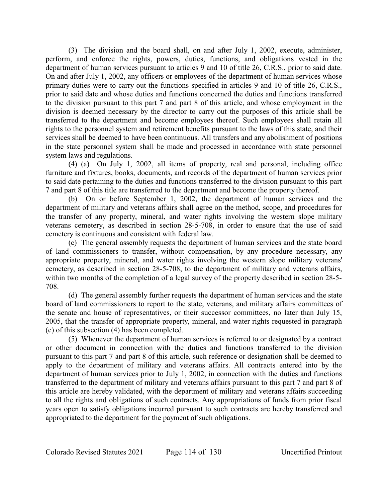(3) The division and the board shall, on and after July 1, 2002, execute, administer, perform, and enforce the rights, powers, duties, functions, and obligations vested in the department of human services pursuant to articles 9 and 10 of title 26, C.R.S., prior to said date. On and after July 1, 2002, any officers or employees of the department of human services whose primary duties were to carry out the functions specified in articles 9 and 10 of title 26, C.R.S., prior to said date and whose duties and functions concerned the duties and functions transferred to the division pursuant to this part 7 and part 8 of this article, and whose employment in the division is deemed necessary by the director to carry out the purposes of this article shall be transferred to the department and become employees thereof. Such employees shall retain all rights to the personnel system and retirement benefits pursuant to the laws of this state, and their services shall be deemed to have been continuous. All transfers and any abolishment of positions in the state personnel system shall be made and processed in accordance with state personnel system laws and regulations.

(4) (a) On July 1, 2002, all items of property, real and personal, including office furniture and fixtures, books, documents, and records of the department of human services prior to said date pertaining to the duties and functions transferred to the division pursuant to this part 7 and part 8 of this title are transferred to the department and become the property thereof.

(b) On or before September 1, 2002, the department of human services and the department of military and veterans affairs shall agree on the method, scope, and procedures for the transfer of any property, mineral, and water rights involving the western slope military veterans cemetery, as described in section 28-5-708, in order to ensure that the use of said cemetery is continuous and consistent with federal law.

(c) The general assembly requests the department of human services and the state board of land commissioners to transfer, without compensation, by any procedure necessary, any appropriate property, mineral, and water rights involving the western slope military veterans' cemetery, as described in section 28-5-708, to the department of military and veterans affairs, within two months of the completion of a legal survey of the property described in section 28-5- 708.

(d) The general assembly further requests the department of human services and the state board of land commissioners to report to the state, veterans, and military affairs committees of the senate and house of representatives, or their successor committees, no later than July 15, 2005, that the transfer of appropriate property, mineral, and water rights requested in paragraph (c) of this subsection (4) has been completed.

(5) Whenever the department of human services is referred to or designated by a contract or other document in connection with the duties and functions transferred to the division pursuant to this part 7 and part 8 of this article, such reference or designation shall be deemed to apply to the department of military and veterans affairs. All contracts entered into by the department of human services prior to July 1, 2002, in connection with the duties and functions transferred to the department of military and veterans affairs pursuant to this part 7 and part 8 of this article are hereby validated, with the department of military and veterans affairs succeeding to all the rights and obligations of such contracts. Any appropriations of funds from prior fiscal years open to satisfy obligations incurred pursuant to such contracts are hereby transferred and appropriated to the department for the payment of such obligations.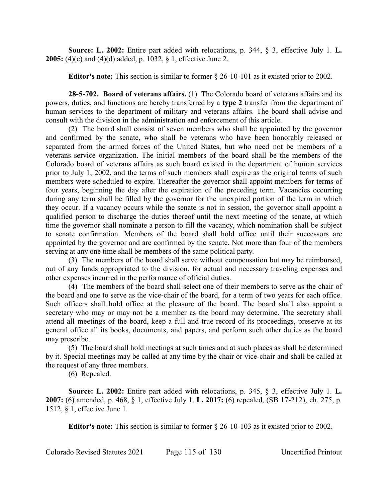**Source: L. 2002:** Entire part added with relocations, p. 344, § 3, effective July 1. **L. 2005:** (4)(c) and (4)(d) added, p. 1032, § 1, effective June 2.

**Editor's note:** This section is similar to former § 26-10-101 as it existed prior to 2002.

**28-5-702. Board of veterans affairs.** (1) The Colorado board of veterans affairs and its powers, duties, and functions are hereby transferred by a **type 2** transfer from the department of human services to the department of military and veterans affairs. The board shall advise and consult with the division in the administration and enforcement of this article.

(2) The board shall consist of seven members who shall be appointed by the governor and confirmed by the senate, who shall be veterans who have been honorably released or separated from the armed forces of the United States, but who need not be members of a veterans service organization. The initial members of the board shall be the members of the Colorado board of veterans affairs as such board existed in the department of human services prior to July 1, 2002, and the terms of such members shall expire as the original terms of such members were scheduled to expire. Thereafter the governor shall appoint members for terms of four years, beginning the day after the expiration of the preceding term. Vacancies occurring during any term shall be filled by the governor for the unexpired portion of the term in which they occur. If a vacancy occurs while the senate is not in session, the governor shall appoint a qualified person to discharge the duties thereof until the next meeting of the senate, at which time the governor shall nominate a person to fill the vacancy, which nomination shall be subject to senate confirmation. Members of the board shall hold office until their successors are appointed by the governor and are confirmed by the senate. Not more than four of the members serving at any one time shall be members of the same political party.

(3) The members of the board shall serve without compensation but may be reimbursed, out of any funds appropriated to the division, for actual and necessary traveling expenses and other expenses incurred in the performance of official duties.

(4) The members of the board shall select one of their members to serve as the chair of the board and one to serve as the vice-chair of the board, for a term of two years for each office. Such officers shall hold office at the pleasure of the board. The board shall also appoint a secretary who may or may not be a member as the board may determine. The secretary shall attend all meetings of the board, keep a full and true record of its proceedings, preserve at its general office all its books, documents, and papers, and perform such other duties as the board may prescribe.

(5) The board shall hold meetings at such times and at such places as shall be determined by it. Special meetings may be called at any time by the chair or vice-chair and shall be called at the request of any three members.

(6) Repealed.

**Source: L. 2002:** Entire part added with relocations, p. 345, § 3, effective July 1. **L. 2007:** (6) amended, p. 468, § 1, effective July 1. **L. 2017:** (6) repealed, (SB 17-212), ch. 275, p. 1512, § 1, effective June 1.

**Editor's note:** This section is similar to former § 26-10-103 as it existed prior to 2002.

Colorado Revised Statutes 2021 Page 115 of 130 Uncertified Printout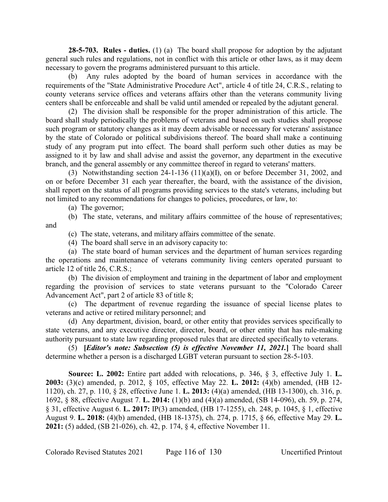**28-5-703. Rules - duties.** (1) (a) The board shall propose for adoption by the adjutant general such rules and regulations, not in conflict with this article or other laws, as it may deem necessary to govern the programs administered pursuant to this article.

(b) Any rules adopted by the board of human services in accordance with the requirements of the "State Administrative Procedure Act", article 4 of title 24, C.R.S., relating to county veterans service offices and veterans affairs other than the veterans community living centers shall be enforceable and shall be valid until amended or repealed by the adjutant general.

(2) The division shall be responsible for the proper administration of this article. The board shall study periodically the problems of veterans and based on such studies shall propose such program or statutory changes as it may deem advisable or necessary for veterans' assistance by the state of Colorado or political subdivisions thereof. The board shall make a continuing study of any program put into effect. The board shall perform such other duties as may be assigned to it by law and shall advise and assist the governor, any department in the executive branch, and the general assembly or any committee thereof in regard to veterans' matters.

(3) Notwithstanding section 24-1-136 (11)(a)(I), on or before December 31, 2002, and on or before December 31 each year thereafter, the board, with the assistance of the division, shall report on the status of all programs providing services to the state's veterans, including but not limited to any recommendations for changes to policies, procedures, or law, to:

(a) The governor;

(b) The state, veterans, and military affairs committee of the house of representatives; and

(c) The state, veterans, and military affairs committee of the senate.

(4) The board shall serve in an advisory capacity to:

(a) The state board of human services and the department of human services regarding the operations and maintenance of veterans community living centers operated pursuant to article 12 of title 26, C.R.S.;

(b) The division of employment and training in the department of labor and employment regarding the provision of services to state veterans pursuant to the "Colorado Career Advancement Act", part 2 of article 83 of title 8;

(c) The department of revenue regarding the issuance of special license plates to veterans and active or retired military personnel; and

(d) Any department, division, board, or other entity that provides services specifically to state veterans, and any executive director, director, board, or other entity that has rule-making authority pursuant to state law regarding proposed rules that are directed specifically to veterans.

(5) **[***Editor's note: Subsection (5) is effective November 11, 2021.***]** The board shall determine whether a person is a discharged LGBT veteran pursuant to section 28-5-103.

**Source: L. 2002:** Entire part added with relocations, p. 346, § 3, effective July 1. **L. 2003:** (3)(c) amended, p. 2012, § 105, effective May 22. **L. 2012:** (4)(b) amended, (HB 12- 1120), ch. 27, p. 110, § 28, effective June 1. **L. 2013:** (4)(a) amended, (HB 13-1300), ch. 316, p. 1692, § 88, effective August 7. **L. 2014:** (1)(b) and (4)(a) amended, (SB 14-096), ch. 59, p. 274, § 31, effective August 6. **L. 2017:** IP(3) amended, (HB 17-1255), ch. 248, p. 1045, § 1, effective August 9. **L. 2018:** (4)(b) amended, (HB 18-1375), ch. 274, p. 1715, § 66, effective May 29. **L. 2021:** (5) added, (SB 21-026), ch. 42, p. 174, § 4, effective November 11.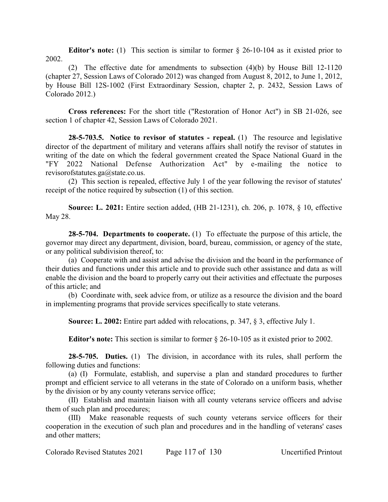**Editor's note:** (1) This section is similar to former § 26-10-104 as it existed prior to 2002.

(2) The effective date for amendments to subsection (4)(b) by House Bill 12-1120 (chapter 27, Session Laws of Colorado 2012) was changed from August 8, 2012, to June 1, 2012, by House Bill 12S-1002 (First Extraordinary Session, chapter 2, p. 2432, Session Laws of Colorado 2012.)

**Cross references:** For the short title ("Restoration of Honor Act") in SB 21-026, see section 1 of chapter 42, Session Laws of Colorado 2021.

**28-5-703.5. Notice to revisor of statutes - repeal.** (1) The resource and legislative director of the department of military and veterans affairs shall notify the revisor of statutes in writing of the date on which the federal government created the Space National Guard in the "FY 2022 National Defense Authorization Act" by e-mailing the notice to revisorofstatutes.ga@state.co.us.

(2) This section is repealed, effective July 1 of the year following the revisor of statutes' receipt of the notice required by subsection (1) of this section.

**Source: L. 2021:** Entire section added, (HB 21-1231), ch. 206, p. 1078, § 10, effective May 28.

**28-5-704. Departments to cooperate.** (1) To effectuate the purpose of this article, the governor may direct any department, division, board, bureau, commission, or agency of the state, or any political subdivision thereof, to:

(a) Cooperate with and assist and advise the division and the board in the performance of their duties and functions under this article and to provide such other assistance and data as will enable the division and the board to properly carry out their activities and effectuate the purposes of this article; and

(b) Coordinate with, seek advice from, or utilize as a resource the division and the board in implementing programs that provide services specifically to state veterans.

**Source: L. 2002:** Entire part added with relocations, p. 347, § 3, effective July 1.

**Editor's note:** This section is similar to former § 26-10-105 as it existed prior to 2002.

**28-5-705. Duties.** (1) The division, in accordance with its rules, shall perform the following duties and functions:

(a) (I) Formulate, establish, and supervise a plan and standard procedures to further prompt and efficient service to all veterans in the state of Colorado on a uniform basis, whether by the division or by any county veterans service office;

(II) Establish and maintain liaison with all county veterans service officers and advise them of such plan and procedures;

(III) Make reasonable requests of such county veterans service officers for their cooperation in the execution of such plan and procedures and in the handling of veterans' cases and other matters;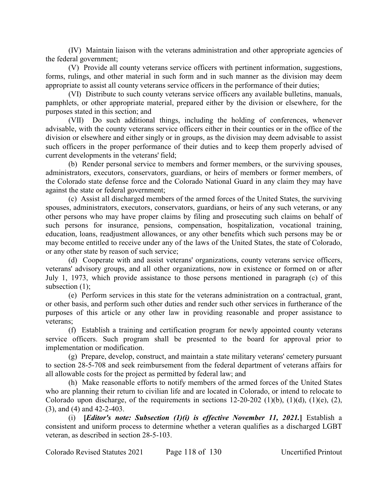(IV) Maintain liaison with the veterans administration and other appropriate agencies of the federal government;

(V) Provide all county veterans service officers with pertinent information, suggestions, forms, rulings, and other material in such form and in such manner as the division may deem appropriate to assist all county veterans service officers in the performance of their duties;

(VI) Distribute to such county veterans service officers any available bulletins, manuals, pamphlets, or other appropriate material, prepared either by the division or elsewhere, for the purposes stated in this section; and

(VII) Do such additional things, including the holding of conferences, whenever advisable, with the county veterans service officers either in their counties or in the office of the division or elsewhere and either singly or in groups, as the division may deem advisable to assist such officers in the proper performance of their duties and to keep them properly advised of current developments in the veterans' field;

(b) Render personal service to members and former members, or the surviving spouses, administrators, executors, conservators, guardians, or heirs of members or former members, of the Colorado state defense force and the Colorado National Guard in any claim they may have against the state or federal government;

(c) Assist all discharged members of the armed forces of the United States, the surviving spouses, administrators, executors, conservators, guardians, or heirs of any such veterans, or any other persons who may have proper claims by filing and prosecuting such claims on behalf of such persons for insurance, pensions, compensation, hospitalization, vocational training, education, loans, readjustment allowances, or any other benefits which such persons may be or may become entitled to receive under any of the laws of the United States, the state of Colorado, or any other state by reason of such service;

(d) Cooperate with and assist veterans' organizations, county veterans service officers, veterans' advisory groups, and all other organizations, now in existence or formed on or after July 1, 1973, which provide assistance to those persons mentioned in paragraph (c) of this subsection (1);

(e) Perform services in this state for the veterans administration on a contractual, grant, or other basis, and perform such other duties and render such other services in furtherance of the purposes of this article or any other law in providing reasonable and proper assistance to veterans;

(f) Establish a training and certification program for newly appointed county veterans service officers. Such program shall be presented to the board for approval prior to implementation or modification.

(g) Prepare, develop, construct, and maintain a state military veterans' cemetery pursuant to section 28-5-708 and seek reimbursement from the federal department of veterans affairs for all allowable costs for the project as permitted by federal law; and

(h) Make reasonable efforts to notify members of the armed forces of the United States who are planning their return to civilian life and are located in Colorado, or intend to relocate to Colorado upon discharge, of the requirements in sections  $12-20-202$  (1)(b), (1)(d), (1)(e), (2), (3), and (4) and 42-2-403.

(i) **[***Editor's note: Subsection (1)(i) is effective November 11, 2021.***]** Establish a consistent and uniform process to determine whether a veteran qualifies as a discharged LGBT veteran, as described in section 28-5-103.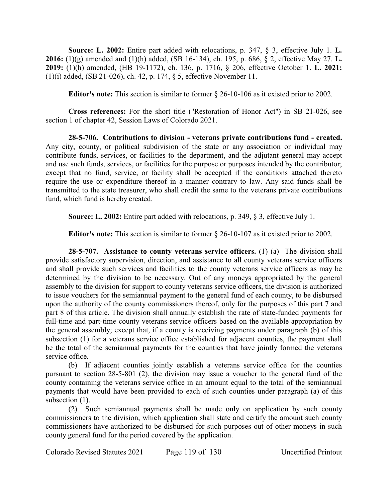**Source: L. 2002:** Entire part added with relocations, p. 347, § 3, effective July 1. **L. 2016:** (1)(g) amended and (1)(h) added, (SB 16-134), ch. 195, p. 686, § 2, effective May 27. **L. 2019:** (1)(h) amended, (HB 19-1172), ch. 136, p. 1716, § 206, effective October 1. **L. 2021:** (1)(i) added, (SB 21-026), ch. 42, p. 174, § 5, effective November 11.

**Editor's note:** This section is similar to former § 26-10-106 as it existed prior to 2002.

**Cross references:** For the short title ("Restoration of Honor Act") in SB 21-026, see section 1 of chapter 42, Session Laws of Colorado 2021.

**28-5-706. Contributions to division - veterans private contributions fund - created.** Any city, county, or political subdivision of the state or any association or individual may contribute funds, services, or facilities to the department, and the adjutant general may accept and use such funds, services, or facilities for the purpose or purposes intended by the contributor; except that no fund, service, or facility shall be accepted if the conditions attached thereto require the use or expenditure thereof in a manner contrary to law. Any said funds shall be transmitted to the state treasurer, who shall credit the same to the veterans private contributions fund, which fund is hereby created.

**Source: L. 2002:** Entire part added with relocations, p. 349, § 3, effective July 1.

**Editor's note:** This section is similar to former § 26-10-107 as it existed prior to 2002.

**28-5-707. Assistance to county veterans service officers.** (1) (a) The division shall provide satisfactory supervision, direction, and assistance to all county veterans service officers and shall provide such services and facilities to the county veterans service officers as may be determined by the division to be necessary. Out of any moneys appropriated by the general assembly to the division for support to county veterans service officers, the division is authorized to issue vouchers for the semiannual payment to the general fund of each county, to be disbursed upon the authority of the county commissioners thereof, only for the purposes of this part 7 and part 8 of this article. The division shall annually establish the rate of state-funded payments for full-time and part-time county veterans service officers based on the available appropriation by the general assembly; except that, if a county is receiving payments under paragraph (b) of this subsection (1) for a veterans service office established for adjacent counties, the payment shall be the total of the semiannual payments for the counties that have jointly formed the veterans service office.

(b) If adjacent counties jointly establish a veterans service office for the counties pursuant to section 28-5-801 (2), the division may issue a voucher to the general fund of the county containing the veterans service office in an amount equal to the total of the semiannual payments that would have been provided to each of such counties under paragraph (a) of this subsection  $(1)$ .

(2) Such semiannual payments shall be made only on application by such county commissioners to the division, which application shall state and certify the amount such county commissioners have authorized to be disbursed for such purposes out of other moneys in such county general fund for the period covered by the application.

Colorado Revised Statutes 2021 Page 119 of 130 Uncertified Printout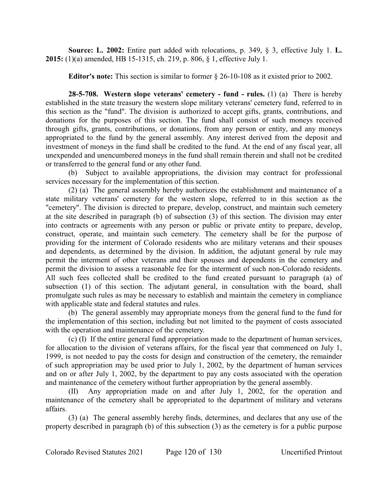**Source: L. 2002:** Entire part added with relocations, p. 349, § 3, effective July 1. **L. 2015:** (1)(a) amended, HB 15-1315, ch. 219, p. 806, § 1, effective July 1.

**Editor's note:** This section is similar to former § 26-10-108 as it existed prior to 2002.

**28-5-708. Western slope veterans' cemetery - fund - rules.** (1) (a) There is hereby established in the state treasury the western slope military veterans' cemetery fund, referred to in this section as the "fund". The division is authorized to accept gifts, grants, contributions, and donations for the purposes of this section. The fund shall consist of such moneys received through gifts, grants, contributions, or donations, from any person or entity, and any moneys appropriated to the fund by the general assembly. Any interest derived from the deposit and investment of moneys in the fund shall be credited to the fund. At the end of any fiscal year, all unexpended and unencumbered moneys in the fund shall remain therein and shall not be credited or transferred to the general fund or any other fund.

(b) Subject to available appropriations, the division may contract for professional services necessary for the implementation of this section.

(2) (a) The general assembly hereby authorizes the establishment and maintenance of a state military veterans' cemetery for the western slope, referred to in this section as the "cemetery". The division is directed to prepare, develop, construct, and maintain such cemetery at the site described in paragraph (b) of subsection (3) of this section. The division may enter into contracts or agreements with any person or public or private entity to prepare, develop, construct, operate, and maintain such cemetery. The cemetery shall be for the purpose of providing for the interment of Colorado residents who are military veterans and their spouses and dependents, as determined by the division. In addition, the adjutant general by rule may permit the interment of other veterans and their spouses and dependents in the cemetery and permit the division to assess a reasonable fee for the interment of such non-Colorado residents. All such fees collected shall be credited to the fund created pursuant to paragraph (a) of subsection (1) of this section. The adjutant general, in consultation with the board, shall promulgate such rules as may be necessary to establish and maintain the cemetery in compliance with applicable state and federal statutes and rules.

(b) The general assembly may appropriate moneys from the general fund to the fund for the implementation of this section, including but not limited to the payment of costs associated with the operation and maintenance of the cemetery.

(c) (I) If the entire general fund appropriation made to the department of human services, for allocation to the division of veterans affairs, for the fiscal year that commenced on July 1, 1999, is not needed to pay the costs for design and construction of the cemetery, the remainder of such appropriation may be used prior to July 1, 2002, by the department of human services and on or after July 1, 2002, by the department to pay any costs associated with the operation and maintenance of the cemetery without further appropriation by the general assembly.

Any appropriation made on and after July 1, 2002, for the operation and maintenance of the cemetery shall be appropriated to the department of military and veterans affairs.

(3) (a) The general assembly hereby finds, determines, and declares that any use of the property described in paragraph (b) of this subsection (3) as the cemetery is for a public purpose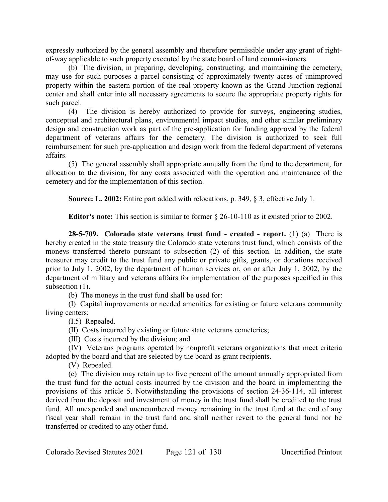expressly authorized by the general assembly and therefore permissible under any grant of rightof-way applicable to such property executed by the state board of land commissioners.

(b) The division, in preparing, developing, constructing, and maintaining the cemetery, may use for such purposes a parcel consisting of approximately twenty acres of unimproved property within the eastern portion of the real property known as the Grand Junction regional center and shall enter into all necessary agreements to secure the appropriate property rights for such parcel.

(4) The division is hereby authorized to provide for surveys, engineering studies, conceptual and architectural plans, environmental impact studies, and other similar preliminary design and construction work as part of the pre-application for funding approval by the federal department of veterans affairs for the cemetery. The division is authorized to seek full reimbursement for such pre-application and design work from the federal department of veterans affairs.

(5) The general assembly shall appropriate annually from the fund to the department, for allocation to the division, for any costs associated with the operation and maintenance of the cemetery and for the implementation of this section.

**Source: L. 2002:** Entire part added with relocations, p. 349, § 3, effective July 1.

**Editor's note:** This section is similar to former § 26-10-110 as it existed prior to 2002.

**28-5-709. Colorado state veterans trust fund - created - report.** (1) (a) There is hereby created in the state treasury the Colorado state veterans trust fund, which consists of the moneys transferred thereto pursuant to subsection (2) of this section. In addition, the state treasurer may credit to the trust fund any public or private gifts, grants, or donations received prior to July 1, 2002, by the department of human services or, on or after July 1, 2002, by the department of military and veterans affairs for implementation of the purposes specified in this subsection (1).

(b) The moneys in the trust fund shall be used for:

(I) Capital improvements or needed amenities for existing or future veterans community living centers;

(I.5) Repealed.

(II) Costs incurred by existing or future state veterans cemeteries;

(III) Costs incurred by the division; and

(IV) Veterans programs operated by nonprofit veterans organizations that meet criteria adopted by the board and that are selected by the board as grant recipients.

(V) Repealed.

(c) The division may retain up to five percent of the amount annually appropriated from the trust fund for the actual costs incurred by the division and the board in implementing the provisions of this article 5. Notwithstanding the provisions of section 24-36-114, all interest derived from the deposit and investment of money in the trust fund shall be credited to the trust fund. All unexpended and unencumbered money remaining in the trust fund at the end of any fiscal year shall remain in the trust fund and shall neither revert to the general fund nor be transferred or credited to any other fund.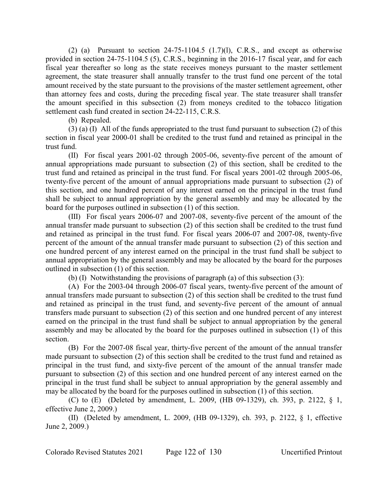(2) (a) Pursuant to section  $24-75-1104.5$  (1.7)(1), C.R.S., and except as otherwise provided in section 24-75-1104.5 (5), C.R.S., beginning in the 2016-17 fiscal year, and for each fiscal year thereafter so long as the state receives moneys pursuant to the master settlement agreement, the state treasurer shall annually transfer to the trust fund one percent of the total amount received by the state pursuant to the provisions of the master settlement agreement, other than attorney fees and costs, during the preceding fiscal year. The state treasurer shall transfer the amount specified in this subsection (2) from moneys credited to the tobacco litigation settlement cash fund created in section 24-22-115, C.R.S.

(b) Repealed.

(3) (a) (I) All of the funds appropriated to the trust fund pursuant to subsection (2) of this section in fiscal year 2000-01 shall be credited to the trust fund and retained as principal in the trust fund.

(II) For fiscal years 2001-02 through 2005-06, seventy-five percent of the amount of annual appropriations made pursuant to subsection (2) of this section, shall be credited to the trust fund and retained as principal in the trust fund. For fiscal years 2001-02 through 2005-06, twenty-five percent of the amount of annual appropriations made pursuant to subsection (2) of this section, and one hundred percent of any interest earned on the principal in the trust fund shall be subject to annual appropriation by the general assembly and may be allocated by the board for the purposes outlined in subsection (1) of this section.

(III) For fiscal years 2006-07 and 2007-08, seventy-five percent of the amount of the annual transfer made pursuant to subsection (2) of this section shall be credited to the trust fund and retained as principal in the trust fund. For fiscal years 2006-07 and 2007-08, twenty-five percent of the amount of the annual transfer made pursuant to subsection (2) of this section and one hundred percent of any interest earned on the principal in the trust fund shall be subject to annual appropriation by the general assembly and may be allocated by the board for the purposes outlined in subsection (1) of this section.

(b) (I) Notwithstanding the provisions of paragraph (a) of this subsection (3):

(A) For the 2003-04 through 2006-07 fiscal years, twenty-five percent of the amount of annual transfers made pursuant to subsection (2) of this section shall be credited to the trust fund and retained as principal in the trust fund, and seventy-five percent of the amount of annual transfers made pursuant to subsection (2) of this section and one hundred percent of any interest earned on the principal in the trust fund shall be subject to annual appropriation by the general assembly and may be allocated by the board for the purposes outlined in subsection (1) of this section.

(B) For the 2007-08 fiscal year, thirty-five percent of the amount of the annual transfer made pursuant to subsection (2) of this section shall be credited to the trust fund and retained as principal in the trust fund, and sixty-five percent of the amount of the annual transfer made pursuant to subsection (2) of this section and one hundred percent of any interest earned on the principal in the trust fund shall be subject to annual appropriation by the general assembly and may be allocated by the board for the purposes outlined in subsection (1) of this section.

(C) to (E) (Deleted by amendment, L. 2009, (HB 09-1329), ch. 393, p. 2122, § 1, effective June 2, 2009.)

(II) (Deleted by amendment, L. 2009, (HB 09-1329), ch. 393, p. 2122, § 1, effective June 2, 2009.)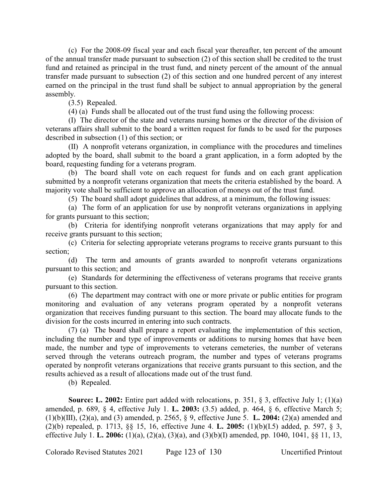(c) For the 2008-09 fiscal year and each fiscal year thereafter, ten percent of the amount of the annual transfer made pursuant to subsection (2) of this section shall be credited to the trust fund and retained as principal in the trust fund, and ninety percent of the amount of the annual transfer made pursuant to subsection (2) of this section and one hundred percent of any interest earned on the principal in the trust fund shall be subject to annual appropriation by the general assembly.

(3.5) Repealed.

(4) (a) Funds shall be allocated out of the trust fund using the following process:

(I) The director of the state and veterans nursing homes or the director of the division of veterans affairs shall submit to the board a written request for funds to be used for the purposes described in subsection (1) of this section; or

(II) A nonprofit veterans organization, in compliance with the procedures and timelines adopted by the board, shall submit to the board a grant application, in a form adopted by the board, requesting funding for a veterans program.

(b) The board shall vote on each request for funds and on each grant application submitted by a nonprofit veterans organization that meets the criteria established by the board. A majority vote shall be sufficient to approve an allocation of moneys out of the trust fund.

(5) The board shall adopt guidelines that address, at a minimum, the following issues:

(a) The form of an application for use by nonprofit veterans organizations in applying for grants pursuant to this section;

(b) Criteria for identifying nonprofit veterans organizations that may apply for and receive grants pursuant to this section;

(c) Criteria for selecting appropriate veterans programs to receive grants pursuant to this section;

(d) The term and amounts of grants awarded to nonprofit veterans organizations pursuant to this section; and

(e) Standards for determining the effectiveness of veterans programs that receive grants pursuant to this section.

(6) The department may contract with one or more private or public entities for program monitoring and evaluation of any veterans program operated by a nonprofit veterans organization that receives funding pursuant to this section. The board may allocate funds to the division for the costs incurred in entering into such contracts.

(7) (a) The board shall prepare a report evaluating the implementation of this section, including the number and type of improvements or additions to nursing homes that have been made, the number and type of improvements to veterans cemeteries, the number of veterans served through the veterans outreach program, the number and types of veterans programs operated by nonprofit veterans organizations that receive grants pursuant to this section, and the results achieved as a result of allocations made out of the trust fund.

(b) Repealed.

**Source: L. 2002:** Entire part added with relocations, p. 351, § 3, effective July 1; (1)(a) amended, p. 689, § 4, effective July 1. **L. 2003:** (3.5) added, p. 464, § 6, effective March 5; (1)(b)(III), (2)(a), and (3) amended, p. 2565, § 9, effective June 5. **L. 2004:** (2)(a) amended and (2)(b) repealed, p. 1713, §§ 15, 16, effective June 4. **L. 2005:** (1)(b)(I.5) added, p. 597, § 3, effective July 1. **L. 2006:** (1)(a), (2)(a), (3)(a), and (3)(b)(I) amended, pp. 1040, 1041, §§ 11, 13,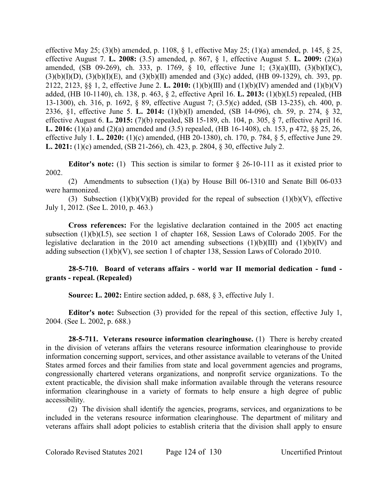effective May 25; (3)(b) amended, p. 1108, § 1, effective May 25; (1)(a) amended, p. 145, § 25, effective August 7. **L. 2008:** (3.5) amended, p. 867, § 1, effective August 5. **L. 2009:** (2)(a) amended, (SB 09-269), ch. 333, p. 1769, § 10, effective June 1; (3)(a)(III), (3)(b)(I)(C),  $(3)(b)(I)(D)$ ,  $(3)(b)(I)(E)$ , and  $(3)(b)(II)$  amended and  $(3)(c)$  added, (HB 09-1329), ch. 393, pp. 2122, 2123, §§ 1, 2, effective June 2. **L. 2010:** (1)(b)(III) and (1)(b)(IV) amended and (1)(b)(V) added, (HB 10-1140), ch. 138, p. 463, § 2, effective April 16. **L. 2013:** (1)(b)(I.5) repealed, (HB 13-1300), ch. 316, p. 1692, § 89, effective August 7; (3.5)(c) added, (SB 13-235), ch. 400, p. 2336, §1, effective June 5. **L. 2014:** (1)(b)(I) amended, (SB 14-096), ch. 59, p. 274, § 32, effective August 6. **L. 2015:** (7)(b) repealed, SB 15-189, ch. 104, p. 305, § 7, effective April 16. **L. 2016:** (1)(a) and (2)(a) amended and (3.5) repealed, (HB 16-1408), ch. 153, p 472, §§ 25, 26, effective July 1. **L. 2020:** (1)(c) amended, (HB 20-1380), ch. 170, p. 784, § 5, effective June 29. **L. 2021:** (1)(c) amended, (SB 21-266), ch. 423, p. 2804, § 30, effective July 2.

**Editor's note:** (1) This section is similar to former § 26-10-111 as it existed prior to 2002.

(2) Amendments to subsection (1)(a) by House Bill 06-1310 and Senate Bill 06-033 were harmonized.

(3) Subsection  $(1)(b)(V)(B)$  provided for the repeal of subsection  $(1)(b)(V)$ , effective July 1, 2012. (See L. 2010, p. 463.)

**Cross references:** For the legislative declaration contained in the 2005 act enacting subsection (1)(b)(I.5), see section 1 of chapter 168, Session Laws of Colorado 2005. For the legislative declaration in the 2010 act amending subsections  $(1)(b)(III)$  and  $(1)(b)(IV)$  and adding subsection (1)(b)(V), see section 1 of chapter 138, Session Laws of Colorado 2010.

## **28-5-710. Board of veterans affairs - world war II memorial dedication - fund grants - repeal. (Repealed)**

**Source: L. 2002:** Entire section added, p. 688, § 3, effective July 1.

**Editor's note:** Subsection (3) provided for the repeal of this section, effective July 1, 2004. (See L. 2002, p. 688.)

**28-5-711. Veterans resource information clearinghouse.** (1) There is hereby created in the division of veterans affairs the veterans resource information clearinghouse to provide information concerning support, services, and other assistance available to veterans of the United States armed forces and their families from state and local government agencies and programs, congressionally chartered veterans organizations, and nonprofit service organizations. To the extent practicable, the division shall make information available through the veterans resource information clearinghouse in a variety of formats to help ensure a high degree of public accessibility.

(2) The division shall identify the agencies, programs, services, and organizations to be included in the veterans resource information clearinghouse. The department of military and veterans affairs shall adopt policies to establish criteria that the division shall apply to ensure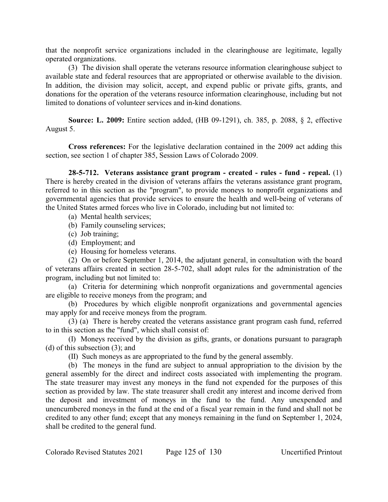that the nonprofit service organizations included in the clearinghouse are legitimate, legally operated organizations.

(3) The division shall operate the veterans resource information clearinghouse subject to available state and federal resources that are appropriated or otherwise available to the division. In addition, the division may solicit, accept, and expend public or private gifts, grants, and donations for the operation of the veterans resource information clearinghouse, including but not limited to donations of volunteer services and in-kind donations.

**Source: L. 2009:** Entire section added, (HB 09-1291), ch. 385, p. 2088, § 2, effective August 5.

**Cross references:** For the legislative declaration contained in the 2009 act adding this section, see section 1 of chapter 385, Session Laws of Colorado 2009.

**28-5-712. Veterans assistance grant program - created - rules - fund - repeal.** (1) There is hereby created in the division of veterans affairs the veterans assistance grant program, referred to in this section as the "program", to provide moneys to nonprofit organizations and governmental agencies that provide services to ensure the health and well-being of veterans of the United States armed forces who live in Colorado, including but not limited to:

- (a) Mental health services;
- (b) Family counseling services;
- (c) Job training;
- (d) Employment; and
- (e) Housing for homeless veterans.

(2) On or before September 1, 2014, the adjutant general, in consultation with the board of veterans affairs created in section 28-5-702, shall adopt rules for the administration of the program, including but not limited to:

(a) Criteria for determining which nonprofit organizations and governmental agencies are eligible to receive moneys from the program; and

(b) Procedures by which eligible nonprofit organizations and governmental agencies may apply for and receive moneys from the program.

(3) (a) There is hereby created the veterans assistance grant program cash fund, referred to in this section as the "fund", which shall consist of:

(I) Moneys received by the division as gifts, grants, or donations pursuant to paragraph (d) of this subsection (3); and

(II) Such moneys as are appropriated to the fund by the general assembly.

(b) The moneys in the fund are subject to annual appropriation to the division by the general assembly for the direct and indirect costs associated with implementing the program. The state treasurer may invest any moneys in the fund not expended for the purposes of this section as provided by law. The state treasurer shall credit any interest and income derived from the deposit and investment of moneys in the fund to the fund. Any unexpended and unencumbered moneys in the fund at the end of a fiscal year remain in the fund and shall not be credited to any other fund; except that any moneys remaining in the fund on September 1, 2024, shall be credited to the general fund.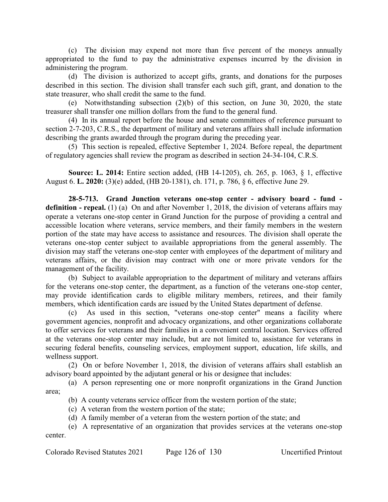(c) The division may expend not more than five percent of the moneys annually appropriated to the fund to pay the administrative expenses incurred by the division in administering the program.

(d) The division is authorized to accept gifts, grants, and donations for the purposes described in this section. The division shall transfer each such gift, grant, and donation to the state treasurer, who shall credit the same to the fund.

(e) Notwithstanding subsection (2)(b) of this section, on June 30, 2020, the state treasurer shall transfer one million dollars from the fund to the general fund.

(4) In its annual report before the house and senate committees of reference pursuant to section 2-7-203, C.R.S., the department of military and veterans affairs shall include information describing the grants awarded through the program during the preceding year.

(5) This section is repealed, effective September 1, 2024. Before repeal, the department of regulatory agencies shall review the program as described in section 24-34-104, C.R.S.

**Source: L. 2014:** Entire section added, (HB 14-1205), ch. 265, p. 1063, § 1, effective August 6. **L. 2020:** (3)(e) added, (HB 20-1381), ch. 171, p. 786, § 6, effective June 29.

**28-5-713. Grand Junction veterans one-stop center - advisory board - fund**  definition - repeal. (1) (a) On and after November 1, 2018, the division of veterans affairs may operate a veterans one-stop center in Grand Junction for the purpose of providing a central and accessible location where veterans, service members, and their family members in the western portion of the state may have access to assistance and resources. The division shall operate the veterans one-stop center subject to available appropriations from the general assembly. The division may staff the veterans one-stop center with employees of the department of military and veterans affairs, or the division may contract with one or more private vendors for the management of the facility.

(b) Subject to available appropriation to the department of military and veterans affairs for the veterans one-stop center, the department, as a function of the veterans one-stop center, may provide identification cards to eligible military members, retirees, and their family members, which identification cards are issued by the United States department of defense.

(c) As used in this section, "veterans one-stop center" means a facility where government agencies, nonprofit and advocacy organizations, and other organizations collaborate to offer services for veterans and their families in a convenient central location. Services offered at the veterans one-stop center may include, but are not limited to, assistance for veterans in securing federal benefits, counseling services, employment support, education, life skills, and wellness support.

(2) On or before November 1, 2018, the division of veterans affairs shall establish an advisory board appointed by the adjutant general or his or designee that includes:

(a) A person representing one or more nonprofit organizations in the Grand Junction area;

(b) A county veterans service officer from the western portion of the state;

(c) A veteran from the western portion of the state;

(d) A family member of a veteran from the western portion of the state; and

(e) A representative of an organization that provides services at the veterans one-stop center.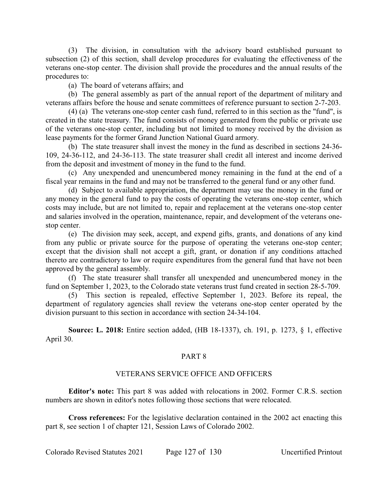(3) The division, in consultation with the advisory board established pursuant to subsection (2) of this section, shall develop procedures for evaluating the effectiveness of the veterans one-stop center. The division shall provide the procedures and the annual results of the procedures to:

(a) The board of veterans affairs; and

(b) The general assembly as part of the annual report of the department of military and veterans affairs before the house and senate committees of reference pursuant to section 2-7-203.

(4) (a) The veterans one-stop center cash fund, referred to in this section as the "fund", is created in the state treasury. The fund consists of money generated from the public or private use of the veterans one-stop center, including but not limited to money received by the division as lease payments for the former Grand Junction National Guard armory.

(b) The state treasurer shall invest the money in the fund as described in sections 24-36- 109, 24-36-112, and 24-36-113. The state treasurer shall credit all interest and income derived from the deposit and investment of money in the fund to the fund.

(c) Any unexpended and unencumbered money remaining in the fund at the end of a fiscal year remains in the fund and may not be transferred to the general fund or any other fund.

(d) Subject to available appropriation, the department may use the money in the fund or any money in the general fund to pay the costs of operating the veterans one-stop center, which costs may include, but are not limited to, repair and replacement at the veterans one-stop center and salaries involved in the operation, maintenance, repair, and development of the veterans onestop center.

(e) The division may seek, accept, and expend gifts, grants, and donations of any kind from any public or private source for the purpose of operating the veterans one-stop center; except that the division shall not accept a gift, grant, or donation if any conditions attached thereto are contradictory to law or require expenditures from the general fund that have not been approved by the general assembly.

(f) The state treasurer shall transfer all unexpended and unencumbered money in the fund on September 1, 2023, to the Colorado state veterans trust fund created in section 28-5-709.

(5) This section is repealed, effective September 1, 2023. Before its repeal, the department of regulatory agencies shall review the veterans one-stop center operated by the division pursuant to this section in accordance with section 24-34-104.

**Source: L. 2018:** Entire section added, (HB 18-1337), ch. 191, p. 1273, § 1, effective April 30.

## PART 8

### VETERANS SERVICE OFFICE AND OFFICERS

**Editor's note:** This part 8 was added with relocations in 2002. Former C.R.S. section numbers are shown in editor's notes following those sections that were relocated.

**Cross references:** For the legislative declaration contained in the 2002 act enacting this part 8, see section 1 of chapter 121, Session Laws of Colorado 2002.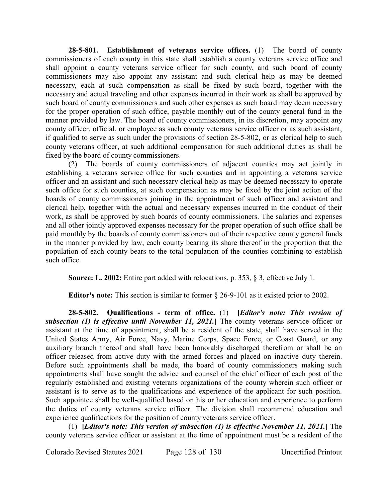**28-5-801. Establishment of veterans service offices.** (1) The board of county commissioners of each county in this state shall establish a county veterans service office and shall appoint a county veterans service officer for such county, and such board of county commissioners may also appoint any assistant and such clerical help as may be deemed necessary, each at such compensation as shall be fixed by such board, together with the necessary and actual traveling and other expenses incurred in their work as shall be approved by such board of county commissioners and such other expenses as such board may deem necessary for the proper operation of such office, payable monthly out of the county general fund in the manner provided by law. The board of county commissioners, in its discretion, may appoint any county officer, official, or employee as such county veterans service officer or as such assistant, if qualified to serve as such under the provisions of section 28-5-802, or as clerical help to such county veterans officer, at such additional compensation for such additional duties as shall be fixed by the board of county commissioners.

(2) The boards of county commissioners of adjacent counties may act jointly in establishing a veterans service office for such counties and in appointing a veterans service officer and an assistant and such necessary clerical help as may be deemed necessary to operate such office for such counties, at such compensation as may be fixed by the joint action of the boards of county commissioners joining in the appointment of such officer and assistant and clerical help, together with the actual and necessary expenses incurred in the conduct of their work, as shall be approved by such boards of county commissioners. The salaries and expenses and all other jointly approved expenses necessary for the proper operation of such office shall be paid monthly by the boards of county commissioners out of their respective county general funds in the manner provided by law, each county bearing its share thereof in the proportion that the population of each county bears to the total population of the counties combining to establish such office.

**Source: L. 2002:** Entire part added with relocations, p. 353, § 3, effective July 1.

**Editor's note:** This section is similar to former § 26-9-101 as it existed prior to 2002.

**28-5-802. Qualifications - term of office.** (1) **[***Editor's note: This version of subsection (1) is effective until November 11, 2021.***]** The county veterans service officer or assistant at the time of appointment, shall be a resident of the state, shall have served in the United States Army, Air Force, Navy, Marine Corps, Space Force, or Coast Guard, or any auxiliary branch thereof and shall have been honorably discharged therefrom or shall be an officer released from active duty with the armed forces and placed on inactive duty therein. Before such appointments shall be made, the board of county commissioners making such appointments shall have sought the advice and counsel of the chief officer of each post of the regularly established and existing veterans organizations of the county wherein such officer or assistant is to serve as to the qualifications and experience of the applicant for such position. Such appointee shall be well-qualified based on his or her education and experience to perform the duties of county veterans service officer. The division shall recommend education and experience qualifications for the position of county veterans service officer.

(1) **[***Editor's note: This version of subsection (1) is effective November 11, 2021.***]** The county veterans service officer or assistant at the time of appointment must be a resident of the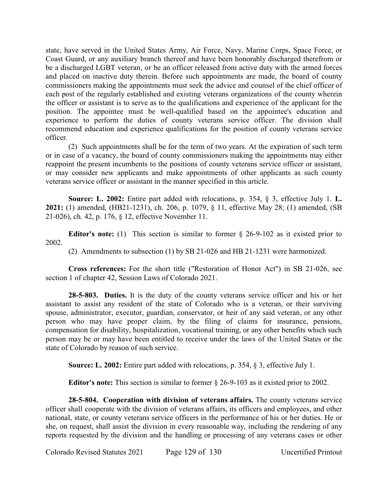state, have served in the United States Army, Air Force, Navy, Marine Corps, Space Force, or Coast Guard, or any auxiliary branch thereof and have been honorably discharged therefrom or be a discharged LGBT veteran, or be an officer released from active duty with the armed forces and placed on inactive duty therein. Before such appointments are made, the board of county commissioners making the appointments must seek the advice and counsel of the chief officer of each post of the regularly established and existing veterans organizations of the county wherein the officer or assistant is to serve as to the qualifications and experience of the applicant for the position. The appointee must be well-qualified based on the appointee's education and experience to perform the duties of county veterans service officer. The division shall recommend education and experience qualifications for the position of county veterans service officer.

(2) Such appointments shall be for the term of two years. At the expiration of such term or in case of a vacancy, the board of county commissioners making the appointments may either reappoint the present incumbents to the positions of county veterans service officer or assistant, or may consider new applicants and make appointments of other applicants as such county veterans service officer or assistant in the manner specified in this article.

**Source: L. 2002:** Entire part added with relocations, p. 354, § 3, effective July 1. **L. 2021:** (1) amended, (HB21-1231), ch. 206, p. 1079, § 11, effective May 28; (1) amended, (SB 21-026), ch. 42, p. 176, § 12, effective November 11.

**Editor's note:** (1) This section is similar to former  $\&$  26-9-102 as it existed prior to 2002.

(2) Amendments to subsection (1) by SB 21-026 and HB 21-1231 were harmonized.

**Cross references:** For the short title ("Restoration of Honor Act") in SB 21-026, see section 1 of chapter 42, Session Laws of Colorado 2021.

**28-5-803. Duties.** It is the duty of the county veterans service officer and his or her assistant to assist any resident of the state of Colorado who is a veteran, or their surviving spouse, administrator, executor, guardian, conservator, or heir of any said veteran, or any other person who may have proper claim, by the filing of claims for insurance, pensions, compensation for disability, hospitalization, vocational training, or any other benefits which such person may be or may have been entitled to receive under the laws of the United States or the state of Colorado by reason of such service.

**Source: L. 2002:** Entire part added with relocations, p. 354, § 3, effective July 1.

**Editor's note:** This section is similar to former § 26-9-103 as it existed prior to 2002.

**28-5-804. Cooperation with division of veterans affairs.** The county veterans service officer shall cooperate with the division of veterans affairs, its officers and employees, and other national, state, or county veterans service officers in the performance of his or her duties. He or she, on request, shall assist the division in every reasonable way, including the rendering of any reports requested by the division and the handling or processing of any veterans cases or other